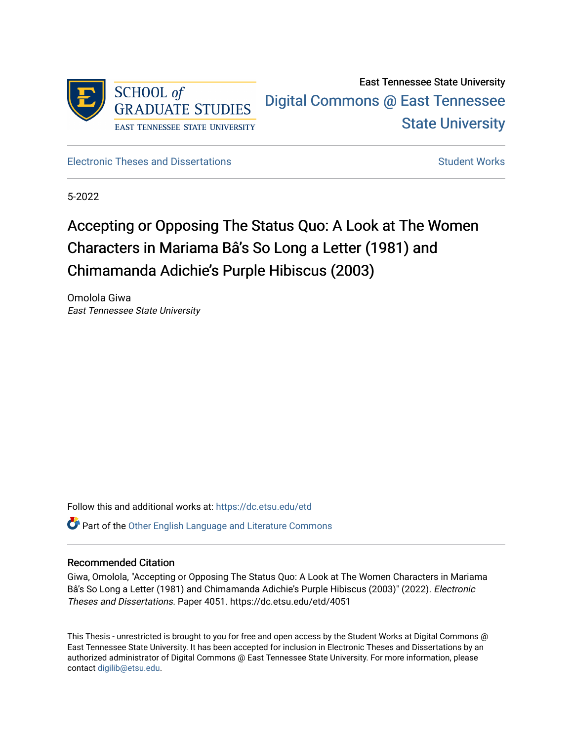

East Tennessee State University [Digital Commons @ East Tennessee](https://dc.etsu.edu/)  [State University](https://dc.etsu.edu/) 

[Electronic Theses and Dissertations](https://dc.etsu.edu/etd) [Student Works](https://dc.etsu.edu/student-works) Student Works

5-2022

# Accepting or Opposing The Status Quo: A Look at The Women Characters in Mariama Bâ's So Long a Letter (1981) and Chimamanda Adichie's Purple Hibiscus (2003)

Omolola Giwa East Tennessee State University

Follow this and additional works at: [https://dc.etsu.edu/etd](https://dc.etsu.edu/etd?utm_source=dc.etsu.edu%2Fetd%2F4051&utm_medium=PDF&utm_campaign=PDFCoverPages)

 $\bullet$  Part of the [Other English Language and Literature Commons](http://network.bepress.com/hgg/discipline/462?utm_source=dc.etsu.edu%2Fetd%2F4051&utm_medium=PDF&utm_campaign=PDFCoverPages)

## Recommended Citation

Giwa, Omolola, "Accepting or Opposing The Status Quo: A Look at The Women Characters in Mariama Bâ's So Long a Letter (1981) and Chimamanda Adichie's Purple Hibiscus (2003)" (2022). Electronic Theses and Dissertations. Paper 4051. https://dc.etsu.edu/etd/4051

This Thesis - unrestricted is brought to you for free and open access by the Student Works at Digital Commons @ East Tennessee State University. It has been accepted for inclusion in Electronic Theses and Dissertations by an authorized administrator of Digital Commons @ East Tennessee State University. For more information, please contact [digilib@etsu.edu](mailto:digilib@etsu.edu).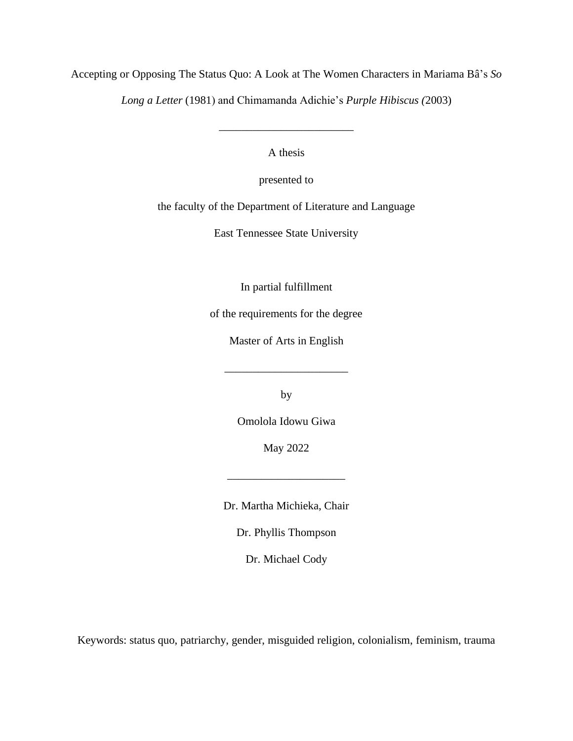Accepting or Opposing The Status Quo: A Look at The Women Characters in Mariama Bâ's *So* 

*Long a Letter* (1981) and Chimamanda Adichie's *Purple Hibiscus (*2003)

A thesis

\_\_\_\_\_\_\_\_\_\_\_\_\_\_\_\_\_\_\_\_\_\_\_\_

presented to

the faculty of the Department of Literature and Language

East Tennessee State University

In partial fulfillment

of the requirements for the degree

Master of Arts in English

\_\_\_\_\_\_\_\_\_\_\_\_\_\_\_\_\_\_\_\_\_\_

by

Omolola Idowu Giwa

May 2022

\_\_\_\_\_\_\_\_\_\_\_\_\_\_\_\_\_\_\_\_\_

Dr. Martha Michieka, Chair

Dr. Phyllis Thompson

Dr. Michael Cody

Keywords: status quo, patriarchy, gender, misguided religion, colonialism, feminism, trauma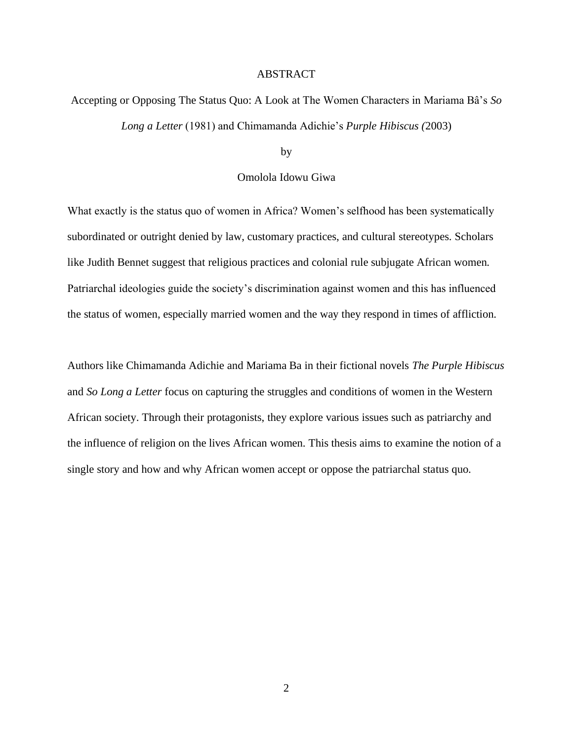#### ABSTRACT

# <span id="page-2-0"></span>Accepting or Opposing The Status Quo: A Look at The Women Characters in Mariama Bâ's *So Long a Letter* (1981) and Chimamanda Adichie's *Purple Hibiscus (*2003)

by

# Omolola Idowu Giwa

What exactly is the status quo of women in Africa? Women's selfhood has been systematically subordinated or outright denied by law, customary practices, and cultural stereotypes. Scholars like Judith Bennet suggest that religious practices and colonial rule subjugate African women. Patriarchal ideologies guide the society's discrimination against women and this has influenced the status of women, especially married women and the way they respond in times of affliction.

Authors like Chimamanda Adichie and Mariama Ba in their fictional novels *The Purple Hibiscus*  and *So Long a Letter* focus on capturing the struggles and conditions of women in the Western African society. Through their protagonists, they explore various issues such as patriarchy and the influence of religion on the lives African women. This thesis aims to examine the notion of a single story and how and why African women accept or oppose the patriarchal status quo.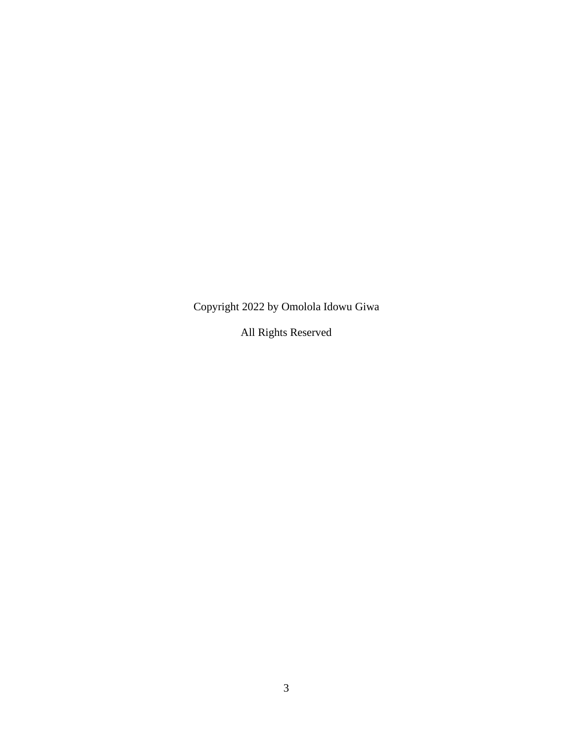Copyright 2022 by Omolola Idowu Giwa

All Rights Reserved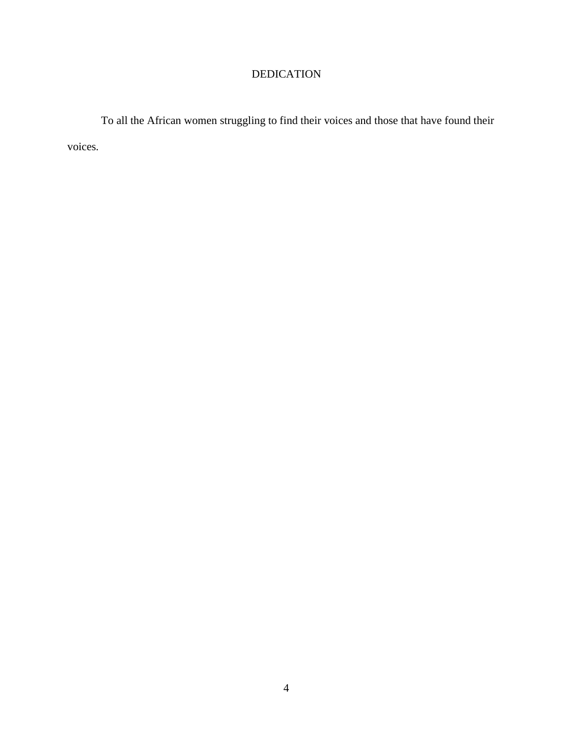# DEDICATION

<span id="page-4-0"></span>To all the African women struggling to find their voices and those that have found their voices.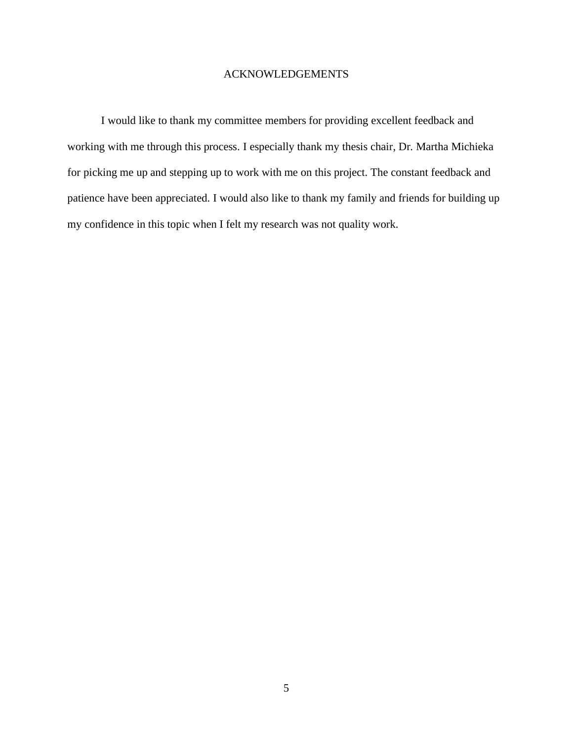# ACKNOWLEDGEMENTS

<span id="page-5-0"></span>I would like to thank my committee members for providing excellent feedback and working with me through this process. I especially thank my thesis chair, Dr. Martha Michieka for picking me up and stepping up to work with me on this project. The constant feedback and patience have been appreciated. I would also like to thank my family and friends for building up my confidence in this topic when I felt my research was not quality work.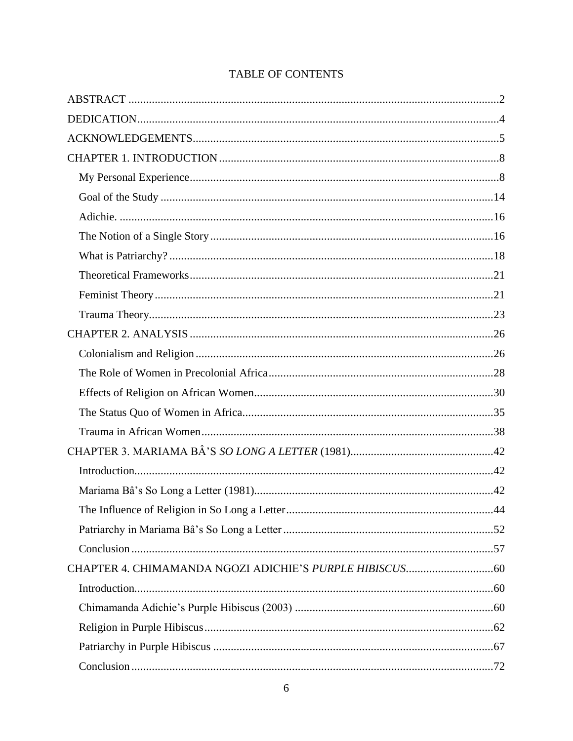| .72 |
|-----|

# TABLE OF CONTENTS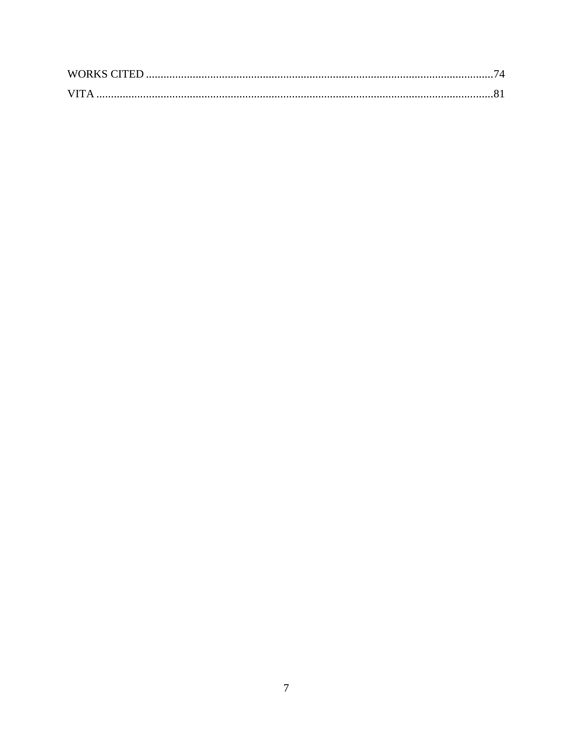| <b>WORKS CITED</b> |  |
|--------------------|--|
| <b>VITA</b>        |  |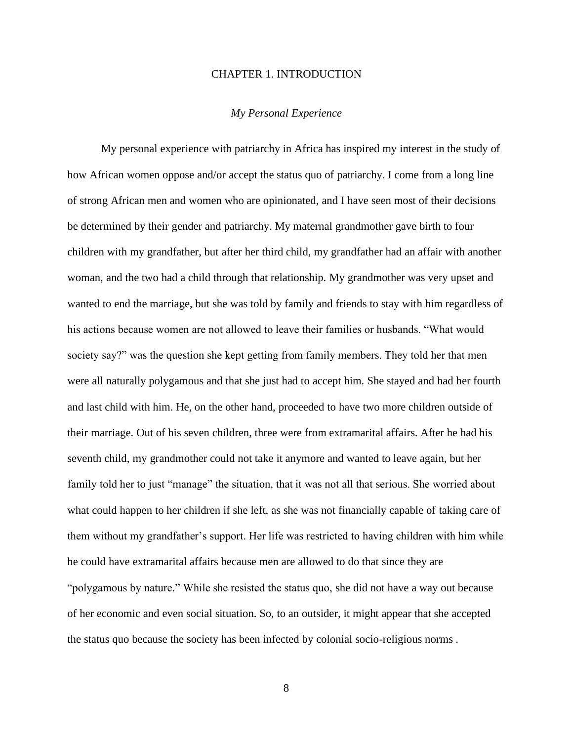#### CHAPTER 1. INTRODUCTION

#### *My Personal Experience*

<span id="page-8-1"></span><span id="page-8-0"></span>My personal experience with patriarchy in Africa has inspired my interest in the study of how African women oppose and/or accept the status quo of patriarchy. I come from a long line of strong African men and women who are opinionated, and I have seen most of their decisions be determined by their gender and patriarchy. My maternal grandmother gave birth to four children with my grandfather, but after her third child, my grandfather had an affair with another woman, and the two had a child through that relationship. My grandmother was very upset and wanted to end the marriage, but she was told by family and friends to stay with him regardless of his actions because women are not allowed to leave their families or husbands. "What would society say?" was the question she kept getting from family members. They told her that men were all naturally polygamous and that she just had to accept him. She stayed and had her fourth and last child with him. He, on the other hand, proceeded to have two more children outside of their marriage. Out of his seven children, three were from extramarital affairs. After he had his seventh child, my grandmother could not take it anymore and wanted to leave again, but her family told her to just "manage" the situation, that it was not all that serious. She worried about what could happen to her children if she left, as she was not financially capable of taking care of them without my grandfather's support. Her life was restricted to having children with him while he could have extramarital affairs because men are allowed to do that since they are "polygamous by nature." While she resisted the status quo, she did not have a way out because of her economic and even social situation. So, to an outsider, it might appear that she accepted the status quo because the society has been infected by colonial socio-religious norms .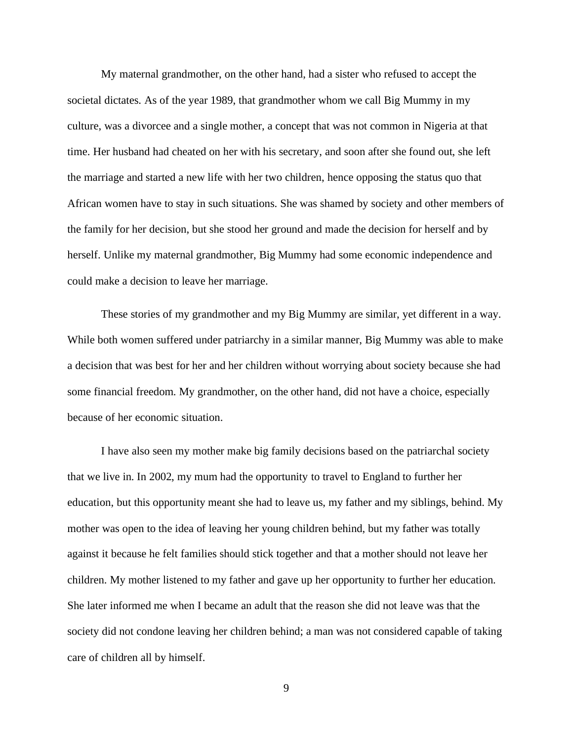My maternal grandmother, on the other hand, had a sister who refused to accept the societal dictates. As of the year 1989, that grandmother whom we call Big Mummy in my culture, was a divorcee and a single mother, a concept that was not common in Nigeria at that time. Her husband had cheated on her with his secretary, and soon after she found out, she left the marriage and started a new life with her two children, hence opposing the status quo that African women have to stay in such situations. She was shamed by society and other members of the family for her decision, but she stood her ground and made the decision for herself and by herself. Unlike my maternal grandmother, Big Mummy had some economic independence and could make a decision to leave her marriage.

These stories of my grandmother and my Big Mummy are similar, yet different in a way. While both women suffered under patriarchy in a similar manner, Big Mummy was able to make a decision that was best for her and her children without worrying about society because she had some financial freedom. My grandmother, on the other hand, did not have a choice, especially because of her economic situation.

I have also seen my mother make big family decisions based on the patriarchal society that we live in. In 2002, my mum had the opportunity to travel to England to further her education, but this opportunity meant she had to leave us, my father and my siblings, behind. My mother was open to the idea of leaving her young children behind, but my father was totally against it because he felt families should stick together and that a mother should not leave her children. My mother listened to my father and gave up her opportunity to further her education. She later informed me when I became an adult that the reason she did not leave was that the society did not condone leaving her children behind; a man was not considered capable of taking care of children all by himself.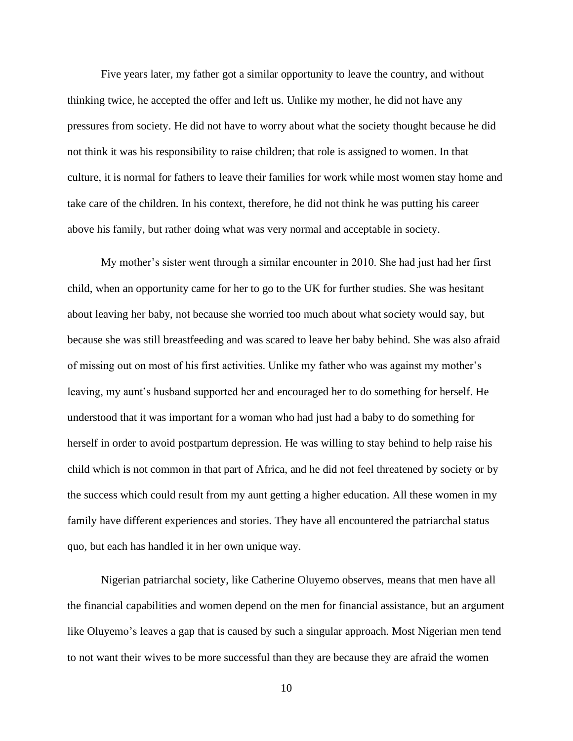Five years later, my father got a similar opportunity to leave the country, and without thinking twice, he accepted the offer and left us. Unlike my mother, he did not have any pressures from society. He did not have to worry about what the society thought because he did not think it was his responsibility to raise children; that role is assigned to women. In that culture, it is normal for fathers to leave their families for work while most women stay home and take care of the children. In his context, therefore, he did not think he was putting his career above his family, but rather doing what was very normal and acceptable in society.

My mother's sister went through a similar encounter in 2010. She had just had her first child, when an opportunity came for her to go to the UK for further studies. She was hesitant about leaving her baby, not because she worried too much about what society would say, but because she was still breastfeeding and was scared to leave her baby behind. She was also afraid of missing out on most of his first activities. Unlike my father who was against my mother's leaving, my aunt's husband supported her and encouraged her to do something for herself. He understood that it was important for a woman who had just had a baby to do something for herself in order to avoid postpartum depression. He was willing to stay behind to help raise his child which is not common in that part of Africa, and he did not feel threatened by society or by the success which could result from my aunt getting a higher education. All these women in my family have different experiences and stories. They have all encountered the patriarchal status quo, but each has handled it in her own unique way.

Nigerian patriarchal society, like Catherine Oluyemo observes, means that men have all the financial capabilities and women depend on the men for financial assistance, but an argument like Oluyemo's leaves a gap that is caused by such a singular approach. Most Nigerian men tend to not want their wives to be more successful than they are because they are afraid the women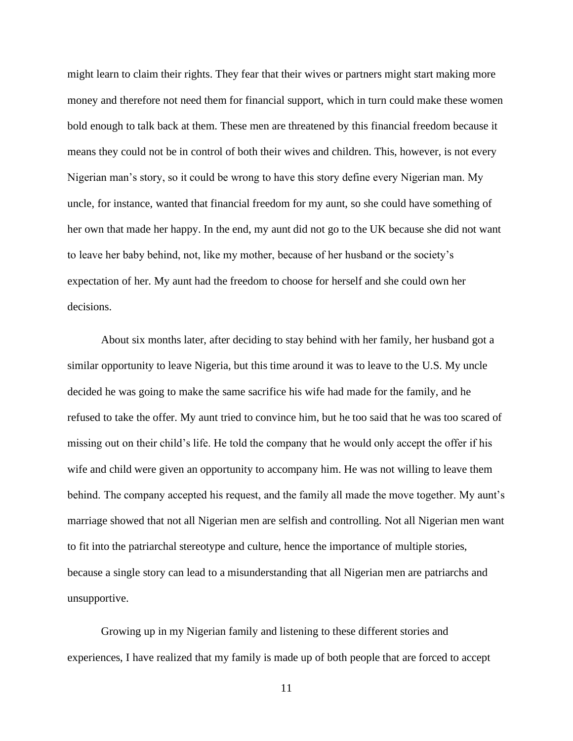might learn to claim their rights. They fear that their wives or partners might start making more money and therefore not need them for financial support, which in turn could make these women bold enough to talk back at them. These men are threatened by this financial freedom because it means they could not be in control of both their wives and children. This, however, is not every Nigerian man's story, so it could be wrong to have this story define every Nigerian man. My uncle, for instance, wanted that financial freedom for my aunt, so she could have something of her own that made her happy. In the end, my aunt did not go to the UK because she did not want to leave her baby behind, not, like my mother, because of her husband or the society's expectation of her. My aunt had the freedom to choose for herself and she could own her decisions.

About six months later, after deciding to stay behind with her family, her husband got a similar opportunity to leave Nigeria, but this time around it was to leave to the U.S. My uncle decided he was going to make the same sacrifice his wife had made for the family, and he refused to take the offer. My aunt tried to convince him, but he too said that he was too scared of missing out on their child's life. He told the company that he would only accept the offer if his wife and child were given an opportunity to accompany him. He was not willing to leave them behind. The company accepted his request, and the family all made the move together. My aunt's marriage showed that not all Nigerian men are selfish and controlling. Not all Nigerian men want to fit into the patriarchal stereotype and culture, hence the importance of multiple stories, because a single story can lead to a misunderstanding that all Nigerian men are patriarchs and unsupportive.

Growing up in my Nigerian family and listening to these different stories and experiences, I have realized that my family is made up of both people that are forced to accept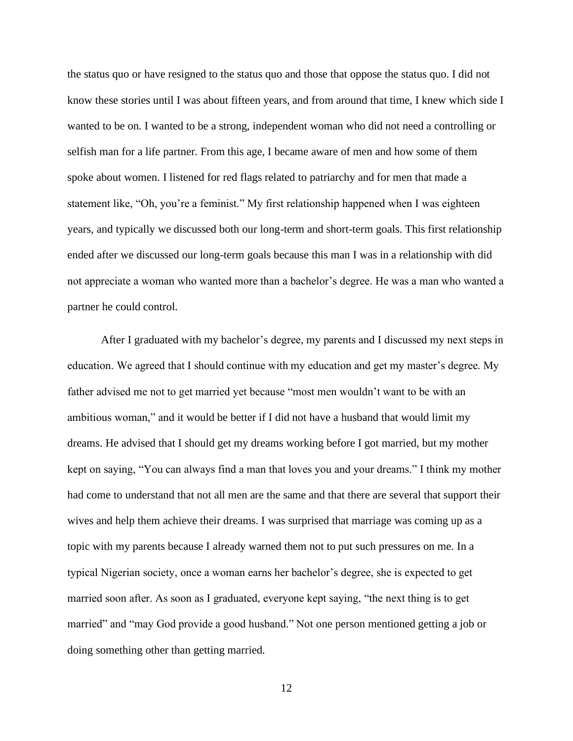the status quo or have resigned to the status quo and those that oppose the status quo. I did not know these stories until I was about fifteen years, and from around that time, I knew which side I wanted to be on. I wanted to be a strong, independent woman who did not need a controlling or selfish man for a life partner. From this age, I became aware of men and how some of them spoke about women. I listened for red flags related to patriarchy and for men that made a statement like, "Oh, you're a feminist." My first relationship happened when I was eighteen years, and typically we discussed both our long-term and short-term goals. This first relationship ended after we discussed our long-term goals because this man I was in a relationship with did not appreciate a woman who wanted more than a bachelor's degree. He was a man who wanted a partner he could control.

After I graduated with my bachelor's degree, my parents and I discussed my next steps in education. We agreed that I should continue with my education and get my master's degree. My father advised me not to get married yet because "most men wouldn't want to be with an ambitious woman," and it would be better if I did not have a husband that would limit my dreams. He advised that I should get my dreams working before I got married, but my mother kept on saying, "You can always find a man that loves you and your dreams." I think my mother had come to understand that not all men are the same and that there are several that support their wives and help them achieve their dreams. I was surprised that marriage was coming up as a topic with my parents because I already warned them not to put such pressures on me. In a typical Nigerian society, once a woman earns her bachelor's degree, she is expected to get married soon after. As soon as I graduated, everyone kept saying, "the next thing is to get married" and "may God provide a good husband." Not one person mentioned getting a job or doing something other than getting married.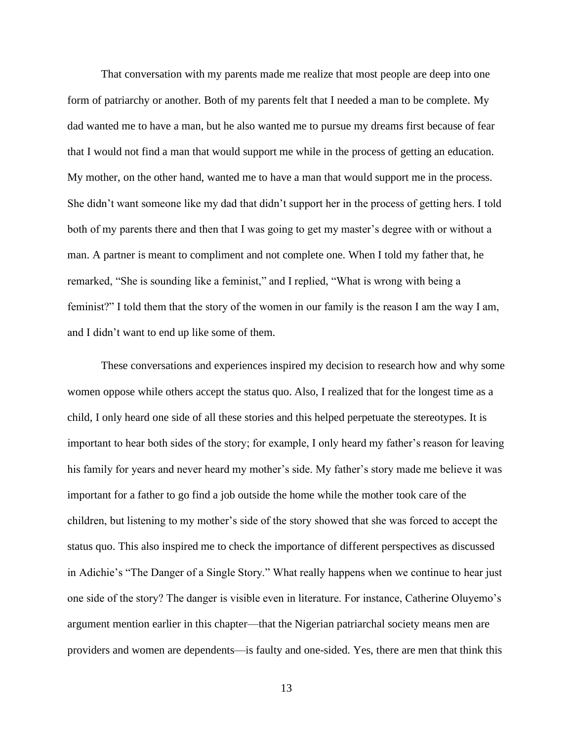That conversation with my parents made me realize that most people are deep into one form of patriarchy or another. Both of my parents felt that I needed a man to be complete. My dad wanted me to have a man, but he also wanted me to pursue my dreams first because of fear that I would not find a man that would support me while in the process of getting an education. My mother, on the other hand, wanted me to have a man that would support me in the process. She didn't want someone like my dad that didn't support her in the process of getting hers. I told both of my parents there and then that I was going to get my master's degree with or without a man. A partner is meant to compliment and not complete one. When I told my father that, he remarked, "She is sounding like a feminist," and I replied, "What is wrong with being a feminist?" I told them that the story of the women in our family is the reason I am the way I am, and I didn't want to end up like some of them.

These conversations and experiences inspired my decision to research how and why some women oppose while others accept the status quo. Also, I realized that for the longest time as a child, I only heard one side of all these stories and this helped perpetuate the stereotypes. It is important to hear both sides of the story; for example, I only heard my father's reason for leaving his family for years and never heard my mother's side. My father's story made me believe it was important for a father to go find a job outside the home while the mother took care of the children, but listening to my mother's side of the story showed that she was forced to accept the status quo. This also inspired me to check the importance of different perspectives as discussed in Adichie's "The Danger of a Single Story." What really happens when we continue to hear just one side of the story? The danger is visible even in literature. For instance, Catherine Oluyemo's argument mention earlier in this chapter—that the Nigerian patriarchal society means men are providers and women are dependents—is faulty and one-sided. Yes, there are men that think this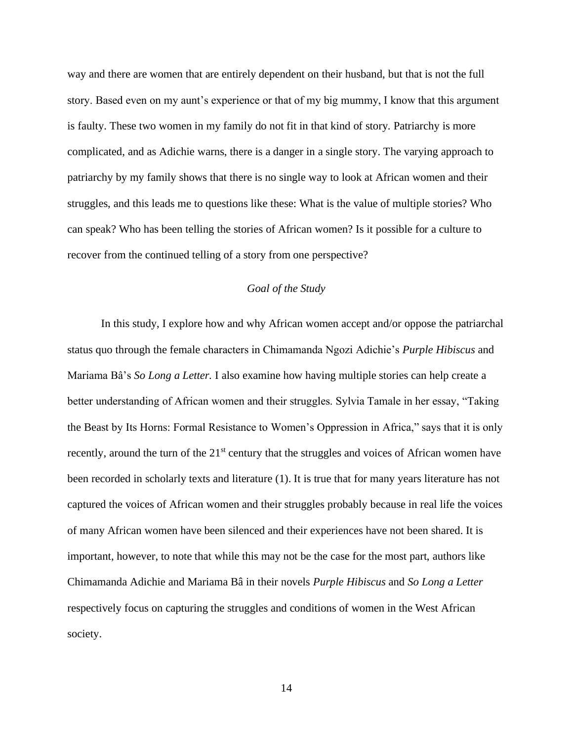way and there are women that are entirely dependent on their husband, but that is not the full story. Based even on my aunt's experience or that of my big mummy, I know that this argument is faulty. These two women in my family do not fit in that kind of story. Patriarchy is more complicated, and as Adichie warns, there is a danger in a single story. The varying approach to patriarchy by my family shows that there is no single way to look at African women and their struggles, and this leads me to questions like these: What is the value of multiple stories? Who can speak? Who has been telling the stories of African women? Is it possible for a culture to recover from the continued telling of a story from one perspective?

# *Goal of the Study*

<span id="page-14-0"></span>In this study, I explore how and why African women accept and/or oppose the patriarchal status quo through the female characters in Chimamanda Ngozi Adichie's *Purple Hibiscus* and Mariama Bâ's *So Long a Letter.* I also examine how having multiple stories can help create a better understanding of African women and their struggles. Sylvia Tamale in her essay, "Taking the Beast by Its Horns: Formal Resistance to Women's Oppression in Africa," says that it is only recently, around the turn of the 21<sup>st</sup> century that the struggles and voices of African women have been recorded in scholarly texts and literature (1). It is true that for many years literature has not captured the voices of African women and their struggles probably because in real life the voices of many African women have been silenced and their experiences have not been shared. It is important, however, to note that while this may not be the case for the most part, authors like Chimamanda Adichie and Mariama Bâ in their novels *Purple Hibiscus* and *So Long a Letter*  respectively focus on capturing the struggles and conditions of women in the West African society.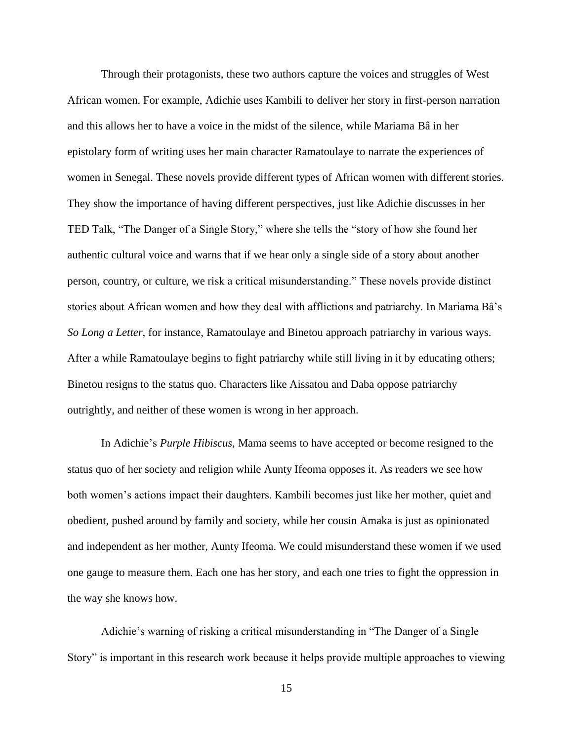Through their protagonists, these two authors capture the voices and struggles of West African women. For example, Adichie uses Kambili to deliver her story in first-person narration and this allows her to have a voice in the midst of the silence, while Mariama Bâ in her epistolary form of writing uses her main character Ramatoulaye to narrate the experiences of women in Senegal. These novels provide different types of African women with different stories. They show the importance of having different perspectives, just like Adichie discusses in her TED Talk, "The Danger of a Single Story," where she tells the "story of how she found her authentic cultural voice and warns that if we hear only a single side of a story about another person, country, or culture, we risk a critical misunderstanding." These novels provide distinct stories about African women and how they deal with afflictions and patriarchy. In Mariama Bâ's *So Long a Letter,* for instance, Ramatoulaye and Binetou approach patriarchy in various ways. After a while Ramatoulaye begins to fight patriarchy while still living in it by educating others; Binetou resigns to the status quo. Characters like Aissatou and Daba oppose patriarchy outrightly, and neither of these women is wrong in her approach.

In Adichie's *Purple Hibiscus,* Mama seems to have accepted or become resigned to the status quo of her society and religion while Aunty Ifeoma opposes it. As readers we see how both women's actions impact their daughters. Kambili becomes just like her mother, quiet and obedient, pushed around by family and society, while her cousin Amaka is just as opinionated and independent as her mother, Aunty Ifeoma. We could misunderstand these women if we used one gauge to measure them. Each one has her story, and each one tries to fight the oppression in the way she knows how.

Adichie's warning of risking a critical misunderstanding in "The Danger of a Single Story" is important in this research work because it helps provide multiple approaches to viewing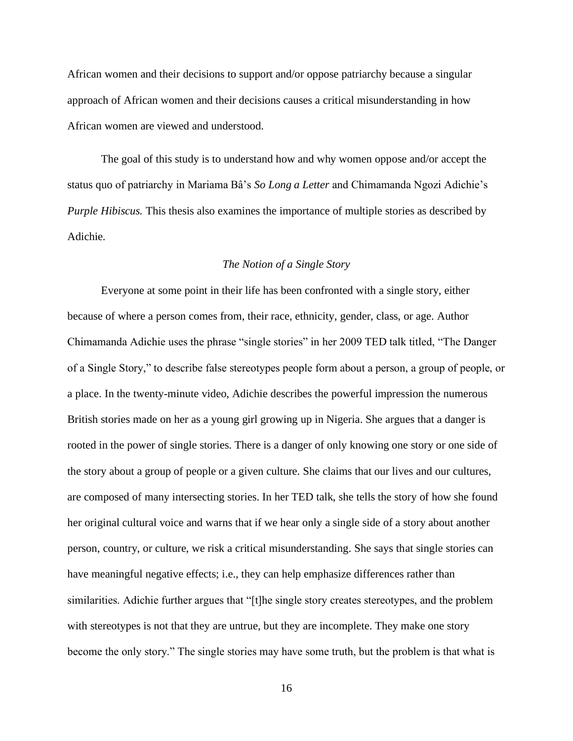African women and their decisions to support and/or oppose patriarchy because a singular approach of African women and their decisions causes a critical misunderstanding in how African women are viewed and understood.

<span id="page-16-0"></span>The goal of this study is to understand how and why women oppose and/or accept the status quo of patriarchy in Mariama Bâ's *So Long a Letter* and Chimamanda Ngozi Adichie's *Purple Hibiscus.* This thesis also examines the importance of multiple stories as described by Adichie*.*

# *The Notion of a Single Story*

<span id="page-16-1"></span>Everyone at some point in their life has been confronted with a single story, either because of where a person comes from, their race, ethnicity, gender, class, or age. Author Chimamanda Adichie uses the phrase "single stories" in her 2009 TED talk titled, "The Danger of a Single Story," to describe false stereotypes people form about a person, a group of people, or a place. In the twenty-minute video, Adichie describes the powerful impression the numerous British stories made on her as a young girl growing up in Nigeria. She argues that a danger is rooted in the power of single stories. There is a danger of only knowing one story or one side of the story about a group of people or a given culture. She claims that our lives and our cultures, are composed of many intersecting stories. In her TED talk, she tells the story of how she found her original cultural voice and warns that if we hear only a single side of a story about another person, country, or culture, we risk a critical misunderstanding. She says that single stories can have meaningful negative effects; i.e., they can help emphasize differences rather than similarities. Adichie further argues that "[t]he single story creates stereotypes, and the problem with stereotypes is not that they are untrue, but they are incomplete. They make one story become the only story." The single stories may have some truth, but the problem is that what is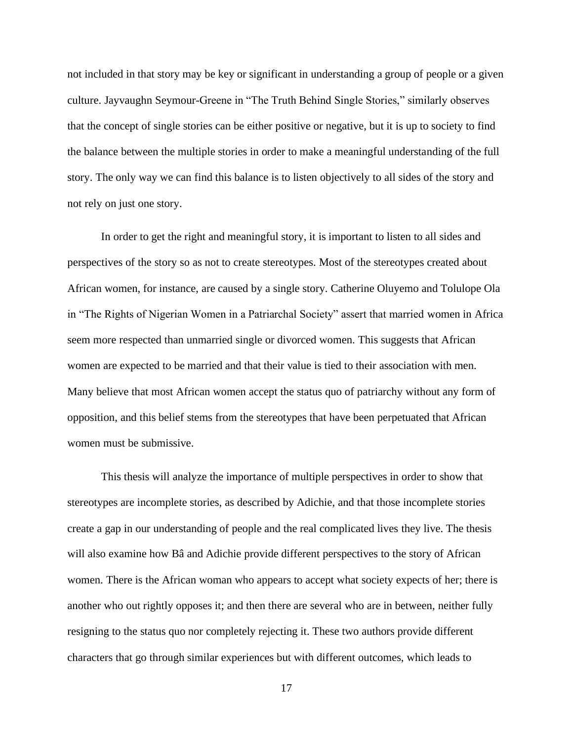not included in that story may be key or significant in understanding a group of people or a given culture. Jayvaughn Seymour-Greene in "The Truth Behind Single Stories," similarly observes that the concept of single stories can be either positive or negative, but it is up to society to find the balance between the multiple stories in order to make a meaningful understanding of the full story. The only way we can find this balance is to listen objectively to all sides of the story and not rely on just one story.

In order to get the right and meaningful story, it is important to listen to all sides and perspectives of the story so as not to create stereotypes. Most of the stereotypes created about African women, for instance, are caused by a single story. Catherine Oluyemo and Tolulope Ola in "The Rights of Nigerian Women in a Patriarchal Society" assert that married women in Africa seem more respected than unmarried single or divorced women. This suggests that African women are expected to be married and that their value is tied to their association with men. Many believe that most African women accept the status quo of patriarchy without any form of opposition, and this belief stems from the stereotypes that have been perpetuated that African women must be submissive.

This thesis will analyze the importance of multiple perspectives in order to show that stereotypes are incomplete stories, as described by Adichie, and that those incomplete stories create a gap in our understanding of people and the real complicated lives they live. The thesis will also examine how Bâ and Adichie provide different perspectives to the story of African women. There is the African woman who appears to accept what society expects of her; there is another who out rightly opposes it; and then there are several who are in between, neither fully resigning to the status quo nor completely rejecting it. These two authors provide different characters that go through similar experiences but with different outcomes, which leads to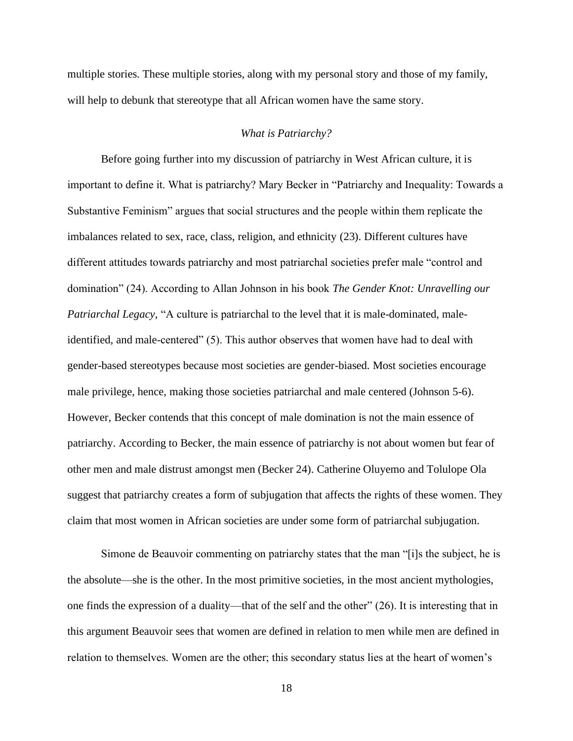multiple stories. These multiple stories, along with my personal story and those of my family, will help to debunk that stereotype that all African women have the same story.

#### *What is Patriarchy?*

<span id="page-18-0"></span>Before going further into my discussion of patriarchy in West African culture, it is important to define it. What is patriarchy? Mary Becker in "Patriarchy and Inequality: Towards a Substantive Feminism" argues that social structures and the people within them replicate the imbalances related to sex, race, class, religion, and ethnicity (23). Different cultures have different attitudes towards patriarchy and most patriarchal societies prefer male "control and domination" (24). According to Allan Johnson in his book *The Gender Knot: Unravelling our Patriarchal Legacy*, "A culture is patriarchal to the level that it is male-dominated, maleidentified, and male-centered" (5). This author observes that women have had to deal with gender-based stereotypes because most societies are gender-biased. Most societies encourage male privilege, hence, making those societies patriarchal and male centered (Johnson 5-6). However, Becker contends that this concept of male domination is not the main essence of patriarchy. According to Becker, the main essence of patriarchy is not about women but fear of other men and male distrust amongst men (Becker 24). Catherine Oluyemo and Tolulope Ola suggest that patriarchy creates a form of subjugation that affects the rights of these women. They claim that most women in African societies are under some form of patriarchal subjugation.

Simone de Beauvoir commenting on patriarchy states that the man "[i]s the subject, he is the absolute—she is the other. In the most primitive societies, in the most ancient mythologies, one finds the expression of a duality—that of the self and the other" (26). It is interesting that in this argument Beauvoir sees that women are defined in relation to men while men are defined in relation to themselves. Women are the other; this secondary status lies at the heart of women's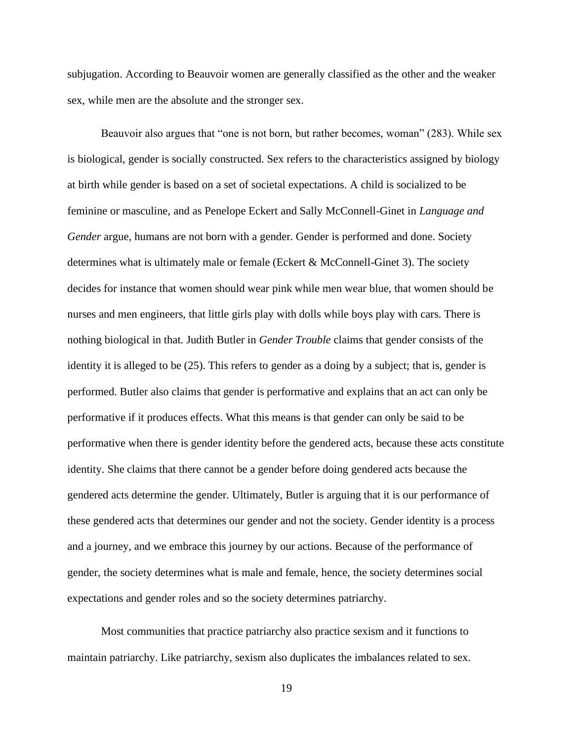subjugation. According to Beauvoir women are generally classified as the other and the weaker sex, while men are the absolute and the stronger sex.

Beauvoir also argues that "one is not born, but rather becomes, woman" (283). While sex is biological, gender is socially constructed. Sex refers to the characteristics assigned by biology at birth while gender is based on a set of societal expectations. A child is socialized to be feminine or masculine, and as Penelope Eckert and Sally McConnell-Ginet in *Language and Gender* argue, humans are not born with a gender. Gender is performed and done. Society determines what is ultimately male or female (Eckert & McConnell-Ginet 3). The society decides for instance that women should wear pink while men wear blue, that women should be nurses and men engineers, that little girls play with dolls while boys play with cars. There is nothing biological in that*.* Judith Butler in *Gender Trouble* claims that gender consists of the identity it is alleged to be (25). This refers to gender as a doing by a subject; that is, gender is performed. Butler also claims that gender is performative and explains that an act can only be performative if it produces effects. What this means is that gender can only be said to be performative when there is gender identity before the gendered acts, because these acts constitute identity. She claims that there cannot be a gender before doing gendered acts because the gendered acts determine the gender. Ultimately, Butler is arguing that it is our performance of these gendered acts that determines our gender and not the society. Gender identity is a process and a journey, and we embrace this journey by our actions. Because of the performance of gender, the society determines what is male and female, hence, the society determines social expectations and gender roles and so the society determines patriarchy.

Most communities that practice patriarchy also practice sexism and it functions to maintain patriarchy. Like patriarchy, sexism also duplicates the imbalances related to sex.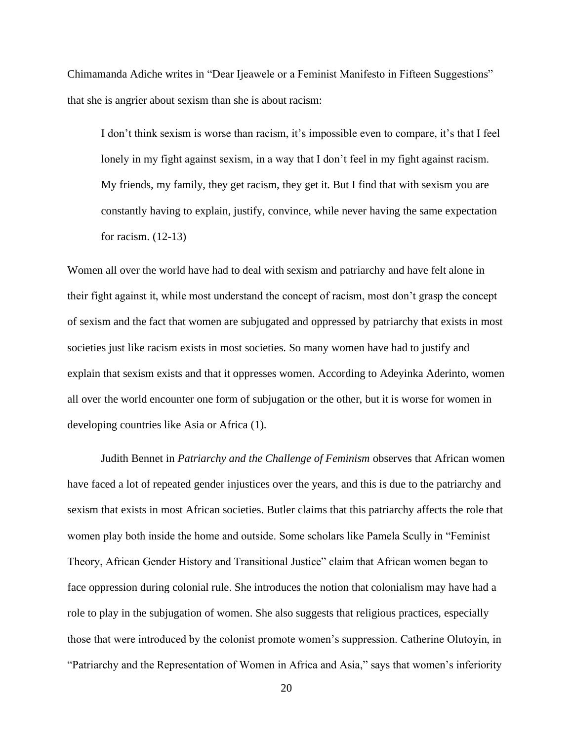Chimamanda Adiche writes in "Dear Ijeawele or a Feminist Manifesto in Fifteen Suggestions" that she is angrier about sexism than she is about racism:

I don't think sexism is worse than racism, it's impossible even to compare, it's that I feel lonely in my fight against sexism, in a way that I don't feel in my fight against racism. My friends, my family, they get racism, they get it. But I find that with sexism you are constantly having to explain, justify, convince, while never having the same expectation for racism. (12-13)

Women all over the world have had to deal with sexism and patriarchy and have felt alone in their fight against it, while most understand the concept of racism, most don't grasp the concept of sexism and the fact that women are subjugated and oppressed by patriarchy that exists in most societies just like racism exists in most societies. So many women have had to justify and explain that sexism exists and that it oppresses women. According to Adeyinka Aderinto, women all over the world encounter one form of subjugation or the other, but it is worse for women in developing countries like Asia or Africa (1).

Judith Bennet in *Patriarchy and the Challenge of Feminism* observes that African women have faced a lot of repeated gender injustices over the years, and this is due to the patriarchy and sexism that exists in most African societies. Butler claims that this patriarchy affects the role that women play both inside the home and outside. Some scholars like Pamela Scully in "Feminist Theory, African Gender History and Transitional Justice" claim that African women began to face oppression during colonial rule. She introduces the notion that colonialism may have had a role to play in the subjugation of women. She also suggests that religious practices, especially those that were introduced by the colonist promote women's suppression. Catherine Olutoyin, in "Patriarchy and the Representation of Women in Africa and Asia," says that women's inferiority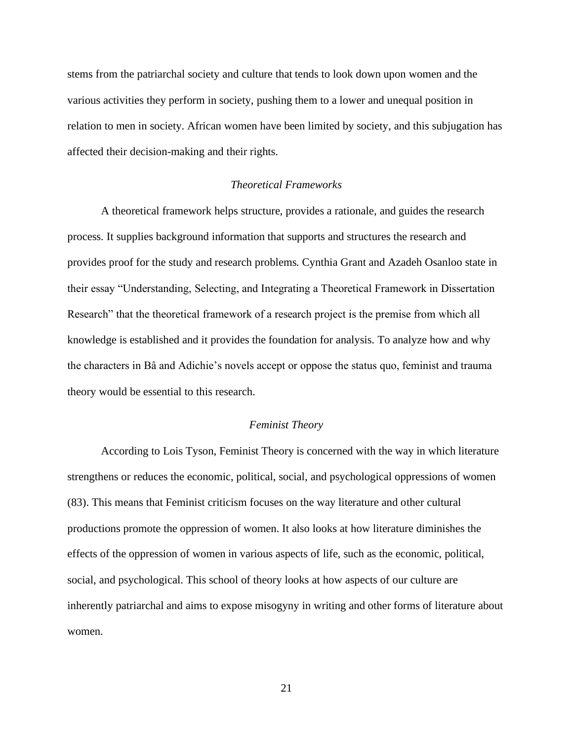stems from the patriarchal society and culture that tends to look down upon women and the various activities they perform in society, pushing them to a lower and unequal position in relation to men in society. African women have been limited by society, and this subjugation has affected their decision-making and their rights.

# *Theoretical Frameworks*

<span id="page-21-0"></span>A theoretical framework helps structure, provides a rationale, and guides the research process. It supplies background information that supports and structures the research and provides proof for the study and research problems. Cynthia Grant and Azadeh Osanloo state in their essay "Understanding, Selecting, and Integrating a Theoretical Framework in Dissertation Research" that the theoretical framework of a research project is the premise from which all knowledge is established and it provides the foundation for analysis. To analyze how and why the characters in Bâ and Adichie's novels accept or oppose the status quo, feminist and trauma theory would be essential to this research.

#### *Feminist Theory*

<span id="page-21-1"></span>According to Lois Tyson, Feminist Theory is concerned with the way in which literature strengthens or reduces the economic, political, social, and psychological oppressions of women (83). This means that Feminist criticism focuses on the way literature and other cultural productions promote the oppression of women. It also looks at how literature diminishes the effects of the oppression of women in various aspects of life, such as the economic, political, social, and psychological. This school of theory looks at how aspects of our culture are inherently patriarchal and aims to expose misogyny in writing and other forms of literature about women.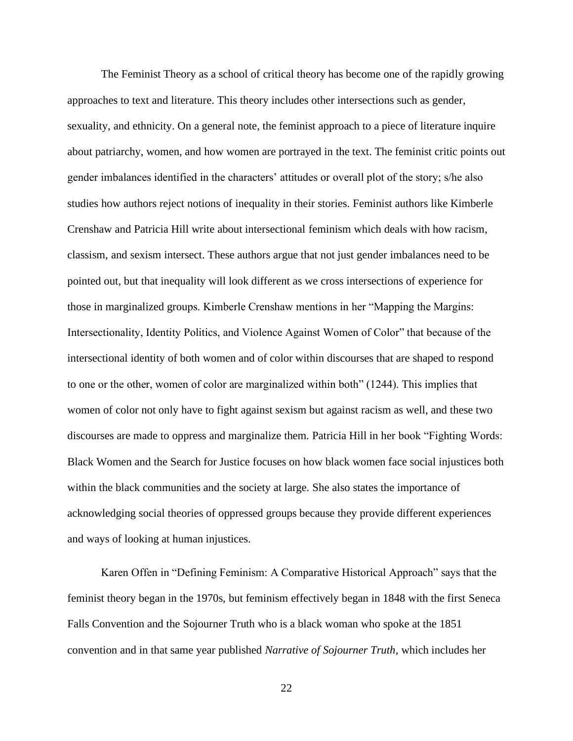The Feminist Theory as a school of critical theory has become one of the rapidly growing approaches to text and literature. This theory includes other intersections such as gender, sexuality, and ethnicity. On a general note, the feminist approach to a piece of literature inquire about patriarchy, women, and how women are portrayed in the text. The feminist critic points out gender imbalances identified in the characters' attitudes or overall plot of the story; s/he also studies how authors reject notions of inequality in their stories. Feminist authors like Kimberle Crenshaw and Patricia Hill write about intersectional feminism which deals with how racism, classism, and sexism intersect. These authors argue that not just gender imbalances need to be pointed out, but that inequality will look different as we cross intersections of experience for those in marginalized groups. Kimberle Crenshaw mentions in her "Mapping the Margins: Intersectionality, Identity Politics, and Violence Against Women of Color" that because of the intersectional identity of both women and of color within discourses that are shaped to respond to one or the other, women of color are marginalized within both" (1244). This implies that women of color not only have to fight against sexism but against racism as well, and these two discourses are made to oppress and marginalize them. Patricia Hill in her book "Fighting Words: Black Women and the Search for Justice focuses on how black women face social injustices both within the black communities and the society at large. She also states the importance of acknowledging social theories of oppressed groups because they provide different experiences and ways of looking at human injustices.

Karen Offen in "Defining Feminism: A Comparative Historical Approach" says that the feminist theory began in the 1970s, but feminism effectively began in 1848 with the first Seneca Falls Convention and the Sojourner Truth who is a black woman who spoke at the 1851 convention and in that same year published *Narrative of Sojourner Truth*, which includes her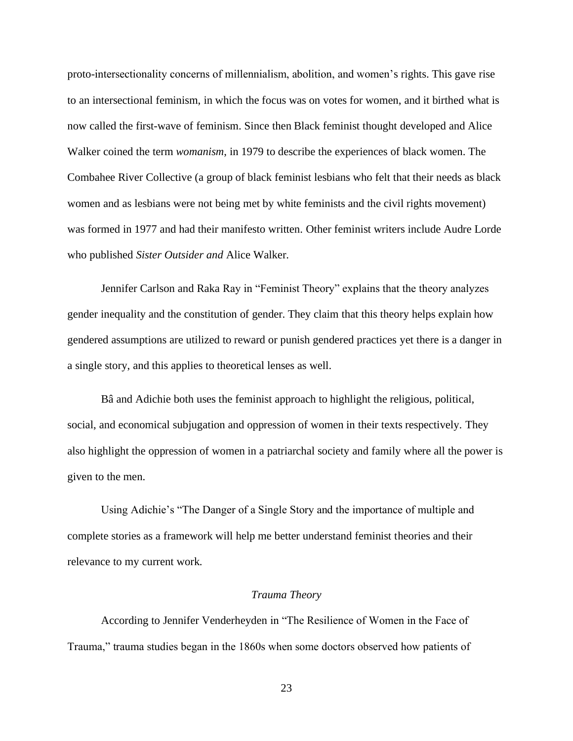proto-intersectionality concerns of millennialism, abolition, and women's rights. This gave rise to an intersectional feminism, in which the focus was on votes for women, and it birthed what is now called the first-wave of feminism. Since then Black feminist thought developed and Alice Walker coined the term *womanism*, in 1979 to describe the experiences of black women. The Combahee River Collective (a group of black feminist lesbians who felt that their needs as black women and as lesbians were not being met by white feminists and the civil rights movement) was formed in 1977 and had their manifesto written. Other feminist writers include Audre Lorde who published *Sister Outsider and* Alice Walker*.* 

Jennifer Carlson and Raka Ray in "Feminist Theory" explains that the theory analyzes gender inequality and the constitution of gender. They claim that this theory helps explain how gendered assumptions are utilized to reward or punish gendered practices yet there is a danger in a single story, and this applies to theoretical lenses as well.

Bâ and Adichie both uses the feminist approach to highlight the religious, political, social, and economical subjugation and oppression of women in their texts respectively. They also highlight the oppression of women in a patriarchal society and family where all the power is given to the men.

Using Adichie's "The Danger of a Single Story and the importance of multiple and complete stories as a framework will help me better understand feminist theories and their relevance to my current work.

#### *Trauma Theory*

<span id="page-23-0"></span>According to Jennifer Venderheyden in "The Resilience of Women in the Face of Trauma," trauma studies began in the 1860s when some doctors observed how patients of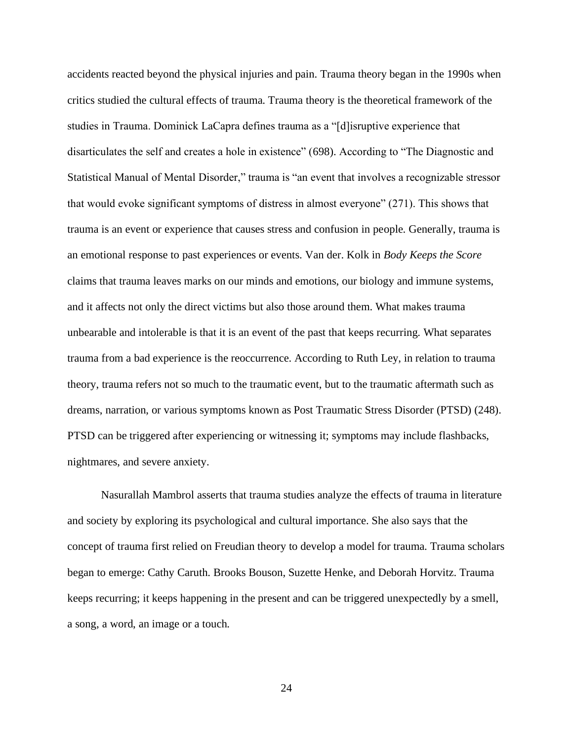accidents reacted beyond the physical injuries and pain. Trauma theory began in the 1990s when critics studied the cultural effects of trauma. Trauma theory is the theoretical framework of the studies in Trauma. Dominick LaCapra defines trauma as a "[d]isruptive experience that disarticulates the self and creates a hole in existence" (698). According to "The Diagnostic and Statistical Manual of Mental Disorder," trauma is "an event that involves a recognizable stressor that would evoke significant symptoms of distress in almost everyone" (271). This shows that trauma is an event or experience that causes stress and confusion in people. Generally, trauma is an emotional response to past experiences or events. Van der. Kolk in *Body Keeps the Score* claims that trauma leaves marks on our minds and emotions, our biology and immune systems, and it affects not only the direct victims but also those around them. What makes trauma unbearable and intolerable is that it is an event of the past that keeps recurring. What separates trauma from a bad experience is the reoccurrence. According to Ruth Ley, in relation to trauma theory, trauma refers not so much to the traumatic event, but to the traumatic aftermath such as dreams, narration, or various symptoms known as Post Traumatic Stress Disorder (PTSD) (248). PTSD can be triggered after experiencing or witnessing it; symptoms may include flashbacks, nightmares, and severe anxiety.

Nasurallah Mambrol asserts that trauma studies analyze the effects of trauma in literature and society by exploring its psychological and cultural importance. She also says that the concept of trauma first relied on Freudian theory to develop a model for trauma. Trauma scholars began to emerge: Cathy Caruth. Brooks Bouson, Suzette Henke, and Deborah Horvitz. Trauma keeps recurring; it keeps happening in the present and can be triggered unexpectedly by a smell, a song, a word, an image or a touch.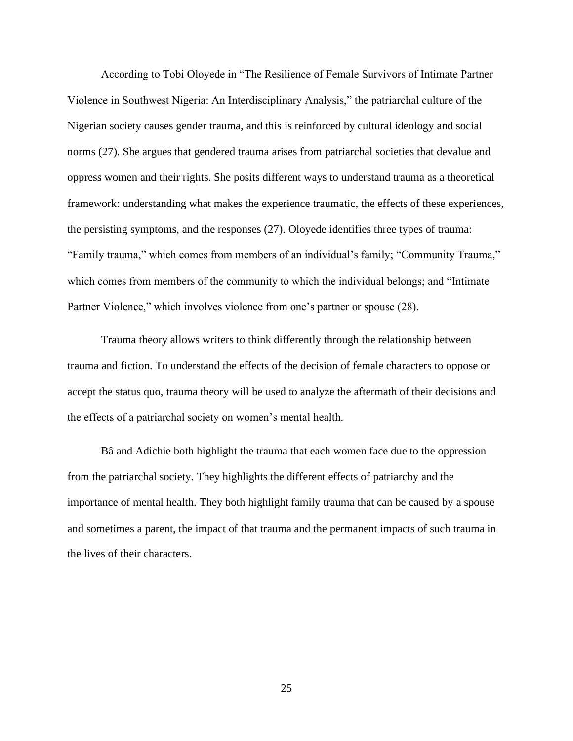According to Tobi Oloyede in "The Resilience of Female Survivors of Intimate Partner Violence in Southwest Nigeria: An Interdisciplinary Analysis," the patriarchal culture of the Nigerian society causes gender trauma, and this is reinforced by cultural ideology and social norms (27). She argues that gendered trauma arises from patriarchal societies that devalue and oppress women and their rights. She posits different ways to understand trauma as a theoretical framework: understanding what makes the experience traumatic, the effects of these experiences, the persisting symptoms, and the responses (27). Oloyede identifies three types of trauma: "Family trauma," which comes from members of an individual's family; "Community Trauma," which comes from members of the community to which the individual belongs; and "Intimate Partner Violence," which involves violence from one's partner or spouse (28).

Trauma theory allows writers to think differently through the relationship between trauma and fiction. To understand the effects of the decision of female characters to oppose or accept the status quo, trauma theory will be used to analyze the aftermath of their decisions and the effects of a patriarchal society on women's mental health.

Bâ and Adichie both highlight the trauma that each women face due to the oppression from the patriarchal society. They highlights the different effects of patriarchy and the importance of mental health. They both highlight family trauma that can be caused by a spouse and sometimes a parent, the impact of that trauma and the permanent impacts of such trauma in the lives of their characters.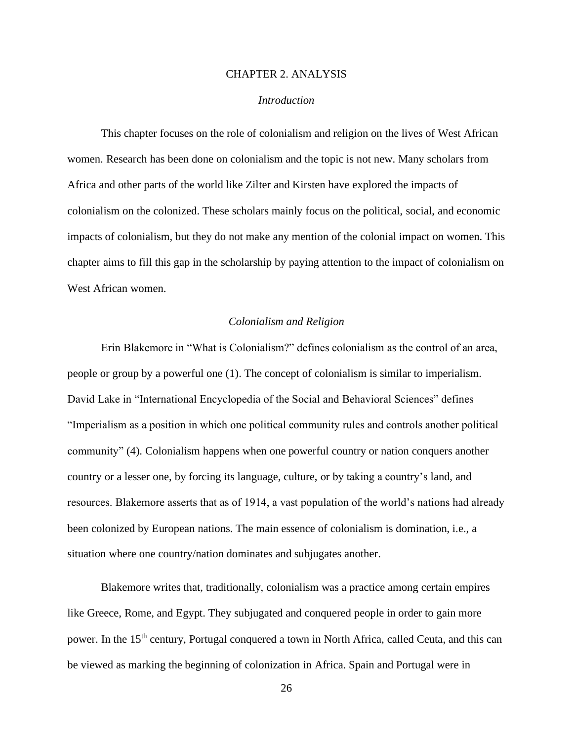#### CHAPTER 2. ANALYSIS

#### *Introduction*

<span id="page-26-0"></span>This chapter focuses on the role of colonialism and religion on the lives of West African women. Research has been done on colonialism and the topic is not new. Many scholars from Africa and other parts of the world like Zilter and Kirsten have explored the impacts of colonialism on the colonized. These scholars mainly focus on the political, social, and economic impacts of colonialism, but they do not make any mention of the colonial impact on women. This chapter aims to fill this gap in the scholarship by paying attention to the impact of colonialism on West African women.

### *Colonialism and Religion*

<span id="page-26-1"></span>Erin Blakemore in "What is Colonialism?" defines colonialism as the control of an area, people or group by a powerful one (1). The concept of colonialism is similar to imperialism. David Lake in "International Encyclopedia of the Social and Behavioral Sciences" defines "Imperialism as a position in which one political community rules and controls another political community" (4). Colonialism happens when one powerful country or nation conquers another country or a lesser one, by forcing its language, culture, or by taking a country's land, and resources. Blakemore asserts that as of 1914, a vast population of the world's nations had already been colonized by European nations. The main essence of colonialism is domination, i.e., a situation where one country/nation dominates and subjugates another.

Blakemore writes that, traditionally, colonialism was a practice among certain empires like Greece, Rome, and Egypt. They subjugated and conquered people in order to gain more power. In the 15<sup>th</sup> century, Portugal conquered a town in North Africa, called Ceuta, and this can be viewed as marking the beginning of colonization in Africa. Spain and Portugal were in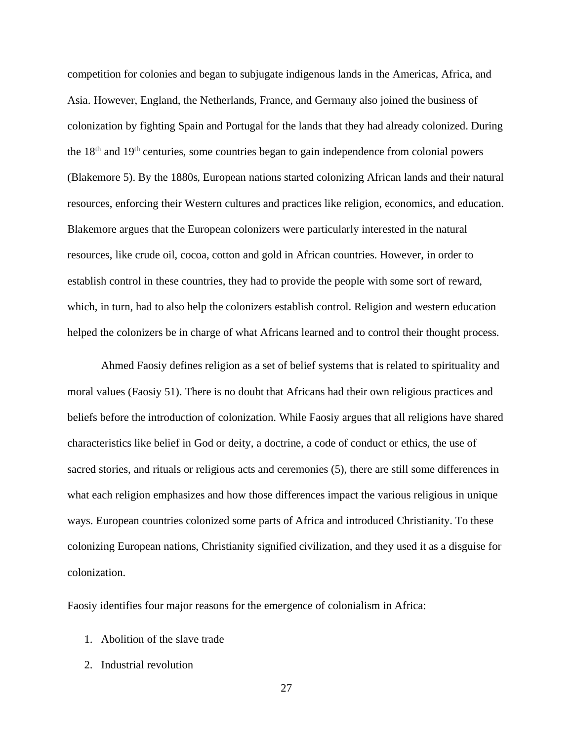competition for colonies and began to subjugate indigenous lands in the Americas, Africa, and Asia. However, England, the Netherlands, France, and Germany also joined the business of colonization by fighting Spain and Portugal for the lands that they had already colonized. During the  $18<sup>th</sup>$  and  $19<sup>th</sup>$  centuries, some countries began to gain independence from colonial powers (Blakemore 5). By the 1880s, European nations started colonizing African lands and their natural resources, enforcing their Western cultures and practices like religion, economics, and education. Blakemore argues that the European colonizers were particularly interested in the natural resources, like crude oil, cocoa, cotton and gold in African countries. However, in order to establish control in these countries, they had to provide the people with some sort of reward, which, in turn, had to also help the colonizers establish control. Religion and western education helped the colonizers be in charge of what Africans learned and to control their thought process.

Ahmed Faosiy defines religion as a set of belief systems that is related to spirituality and moral values (Faosiy 51). There is no doubt that Africans had their own religious practices and beliefs before the introduction of colonization. While Faosiy argues that all religions have shared characteristics like belief in God or deity, a doctrine, a code of conduct or ethics, the use of sacred stories, and rituals or religious acts and ceremonies (5), there are still some differences in what each religion emphasizes and how those differences impact the various religious in unique ways. European countries colonized some parts of Africa and introduced Christianity. To these colonizing European nations, Christianity signified civilization, and they used it as a disguise for colonization.

Faosiy identifies four major reasons for the emergence of colonialism in Africa:

- 1. Abolition of the slave trade
- 2. Industrial revolution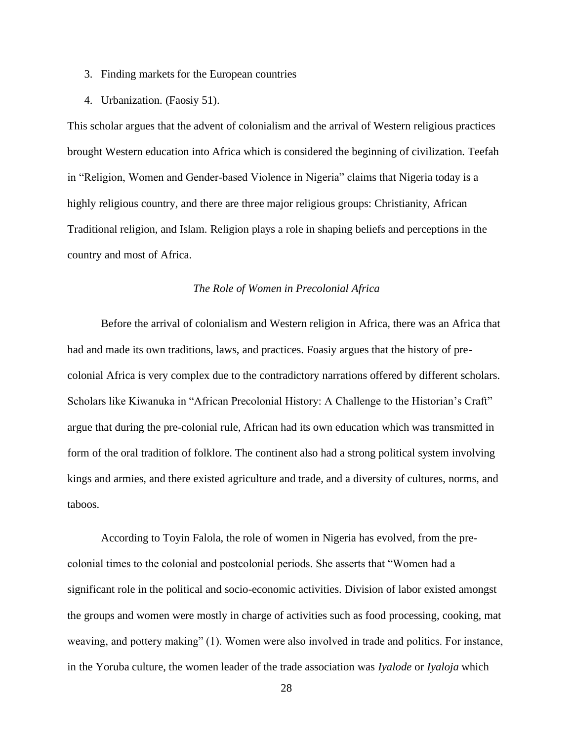- 3. Finding markets for the European countries
- 4. Urbanization. (Faosiy 51).

This scholar argues that the advent of colonialism and the arrival of Western religious practices brought Western education into Africa which is considered the beginning of civilization. Teefah in "Religion, Women and Gender-based Violence in Nigeria" claims that Nigeria today is a highly religious country, and there are three major religious groups: Christianity, African Traditional religion, and Islam. Religion plays a role in shaping beliefs and perceptions in the country and most of Africa.

# *The Role of Women in Precolonial Africa*

<span id="page-28-0"></span>Before the arrival of colonialism and Western religion in Africa, there was an Africa that had and made its own traditions, laws, and practices. Foasiy argues that the history of precolonial Africa is very complex due to the contradictory narrations offered by different scholars. Scholars like Kiwanuka in "African Precolonial History: A Challenge to the Historian's Craft" argue that during the pre-colonial rule, African had its own education which was transmitted in form of the oral tradition of folklore. The continent also had a strong political system involving kings and armies, and there existed agriculture and trade, and a diversity of cultures, norms, and taboos.

According to Toyin Falola, the role of women in Nigeria has evolved, from the precolonial times to the colonial and postcolonial periods. She asserts that "Women had a significant role in the political and socio-economic activities. Division of labor existed amongst the groups and women were mostly in charge of activities such as food processing, cooking, mat weaving, and pottery making" (1). Women were also involved in trade and politics. For instance, in the Yoruba culture, the women leader of the trade association was *Iyalode* or *Iyaloja* which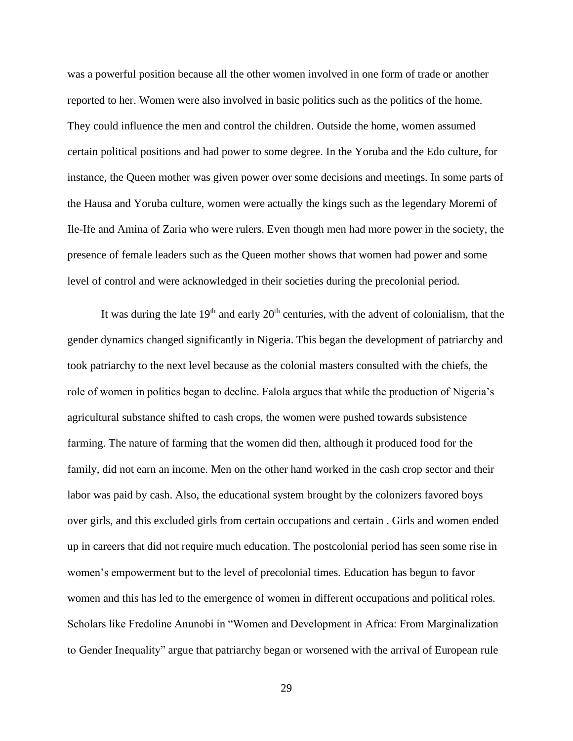was a powerful position because all the other women involved in one form of trade or another reported to her. Women were also involved in basic politics such as the politics of the home. They could influence the men and control the children. Outside the home, women assumed certain political positions and had power to some degree. In the Yoruba and the Edo culture, for instance, the Queen mother was given power over some decisions and meetings. In some parts of the Hausa and Yoruba culture, women were actually the kings such as the legendary Moremi of Ile-Ife and Amina of Zaria who were rulers. Even though men had more power in the society, the presence of female leaders such as the Queen mother shows that women had power and some level of control and were acknowledged in their societies during the precolonial period.

It was during the late  $19<sup>th</sup>$  and early  $20<sup>th</sup>$  centuries, with the advent of colonialism, that the gender dynamics changed significantly in Nigeria. This began the development of patriarchy and took patriarchy to the next level because as the colonial masters consulted with the chiefs, the role of women in politics began to decline. Falola argues that while the production of Nigeria's agricultural substance shifted to cash crops, the women were pushed towards subsistence farming. The nature of farming that the women did then, although it produced food for the family, did not earn an income. Men on the other hand worked in the cash crop sector and their labor was paid by cash. Also, the educational system brought by the colonizers favored boys over girls, and this excluded girls from certain occupations and certain . Girls and women ended up in careers that did not require much education. The postcolonial period has seen some rise in women's empowerment but to the level of precolonial times. Education has begun to favor women and this has led to the emergence of women in different occupations and political roles. Scholars like Fredoline Anunobi in "Women and Development in Africa: From Marginalization to Gender Inequality" argue that patriarchy began or worsened with the arrival of European rule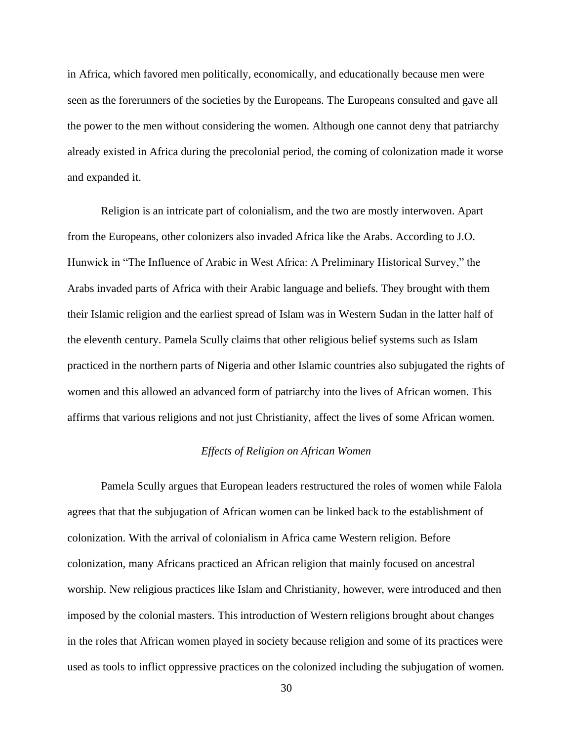in Africa, which favored men politically, economically, and educationally because men were seen as the forerunners of the societies by the Europeans. The Europeans consulted and gave all the power to the men without considering the women. Although one cannot deny that patriarchy already existed in Africa during the precolonial period, the coming of colonization made it worse and expanded it.

Religion is an intricate part of colonialism, and the two are mostly interwoven. Apart from the Europeans, other colonizers also invaded Africa like the Arabs. According to J.O. Hunwick in "The Influence of Arabic in West Africa: A Preliminary Historical Survey," the Arabs invaded parts of Africa with their Arabic language and beliefs. They brought with them their Islamic religion and the earliest spread of Islam was in Western Sudan in the latter half of the eleventh century. Pamela Scully claims that other religious belief systems such as Islam practiced in the northern parts of Nigeria and other Islamic countries also subjugated the rights of women and this allowed an advanced form of patriarchy into the lives of African women. This affirms that various religions and not just Christianity, affect the lives of some African women.

# *Effects of Religion on African Women*

<span id="page-30-0"></span>Pamela Scully argues that European leaders restructured the roles of women while Falola agrees that that the subjugation of African women can be linked back to the establishment of colonization. With the arrival of colonialism in Africa came Western religion. Before colonization, many Africans practiced an African religion that mainly focused on ancestral worship. New religious practices like Islam and Christianity, however, were introduced and then imposed by the colonial masters. This introduction of Western religions brought about changes in the roles that African women played in society because religion and some of its practices were used as tools to inflict oppressive practices on the colonized including the subjugation of women.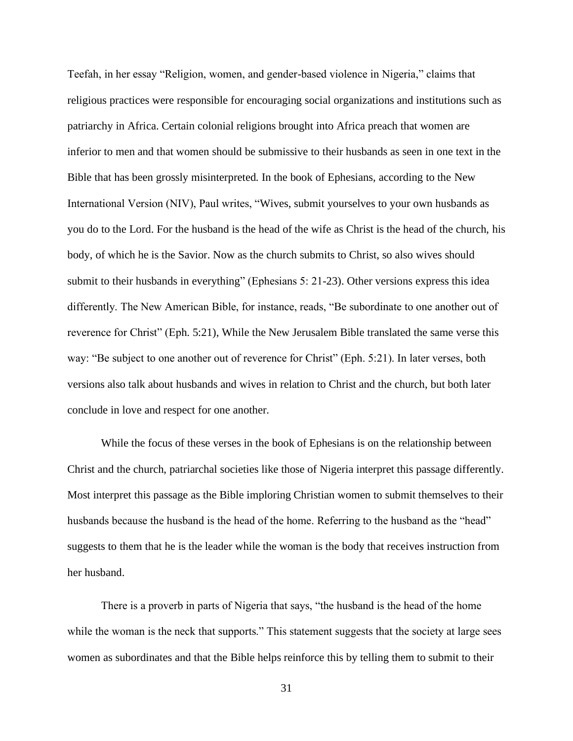Teefah, in her essay "Religion, women, and gender-based violence in Nigeria," claims that religious practices were responsible for encouraging social organizations and institutions such as patriarchy in Africa. Certain colonial religions brought into Africa preach that women are inferior to men and that women should be submissive to their husbands as seen in one text in the Bible that has been grossly misinterpreted. In the book of Ephesians, according to the New International Version (NIV), Paul writes, "Wives, submit yourselves to your own husbands as you do to the Lord. For the husband is the head of the wife as Christ is the head of the church, his body, of which he is the Savior. Now as the church submits to Christ, so also wives should submit to their husbands in everything" (Ephesians 5: 21-23). Other versions express this idea differently. The New American Bible, for instance, reads, "Be subordinate to one another out of reverence for Christ" (Eph. 5:21), While the New Jerusalem Bible translated the same verse this way: "Be subject to one another out of reverence for Christ" (Eph. 5:21). In later verses, both versions also talk about husbands and wives in relation to Christ and the church, but both later conclude in love and respect for one another.

While the focus of these verses in the book of Ephesians is on the relationship between Christ and the church, patriarchal societies like those of Nigeria interpret this passage differently. Most interpret this passage as the Bible imploring Christian women to submit themselves to their husbands because the husband is the head of the home. Referring to the husband as the "head" suggests to them that he is the leader while the woman is the body that receives instruction from her husband.

There is a proverb in parts of Nigeria that says, "the husband is the head of the home while the woman is the neck that supports." This statement suggests that the society at large sees women as subordinates and that the Bible helps reinforce this by telling them to submit to their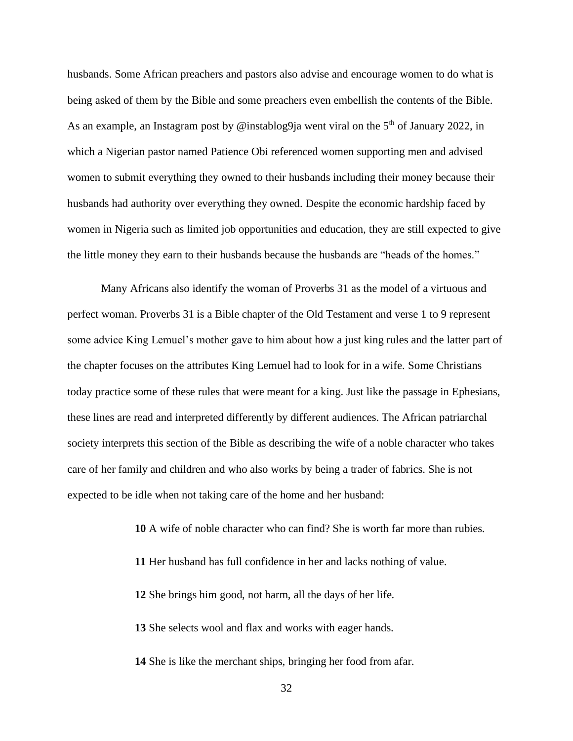husbands. Some African preachers and pastors also advise and encourage women to do what is being asked of them by the Bible and some preachers even embellish the contents of the Bible. As an example, an Instagram post by @instablog9ja went viral on the  $5<sup>th</sup>$  of January 2022, in which a Nigerian pastor named Patience Obi referenced women supporting men and advised women to submit everything they owned to their husbands including their money because their husbands had authority over everything they owned. Despite the economic hardship faced by women in Nigeria such as limited job opportunities and education, they are still expected to give the little money they earn to their husbands because the husbands are "heads of the homes."

Many Africans also identify the woman of Proverbs 31 as the model of a virtuous and perfect woman. Proverbs 31 is a Bible chapter of the Old Testament and verse 1 to 9 represent some advice King Lemuel's mother gave to him about how a just king rules and the latter part of the chapter focuses on the attributes King Lemuel had to look for in a wife. Some Christians today practice some of these rules that were meant for a king. Just like the passage in Ephesians, these lines are read and interpreted differently by different audiences. The African patriarchal society interprets this section of the Bible as describing the wife of a noble character who takes care of her family and children and who also works by being a trader of fabrics. She is not expected to be idle when not taking care of the home and her husband:

**10** A wife of noble character who can find? She is worth far more than rubies.

**11** Her husband has full confidence in her and lacks nothing of value.

**12** She brings him good, not harm, all the days of her life.

**13** She selects wool and flax and works with eager hands.

**14** She is like the merchant ships, bringing her food from afar.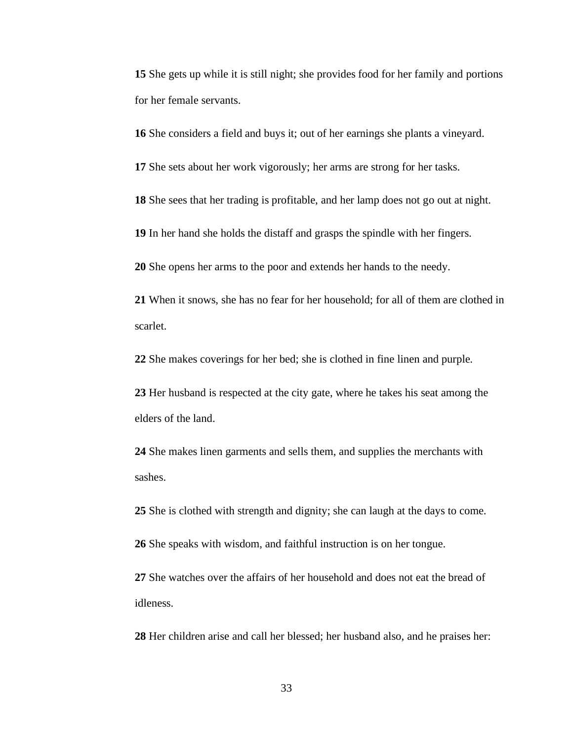She gets up while it is still night; she provides food for her family and portions for her female servants.

She considers a field and buys it; out of her earnings she plants a vineyard.

She sets about her work vigorously; her arms are strong for her tasks.

She sees that her trading is profitable, and her lamp does not go out at night.

In her hand she holds the distaff and grasps the spindle with her fingers.

She opens her arms to the poor and extends her hands to the needy.

 When it snows, she has no fear for her household; for all of them are clothed in scarlet.

She makes coverings for her bed; she is clothed in fine linen and purple.

 Her husband is respected at the city gate, where he takes his seat among the elders of the land.

 She makes linen garments and sells them, and supplies the merchants with sashes.

She is clothed with strength and dignity; she can laugh at the days to come.

She speaks with wisdom, and faithful instruction is on her tongue.

 She watches over the affairs of her household and does not eat the bread of idleness.

Her children arise and call her blessed; her husband also, and he praises her: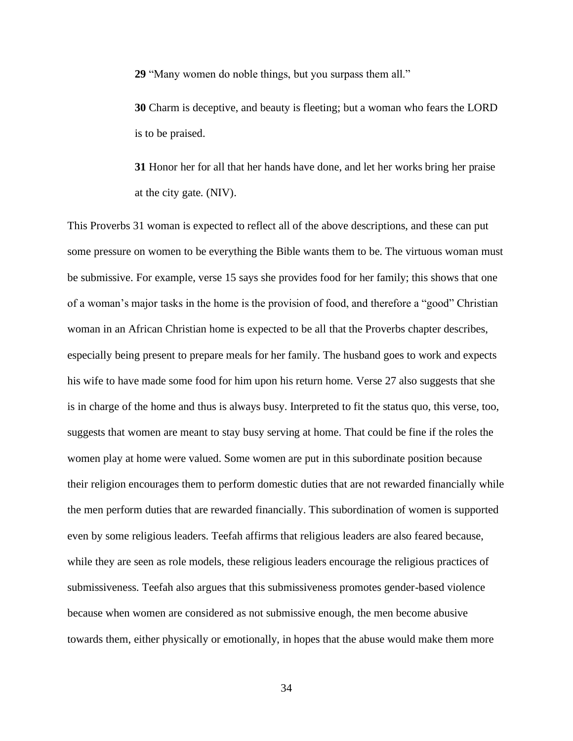**29** "Many women do noble things, but you surpass them all."

**30** Charm is deceptive, and beauty is fleeting; but a woman who fears the LORD is to be praised.

**31** Honor her for all that her hands have done, and let her works bring her praise at the city gate. (NIV).

This Proverbs 31 woman is expected to reflect all of the above descriptions, and these can put some pressure on women to be everything the Bible wants them to be. The virtuous woman must be submissive. For example, verse 15 says she provides food for her family; this shows that one of a woman's major tasks in the home is the provision of food, and therefore a "good" Christian woman in an African Christian home is expected to be all that the Proverbs chapter describes, especially being present to prepare meals for her family. The husband goes to work and expects his wife to have made some food for him upon his return home. Verse 27 also suggests that she is in charge of the home and thus is always busy. Interpreted to fit the status quo, this verse, too, suggests that women are meant to stay busy serving at home. That could be fine if the roles the women play at home were valued. Some women are put in this subordinate position because their religion encourages them to perform domestic duties that are not rewarded financially while the men perform duties that are rewarded financially. This subordination of women is supported even by some religious leaders. Teefah affirms that religious leaders are also feared because, while they are seen as role models, these religious leaders encourage the religious practices of submissiveness. Teefah also argues that this submissiveness promotes gender-based violence because when women are considered as not submissive enough, the men become abusive towards them, either physically or emotionally, in hopes that the abuse would make them more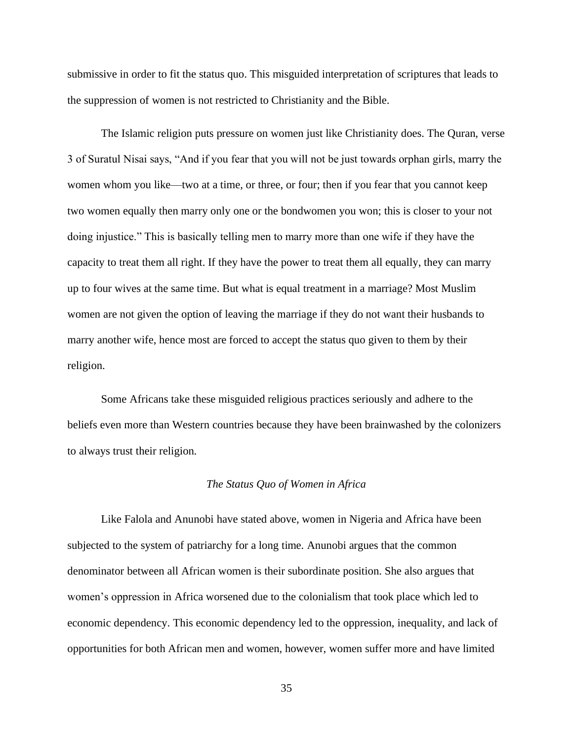submissive in order to fit the status quo. This misguided interpretation of scriptures that leads to the suppression of women is not restricted to Christianity and the Bible.

The Islamic religion puts pressure on women just like Christianity does. The Quran, verse 3 of Suratul Nisai says, "And if you fear that you will not be just towards orphan girls, marry the women whom you like—two at a time, or three, or four; then if you fear that you cannot keep two women equally then marry only one or the bondwomen you won; this is closer to your not doing injustice." This is basically telling men to marry more than one wife if they have the capacity to treat them all right. If they have the power to treat them all equally, they can marry up to four wives at the same time. But what is equal treatment in a marriage? Most Muslim women are not given the option of leaving the marriage if they do not want their husbands to marry another wife, hence most are forced to accept the status quo given to them by their religion.

Some Africans take these misguided religious practices seriously and adhere to the beliefs even more than Western countries because they have been brainwashed by the colonizers to always trust their religion.

#### *The Status Quo of Women in Africa*

<span id="page-35-0"></span>Like Falola and Anunobi have stated above, women in Nigeria and Africa have been subjected to the system of patriarchy for a long time. Anunobi argues that the common denominator between all African women is their subordinate position. She also argues that women's oppression in Africa worsened due to the colonialism that took place which led to economic dependency. This economic dependency led to the oppression, inequality, and lack of opportunities for both African men and women, however, women suffer more and have limited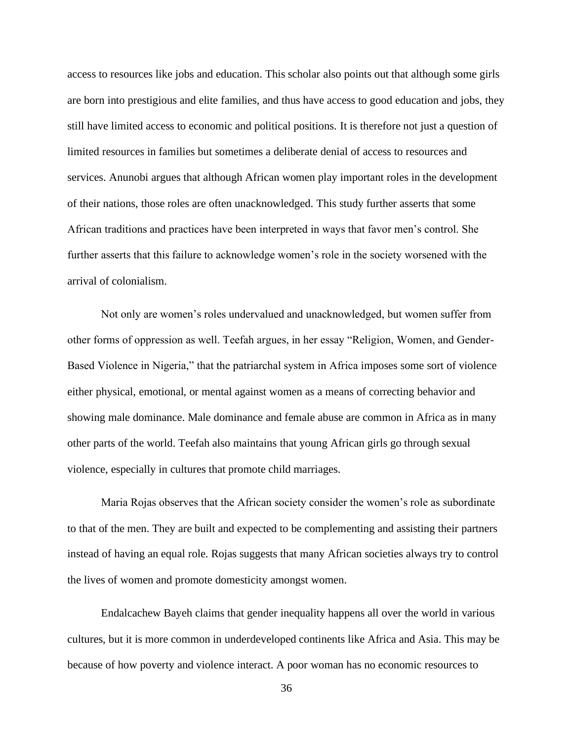access to resources like jobs and education. This scholar also points out that although some girls are born into prestigious and elite families, and thus have access to good education and jobs, they still have limited access to economic and political positions. It is therefore not just a question of limited resources in families but sometimes a deliberate denial of access to resources and services. Anunobi argues that although African women play important roles in the development of their nations, those roles are often unacknowledged. This study further asserts that some African traditions and practices have been interpreted in ways that favor men's control. She further asserts that this failure to acknowledge women's role in the society worsened with the arrival of colonialism.

Not only are women's roles undervalued and unacknowledged, but women suffer from other forms of oppression as well. Teefah argues, in her essay "Religion, Women, and Gender-Based Violence in Nigeria," that the patriarchal system in Africa imposes some sort of violence either physical, emotional, or mental against women as a means of correcting behavior and showing male dominance. Male dominance and female abuse are common in Africa as in many other parts of the world. Teefah also maintains that young African girls go through sexual violence, especially in cultures that promote child marriages.

Maria Rojas observes that the African society consider the women's role as subordinate to that of the men. They are built and expected to be complementing and assisting their partners instead of having an equal role. Rojas suggests that many African societies always try to control the lives of women and promote domesticity amongst women.

Endalcachew Bayeh claims that gender inequality happens all over the world in various cultures, but it is more common in underdeveloped continents like Africa and Asia. This may be because of how poverty and violence interact. A poor woman has no economic resources to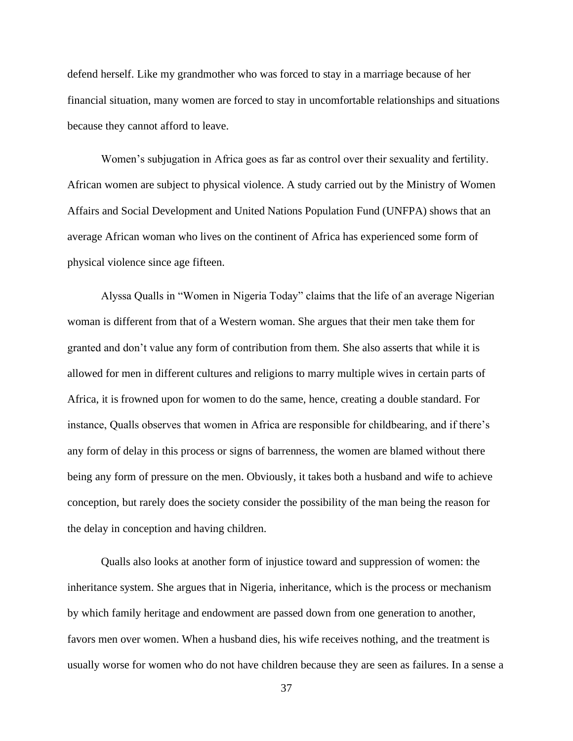defend herself. Like my grandmother who was forced to stay in a marriage because of her financial situation, many women are forced to stay in uncomfortable relationships and situations because they cannot afford to leave.

Women's subjugation in Africa goes as far as control over their sexuality and fertility. African women are subject to physical violence. A study carried out by the Ministry of Women Affairs and Social Development and United Nations Population Fund (UNFPA) shows that an average African woman who lives on the continent of Africa has experienced some form of physical violence since age fifteen.

Alyssa Qualls in "Women in Nigeria Today" claims that the life of an average Nigerian woman is different from that of a Western woman. She argues that their men take them for granted and don't value any form of contribution from them. She also asserts that while it is allowed for men in different cultures and religions to marry multiple wives in certain parts of Africa, it is frowned upon for women to do the same, hence, creating a double standard. For instance, Qualls observes that women in Africa are responsible for childbearing, and if there's any form of delay in this process or signs of barrenness, the women are blamed without there being any form of pressure on the men. Obviously, it takes both a husband and wife to achieve conception, but rarely does the society consider the possibility of the man being the reason for the delay in conception and having children.

Qualls also looks at another form of injustice toward and suppression of women: the inheritance system. She argues that in Nigeria, inheritance, which is the process or mechanism by which family heritage and endowment are passed down from one generation to another, favors men over women. When a husband dies, his wife receives nothing, and the treatment is usually worse for women who do not have children because they are seen as failures. In a sense a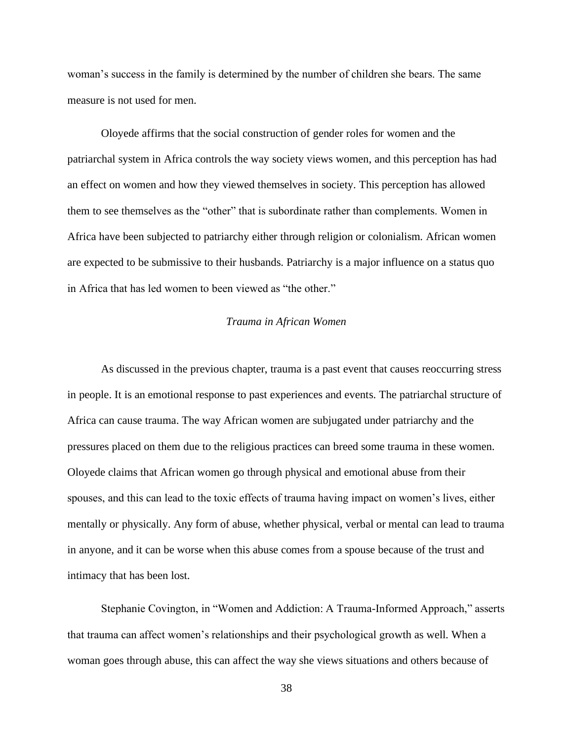woman's success in the family is determined by the number of children she bears. The same measure is not used for men.

Oloyede affirms that the social construction of gender roles for women and the patriarchal system in Africa controls the way society views women, and this perception has had an effect on women and how they viewed themselves in society. This perception has allowed them to see themselves as the "other" that is subordinate rather than complements. Women in Africa have been subjected to patriarchy either through religion or colonialism. African women are expected to be submissive to their husbands. Patriarchy is a major influence on a status quo in Africa that has led women to been viewed as "the other."

# *Trauma in African Women*

As discussed in the previous chapter, trauma is a past event that causes reoccurring stress in people. It is an emotional response to past experiences and events. The patriarchal structure of Africa can cause trauma. The way African women are subjugated under patriarchy and the pressures placed on them due to the religious practices can breed some trauma in these women. Oloyede claims that African women go through physical and emotional abuse from their spouses, and this can lead to the toxic effects of trauma having impact on women's lives, either mentally or physically. Any form of abuse, whether physical, verbal or mental can lead to trauma in anyone, and it can be worse when this abuse comes from a spouse because of the trust and intimacy that has been lost.

Stephanie Covington, in "Women and Addiction: A Trauma-Informed Approach," asserts that trauma can affect women's relationships and their psychological growth as well. When a woman goes through abuse, this can affect the way she views situations and others because of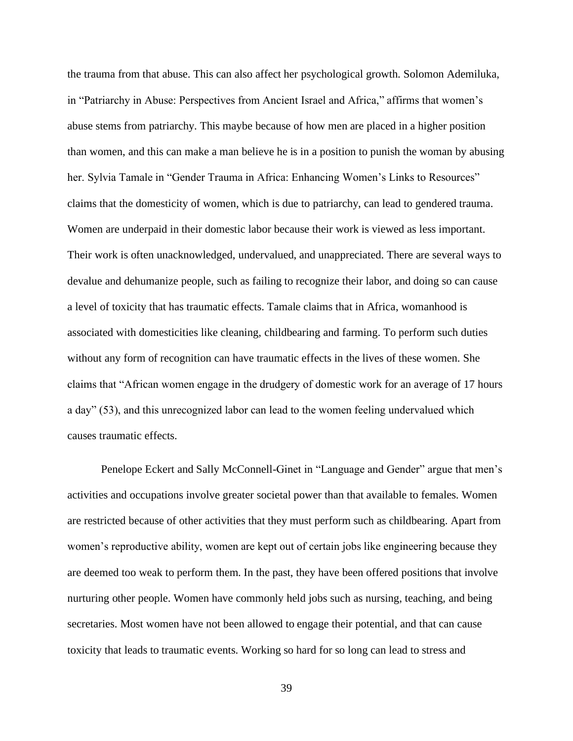the trauma from that abuse. This can also affect her psychological growth. Solomon Ademiluka, in "Patriarchy in Abuse: Perspectives from Ancient Israel and Africa," affirms that women's abuse stems from patriarchy. This maybe because of how men are placed in a higher position than women, and this can make a man believe he is in a position to punish the woman by abusing her. Sylvia Tamale in "Gender Trauma in Africa: Enhancing Women's Links to Resources" claims that the domesticity of women, which is due to patriarchy, can lead to gendered trauma. Women are underpaid in their domestic labor because their work is viewed as less important. Their work is often unacknowledged, undervalued, and unappreciated. There are several ways to devalue and dehumanize people, such as failing to recognize their labor, and doing so can cause a level of toxicity that has traumatic effects. Tamale claims that in Africa, womanhood is associated with domesticities like cleaning, childbearing and farming. To perform such duties without any form of recognition can have traumatic effects in the lives of these women. She claims that "African women engage in the drudgery of domestic work for an average of 17 hours a day" (53), and this unrecognized labor can lead to the women feeling undervalued which causes traumatic effects.

Penelope Eckert and Sally McConnell-Ginet in "Language and Gender" argue that men's activities and occupations involve greater societal power than that available to females. Women are restricted because of other activities that they must perform such as childbearing. Apart from women's reproductive ability, women are kept out of certain jobs like engineering because they are deemed too weak to perform them. In the past, they have been offered positions that involve nurturing other people. Women have commonly held jobs such as nursing, teaching, and being secretaries. Most women have not been allowed to engage their potential, and that can cause toxicity that leads to traumatic events. Working so hard for so long can lead to stress and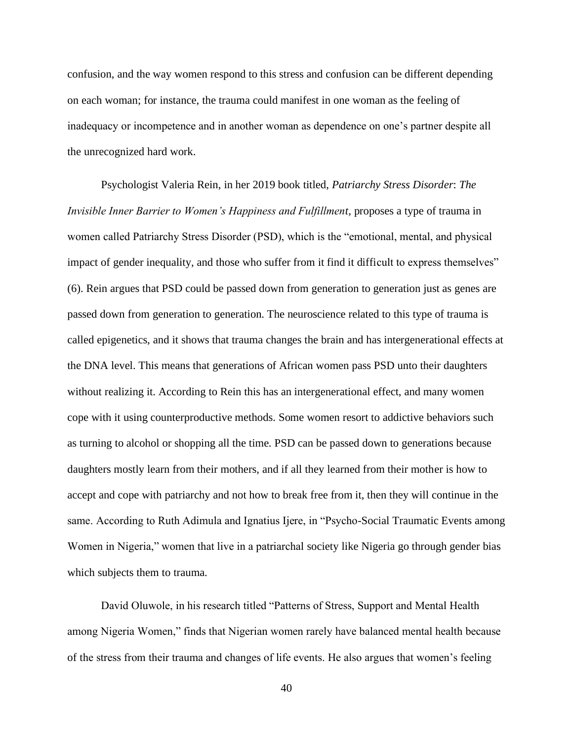confusion, and the way women respond to this stress and confusion can be different depending on each woman; for instance, the trauma could manifest in one woman as the feeling of inadequacy or incompetence and in another woman as dependence on one's partner despite all the unrecognized hard work.

Psychologist Valeria Rein, in her 2019 book titled, *Patriarchy Stress Disorder*: *The Invisible Inner Barrier to Women's Happiness and Fulfillment*, proposes a type of trauma in women called Patriarchy Stress Disorder (PSD), which is the "emotional, mental, and physical impact of gender inequality, and those who suffer from it find it difficult to express themselves" (6). Rein argues that PSD could be passed down from generation to generation just as genes are passed down from generation to generation. The neuroscience related to this type of trauma is called epigenetics, and it shows that trauma changes the brain and has intergenerational effects at the DNA level. This means that generations of African women pass PSD unto their daughters without realizing it. According to Rein this has an intergenerational effect, and many women cope with it using counterproductive methods. Some women resort to addictive behaviors such as turning to alcohol or shopping all the time. PSD can be passed down to generations because daughters mostly learn from their mothers, and if all they learned from their mother is how to accept and cope with patriarchy and not how to break free from it, then they will continue in the same. According to Ruth Adimula and Ignatius Ijere, in "Psycho-Social Traumatic Events among Women in Nigeria," women that live in a patriarchal society like Nigeria go through gender bias which subjects them to trauma.

David Oluwole, in his research titled "Patterns of Stress, Support and Mental Health among Nigeria Women," finds that Nigerian women rarely have balanced mental health because of the stress from their trauma and changes of life events. He also argues that women's feeling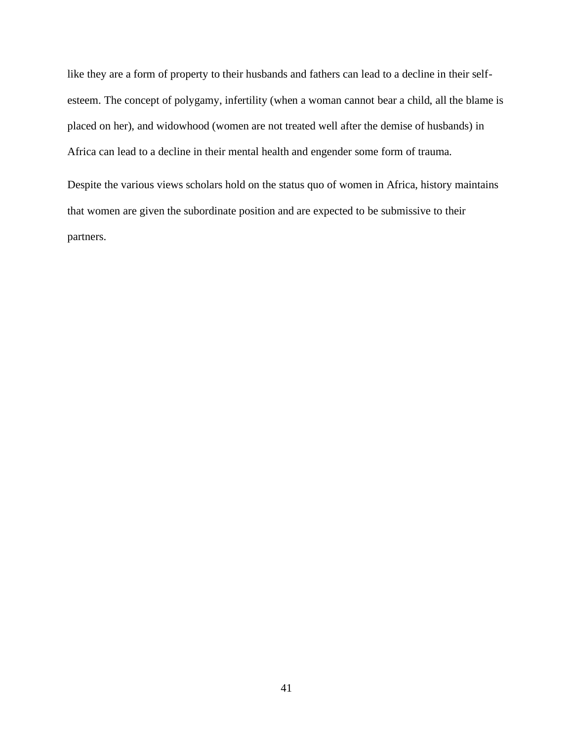like they are a form of property to their husbands and fathers can lead to a decline in their selfesteem. The concept of polygamy, infertility (when a woman cannot bear a child, all the blame is placed on her), and widowhood (women are not treated well after the demise of husbands) in Africa can lead to a decline in their mental health and engender some form of trauma.

Despite the various views scholars hold on the status quo of women in Africa, history maintains that women are given the subordinate position and are expected to be submissive to their partners.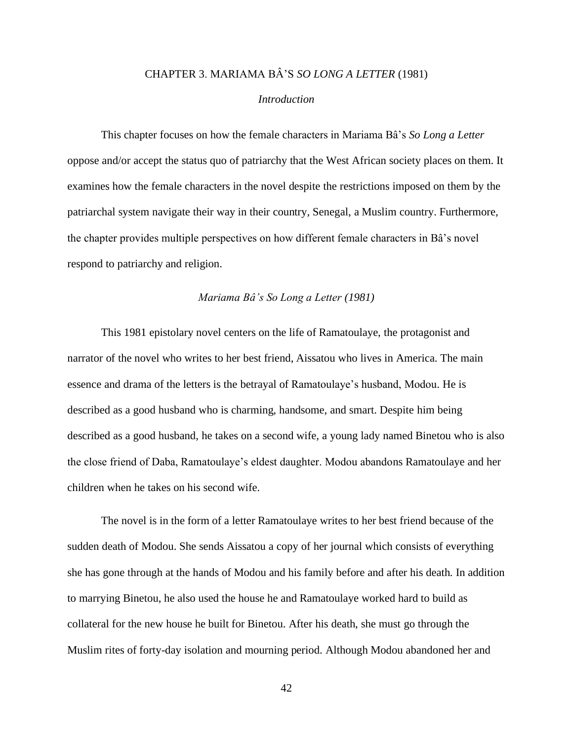# CHAPTER 3. MARIAMA BÂ'S *SO LONG A LETTER* (1981)

## *Introduction*

This chapter focuses on how the female characters in Mariama Bâ's *So Long a Letter*  oppose and/or accept the status quo of patriarchy that the West African society places on them. It examines how the female characters in the novel despite the restrictions imposed on them by the patriarchal system navigate their way in their country, Senegal, a Muslim country. Furthermore, the chapter provides multiple perspectives on how different female characters in Bâ's novel respond to patriarchy and religion.

#### *Mariama Bâ's So Long a Letter (1981)*

This 1981 epistolary novel centers on the life of Ramatoulaye, the protagonist and narrator of the novel who writes to her best friend, Aissatou who lives in America. The main essence and drama of the letters is the betrayal of Ramatoulaye's husband, Modou. He is described as a good husband who is charming, handsome, and smart. Despite him being described as a good husband, he takes on a second wife, a young lady named Binetou who is also the close friend of Daba, Ramatoulaye's eldest daughter. Modou abandons Ramatoulaye and her children when he takes on his second wife.

The novel is in the form of a letter Ramatoulaye writes to her best friend because of the sudden death of Modou. She sends Aissatou a copy of her journal which consists of everything she has gone through at the hands of Modou and his family before and after his death. In addition to marrying Binetou, he also used the house he and Ramatoulaye worked hard to build as collateral for the new house he built for Binetou. After his death, she must go through the Muslim rites of forty-day isolation and mourning period. Although Modou abandoned her and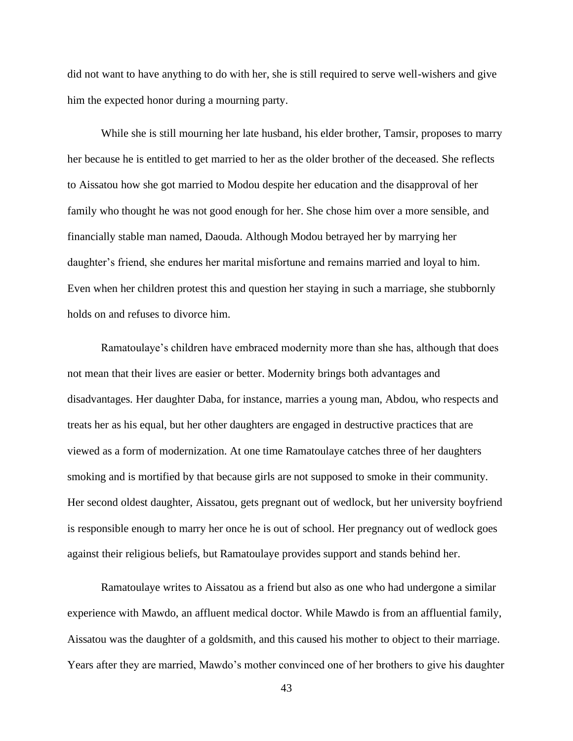did not want to have anything to do with her, she is still required to serve well-wishers and give him the expected honor during a mourning party.

While she is still mourning her late husband, his elder brother, Tamsir, proposes to marry her because he is entitled to get married to her as the older brother of the deceased. She reflects to Aissatou how she got married to Modou despite her education and the disapproval of her family who thought he was not good enough for her. She chose him over a more sensible, and financially stable man named, Daouda. Although Modou betrayed her by marrying her daughter's friend, she endures her marital misfortune and remains married and loyal to him. Even when her children protest this and question her staying in such a marriage, she stubbornly holds on and refuses to divorce him.

Ramatoulaye's children have embraced modernity more than she has, although that does not mean that their lives are easier or better. Modernity brings both advantages and disadvantages. Her daughter Daba, for instance, marries a young man, Abdou, who respects and treats her as his equal, but her other daughters are engaged in destructive practices that are viewed as a form of modernization. At one time Ramatoulaye catches three of her daughters smoking and is mortified by that because girls are not supposed to smoke in their community. Her second oldest daughter, Aissatou, gets pregnant out of wedlock, but her university boyfriend is responsible enough to marry her once he is out of school. Her pregnancy out of wedlock goes against their religious beliefs, but Ramatoulaye provides support and stands behind her.

Ramatoulaye writes to Aissatou as a friend but also as one who had undergone a similar experience with Mawdo, an affluent medical doctor. While Mawdo is from an affluential family, Aissatou was the daughter of a goldsmith, and this caused his mother to object to their marriage. Years after they are married, Mawdo's mother convinced one of her brothers to give his daughter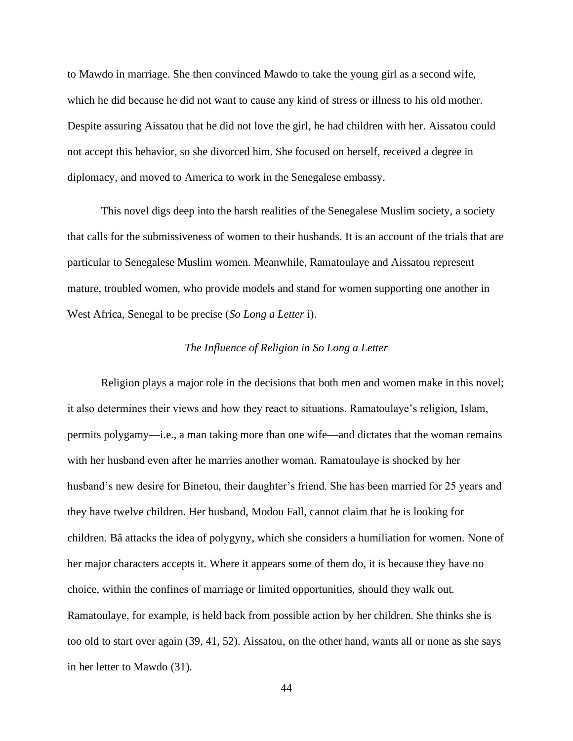to Mawdo in marriage. She then convinced Mawdo to take the young girl as a second wife, which he did because he did not want to cause any kind of stress or illness to his old mother. Despite assuring Aissatou that he did not love the girl, he had children with her. Aissatou could not accept this behavior, so she divorced him. She focused on herself, received a degree in diplomacy, and moved to America to work in the Senegalese embassy.

This novel digs deep into the harsh realities of the Senegalese Muslim society, a society that calls for the submissiveness of women to their husbands. It is an account of the trials that are particular to Senegalese Muslim women. Meanwhile, Ramatoulaye and Aissatou represent mature, troubled women, who provide models and stand for women supporting one another in West Africa, Senegal to be precise (*So Long a Letter* i).

### *The Influence of Religion in So Long a Letter*

Religion plays a major role in the decisions that both men and women make in this novel; it also determines their views and how they react to situations. Ramatoulaye's religion, Islam, permits polygamy—i.e., a man taking more than one wife—and dictates that the woman remains with her husband even after he marries another woman. Ramatoulaye is shocked by her husband's new desire for Binetou, their daughter's friend. She has been married for 25 years and they have twelve children. Her husband, Modou Fall, cannot claim that he is looking for children. Bâ attacks the idea of polygyny, which she considers a humiliation for women. None of her major characters accepts it. Where it appears some of them do, it is because they have no choice, within the confines of marriage or limited opportunities, should they walk out. Ramatoulaye, for example, is held back from possible action by her children. She thinks she is too old to start over again (39, 41, 52). Aissatou, on the other hand, wants all or none as she says in her letter to Mawdo (31).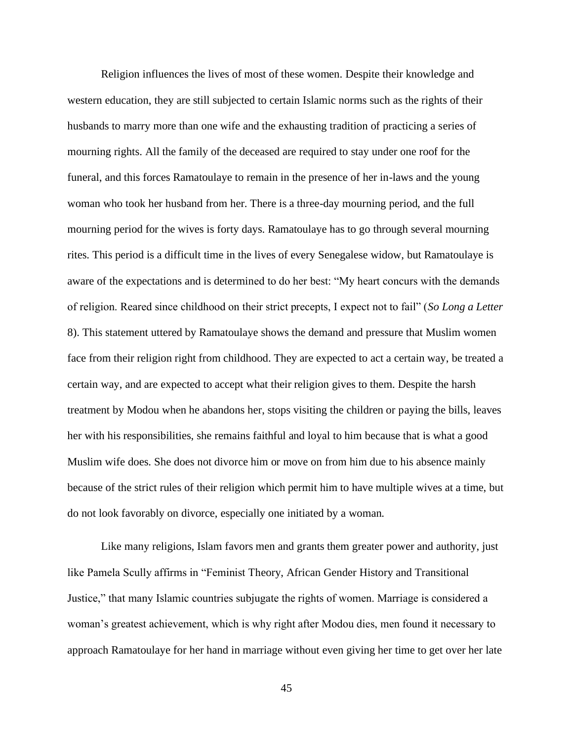Religion influences the lives of most of these women. Despite their knowledge and western education, they are still subjected to certain Islamic norms such as the rights of their husbands to marry more than one wife and the exhausting tradition of practicing a series of mourning rights. All the family of the deceased are required to stay under one roof for the funeral, and this forces Ramatoulaye to remain in the presence of her in-laws and the young woman who took her husband from her. There is a three-day mourning period, and the full mourning period for the wives is forty days. Ramatoulaye has to go through several mourning rites. This period is a difficult time in the lives of every Senegalese widow, but Ramatoulaye is aware of the expectations and is determined to do her best: "My heart concurs with the demands of religion. Reared since childhood on their strict precepts, I expect not to fail" (*So Long a Letter* 8). This statement uttered by Ramatoulaye shows the demand and pressure that Muslim women face from their religion right from childhood. They are expected to act a certain way, be treated a certain way, and are expected to accept what their religion gives to them. Despite the harsh treatment by Modou when he abandons her, stops visiting the children or paying the bills, leaves her with his responsibilities, she remains faithful and loyal to him because that is what a good Muslim wife does. She does not divorce him or move on from him due to his absence mainly because of the strict rules of their religion which permit him to have multiple wives at a time, but do not look favorably on divorce, especially one initiated by a woman.

Like many religions, Islam favors men and grants them greater power and authority, just like Pamela Scully affirms in "Feminist Theory, African Gender History and Transitional Justice," that many Islamic countries subjugate the rights of women. Marriage is considered a woman's greatest achievement, which is why right after Modou dies, men found it necessary to approach Ramatoulaye for her hand in marriage without even giving her time to get over her late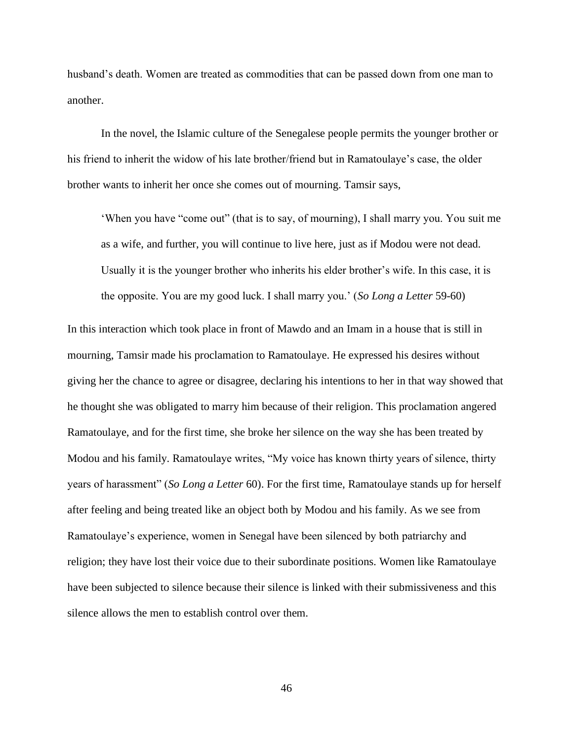husband's death. Women are treated as commodities that can be passed down from one man to another.

In the novel, the Islamic culture of the Senegalese people permits the younger brother or his friend to inherit the widow of his late brother/friend but in Ramatoulaye's case, the older brother wants to inherit her once she comes out of mourning. Tamsir says,

'When you have "come out" (that is to say, of mourning), I shall marry you. You suit me as a wife, and further, you will continue to live here, just as if Modou were not dead. Usually it is the younger brother who inherits his elder brother's wife. In this case, it is the opposite. You are my good luck. I shall marry you.' (*So Long a Letter* 59-60)

In this interaction which took place in front of Mawdo and an Imam in a house that is still in mourning, Tamsir made his proclamation to Ramatoulaye. He expressed his desires without giving her the chance to agree or disagree, declaring his intentions to her in that way showed that he thought she was obligated to marry him because of their religion. This proclamation angered Ramatoulaye, and for the first time, she broke her silence on the way she has been treated by Modou and his family. Ramatoulaye writes, "My voice has known thirty years of silence, thirty years of harassment" (*So Long a Letter* 60). For the first time, Ramatoulaye stands up for herself after feeling and being treated like an object both by Modou and his family. As we see from Ramatoulaye's experience, women in Senegal have been silenced by both patriarchy and religion; they have lost their voice due to their subordinate positions. Women like Ramatoulaye have been subjected to silence because their silence is linked with their submissiveness and this silence allows the men to establish control over them.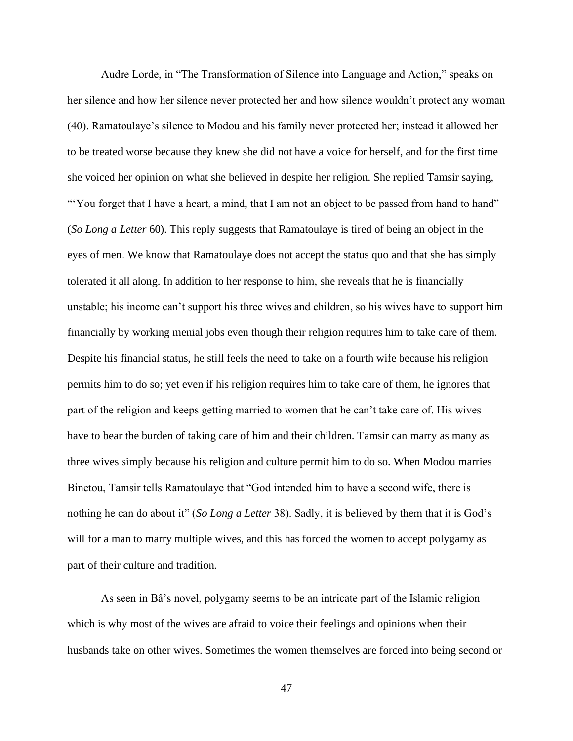Audre Lorde, in "The Transformation of Silence into Language and Action," speaks on her silence and how her silence never protected her and how silence wouldn't protect any woman (40). Ramatoulaye's silence to Modou and his family never protected her; instead it allowed her to be treated worse because they knew she did not have a voice for herself, and for the first time she voiced her opinion on what she believed in despite her religion. She replied Tamsir saying, "You forget that I have a heart, a mind, that I am not an object to be passed from hand to hand" (*So Long a Letter* 60). This reply suggests that Ramatoulaye is tired of being an object in the eyes of men. We know that Ramatoulaye does not accept the status quo and that she has simply tolerated it all along. In addition to her response to him, she reveals that he is financially unstable; his income can't support his three wives and children, so his wives have to support him financially by working menial jobs even though their religion requires him to take care of them. Despite his financial status, he still feels the need to take on a fourth wife because his religion permits him to do so; yet even if his religion requires him to take care of them, he ignores that part of the religion and keeps getting married to women that he can't take care of. His wives have to bear the burden of taking care of him and their children. Tamsir can marry as many as three wives simply because his religion and culture permit him to do so. When Modou marries Binetou, Tamsir tells Ramatoulaye that "God intended him to have a second wife, there is nothing he can do about it" (*So Long a Letter* 38). Sadly, it is believed by them that it is God's will for a man to marry multiple wives, and this has forced the women to accept polygamy as part of their culture and tradition.

As seen in Bâ's novel, polygamy seems to be an intricate part of the Islamic religion which is why most of the wives are afraid to voice their feelings and opinions when their husbands take on other wives. Sometimes the women themselves are forced into being second or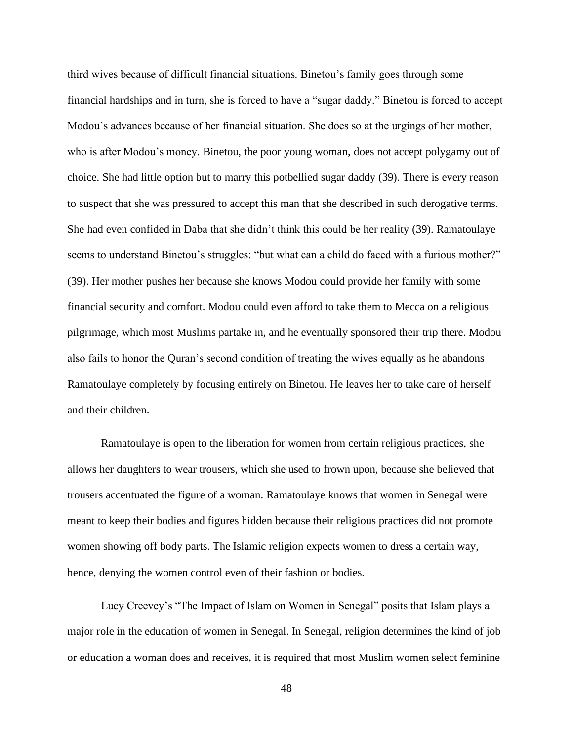third wives because of difficult financial situations. Binetou's family goes through some financial hardships and in turn, she is forced to have a "sugar daddy." Binetou is forced to accept Modou's advances because of her financial situation. She does so at the urgings of her mother, who is after Modou's money. Binetou, the poor young woman, does not accept polygamy out of choice. She had little option but to marry this potbellied sugar daddy (39). There is every reason to suspect that she was pressured to accept this man that she described in such derogative terms. She had even confided in Daba that she didn't think this could be her reality (39). Ramatoulaye seems to understand Binetou's struggles: "but what can a child do faced with a furious mother?" (39). Her mother pushes her because she knows Modou could provide her family with some financial security and comfort. Modou could even afford to take them to Mecca on a religious pilgrimage, which most Muslims partake in, and he eventually sponsored their trip there. Modou also fails to honor the Quran's second condition of treating the wives equally as he abandons Ramatoulaye completely by focusing entirely on Binetou. He leaves her to take care of herself and their children.

Ramatoulaye is open to the liberation for women from certain religious practices, she allows her daughters to wear trousers, which she used to frown upon, because she believed that trousers accentuated the figure of a woman. Ramatoulaye knows that women in Senegal were meant to keep their bodies and figures hidden because their religious practices did not promote women showing off body parts. The Islamic religion expects women to dress a certain way, hence, denying the women control even of their fashion or bodies.

Lucy Creevey's "The Impact of Islam on Women in Senegal" posits that Islam plays a major role in the education of women in Senegal. In Senegal, religion determines the kind of job or education a woman does and receives, it is required that most Muslim women select feminine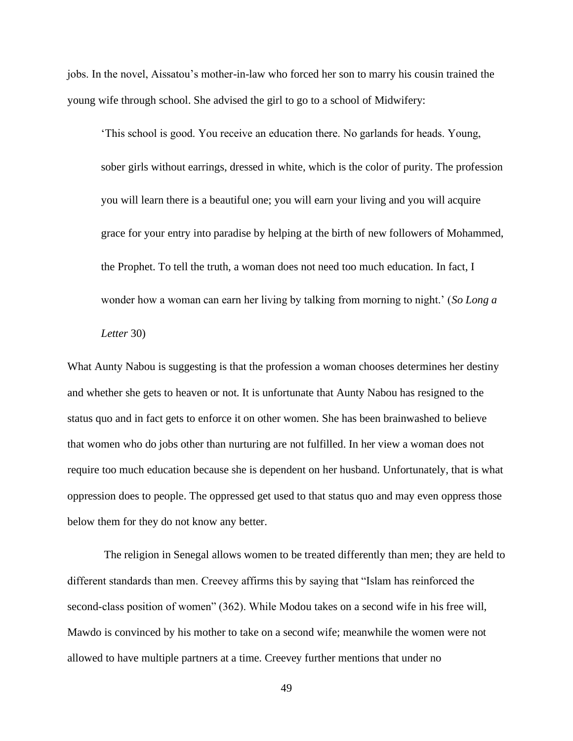jobs. In the novel, Aissatou's mother-in-law who forced her son to marry his cousin trained the young wife through school. She advised the girl to go to a school of Midwifery:

'This school is good. You receive an education there. No garlands for heads. Young, sober girls without earrings, dressed in white, which is the color of purity. The profession you will learn there is a beautiful one; you will earn your living and you will acquire grace for your entry into paradise by helping at the birth of new followers of Mohammed, the Prophet. To tell the truth, a woman does not need too much education. In fact, I wonder how a woman can earn her living by talking from morning to night.' (*So Long a* 

## *Letter* 30)

What Aunty Nabou is suggesting is that the profession a woman chooses determines her destiny and whether she gets to heaven or not. It is unfortunate that Aunty Nabou has resigned to the status quo and in fact gets to enforce it on other women. She has been brainwashed to believe that women who do jobs other than nurturing are not fulfilled. In her view a woman does not require too much education because she is dependent on her husband. Unfortunately, that is what oppression does to people. The oppressed get used to that status quo and may even oppress those below them for they do not know any better.

The religion in Senegal allows women to be treated differently than men; they are held to different standards than men. Creevey affirms this by saying that "Islam has reinforced the second-class position of women" (362). While Modou takes on a second wife in his free will, Mawdo is convinced by his mother to take on a second wife; meanwhile the women were not allowed to have multiple partners at a time. Creevey further mentions that under no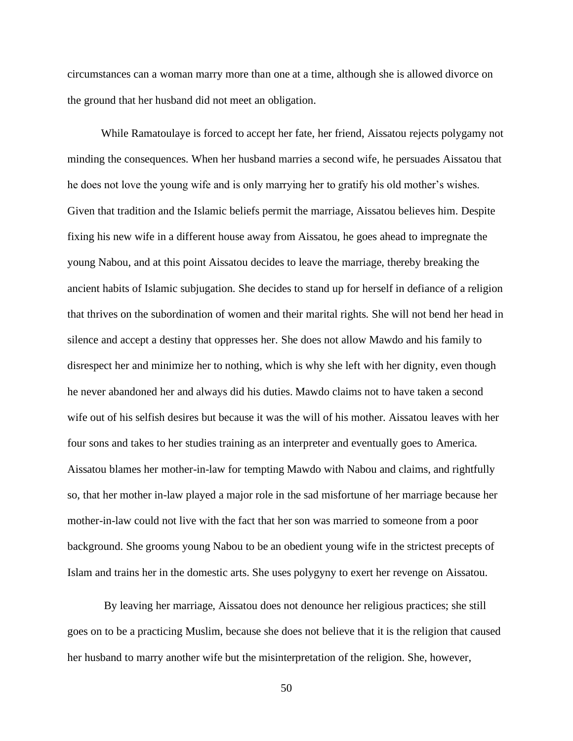circumstances can a woman marry more than one at a time, although she is allowed divorce on the ground that her husband did not meet an obligation.

While Ramatoulaye is forced to accept her fate, her friend, Aissatou rejects polygamy not minding the consequences. When her husband marries a second wife, he persuades Aissatou that he does not love the young wife and is only marrying her to gratify his old mother's wishes. Given that tradition and the Islamic beliefs permit the marriage, Aissatou believes him. Despite fixing his new wife in a different house away from Aissatou, he goes ahead to impregnate the young Nabou, and at this point Aissatou decides to leave the marriage, thereby breaking the ancient habits of Islamic subjugation. She decides to stand up for herself in defiance of a religion that thrives on the subordination of women and their marital rights. She will not bend her head in silence and accept a destiny that oppresses her. She does not allow Mawdo and his family to disrespect her and minimize her to nothing, which is why she left with her dignity, even though he never abandoned her and always did his duties. Mawdo claims not to have taken a second wife out of his selfish desires but because it was the will of his mother. Aissatou leaves with her four sons and takes to her studies training as an interpreter and eventually goes to America. Aissatou blames her mother-in-law for tempting Mawdo with Nabou and claims, and rightfully so, that her mother in-law played a major role in the sad misfortune of her marriage because her mother-in-law could not live with the fact that her son was married to someone from a poor background. She grooms young Nabou to be an obedient young wife in the strictest precepts of Islam and trains her in the domestic arts. She uses polygyny to exert her revenge on Aissatou.

By leaving her marriage, Aissatou does not denounce her religious practices; she still goes on to be a practicing Muslim, because she does not believe that it is the religion that caused her husband to marry another wife but the misinterpretation of the religion. She, however,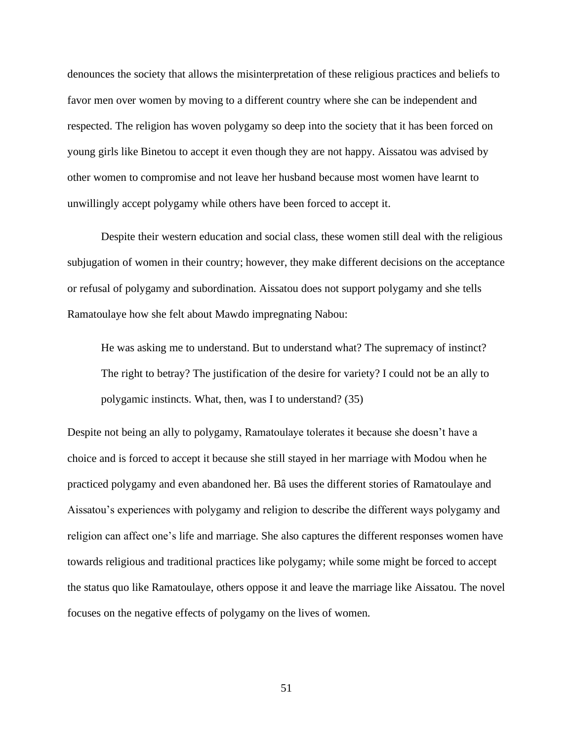denounces the society that allows the misinterpretation of these religious practices and beliefs to favor men over women by moving to a different country where she can be independent and respected. The religion has woven polygamy so deep into the society that it has been forced on young girls like Binetou to accept it even though they are not happy. Aissatou was advised by other women to compromise and not leave her husband because most women have learnt to unwillingly accept polygamy while others have been forced to accept it.

Despite their western education and social class, these women still deal with the religious subjugation of women in their country; however, they make different decisions on the acceptance or refusal of polygamy and subordination. Aissatou does not support polygamy and she tells Ramatoulaye how she felt about Mawdo impregnating Nabou:

He was asking me to understand. But to understand what? The supremacy of instinct? The right to betray? The justification of the desire for variety? I could not be an ally to polygamic instincts. What, then, was I to understand? (35)

Despite not being an ally to polygamy, Ramatoulaye tolerates it because she doesn't have a choice and is forced to accept it because she still stayed in her marriage with Modou when he practiced polygamy and even abandoned her. Bâ uses the different stories of Ramatoulaye and Aissatou's experiences with polygamy and religion to describe the different ways polygamy and religion can affect one's life and marriage. She also captures the different responses women have towards religious and traditional practices like polygamy; while some might be forced to accept the status quo like Ramatoulaye, others oppose it and leave the marriage like Aissatou. The novel focuses on the negative effects of polygamy on the lives of women.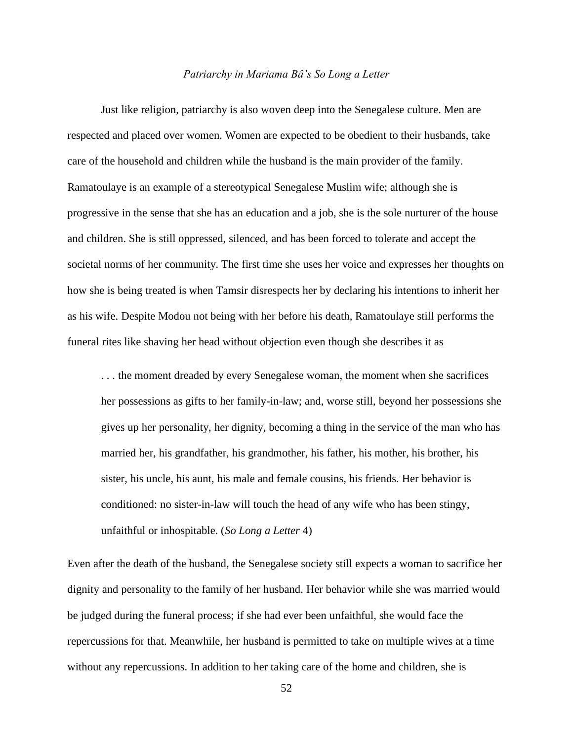#### *Patriarchy in Mariama Bâ's So Long a Letter*

Just like religion, patriarchy is also woven deep into the Senegalese culture. Men are respected and placed over women. Women are expected to be obedient to their husbands, take care of the household and children while the husband is the main provider of the family. Ramatoulaye is an example of a stereotypical Senegalese Muslim wife; although she is progressive in the sense that she has an education and a job, she is the sole nurturer of the house and children. She is still oppressed, silenced, and has been forced to tolerate and accept the societal norms of her community. The first time she uses her voice and expresses her thoughts on how she is being treated is when Tamsir disrespects her by declaring his intentions to inherit her as his wife. Despite Modou not being with her before his death, Ramatoulaye still performs the funeral rites like shaving her head without objection even though she describes it as

. . . the moment dreaded by every Senegalese woman, the moment when she sacrifices her possessions as gifts to her family-in-law; and, worse still, beyond her possessions she gives up her personality, her dignity, becoming a thing in the service of the man who has married her, his grandfather, his grandmother, his father, his mother, his brother, his sister, his uncle, his aunt, his male and female cousins, his friends. Her behavior is conditioned: no sister-in-law will touch the head of any wife who has been stingy, unfaithful or inhospitable. (*So Long a Letter* 4)

Even after the death of the husband, the Senegalese society still expects a woman to sacrifice her dignity and personality to the family of her husband. Her behavior while she was married would be judged during the funeral process; if she had ever been unfaithful, she would face the repercussions for that. Meanwhile, her husband is permitted to take on multiple wives at a time without any repercussions. In addition to her taking care of the home and children, she is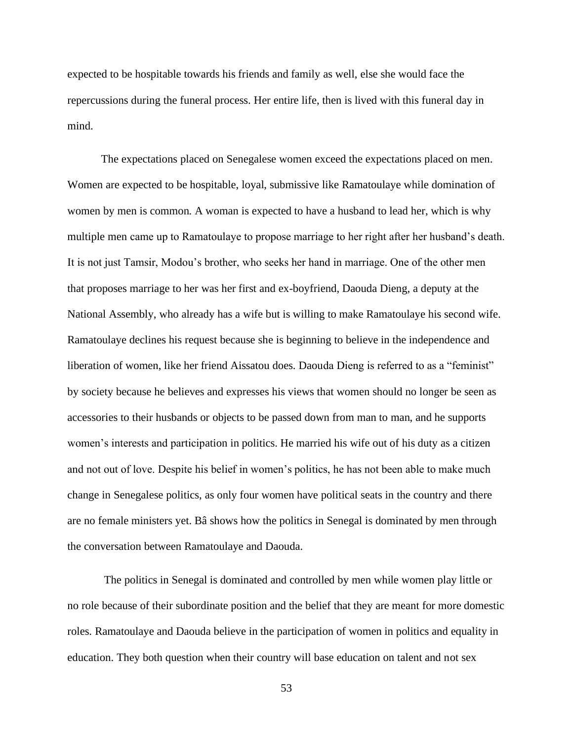expected to be hospitable towards his friends and family as well, else she would face the repercussions during the funeral process. Her entire life, then is lived with this funeral day in mind.

The expectations placed on Senegalese women exceed the expectations placed on men. Women are expected to be hospitable, loyal, submissive like Ramatoulaye while domination of women by men is common. A woman is expected to have a husband to lead her, which is why multiple men came up to Ramatoulaye to propose marriage to her right after her husband's death. It is not just Tamsir, Modou's brother, who seeks her hand in marriage. One of the other men that proposes marriage to her was her first and ex-boyfriend, Daouda Dieng, a deputy at the National Assembly, who already has a wife but is willing to make Ramatoulaye his second wife. Ramatoulaye declines his request because she is beginning to believe in the independence and liberation of women, like her friend Aissatou does. Daouda Dieng is referred to as a "feminist" by society because he believes and expresses his views that women should no longer be seen as accessories to their husbands or objects to be passed down from man to man, and he supports women's interests and participation in politics. He married his wife out of his duty as a citizen and not out of love. Despite his belief in women's politics, he has not been able to make much change in Senegalese politics, as only four women have political seats in the country and there are no female ministers yet. Bâ shows how the politics in Senegal is dominated by men through the conversation between Ramatoulaye and Daouda.

The politics in Senegal is dominated and controlled by men while women play little or no role because of their subordinate position and the belief that they are meant for more domestic roles. Ramatoulaye and Daouda believe in the participation of women in politics and equality in education. They both question when their country will base education on talent and not sex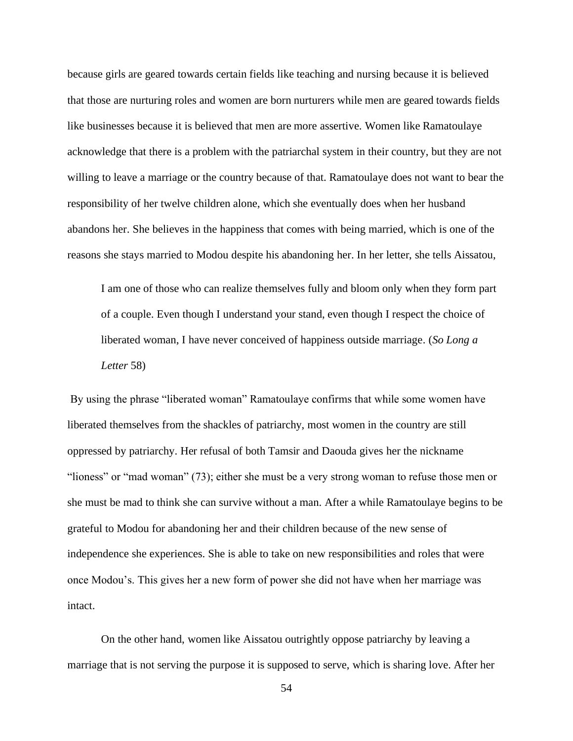because girls are geared towards certain fields like teaching and nursing because it is believed that those are nurturing roles and women are born nurturers while men are geared towards fields like businesses because it is believed that men are more assertive. Women like Ramatoulaye acknowledge that there is a problem with the patriarchal system in their country, but they are not willing to leave a marriage or the country because of that. Ramatoulaye does not want to bear the responsibility of her twelve children alone, which she eventually does when her husband abandons her. She believes in the happiness that comes with being married, which is one of the reasons she stays married to Modou despite his abandoning her. In her letter, she tells Aissatou,

I am one of those who can realize themselves fully and bloom only when they form part of a couple. Even though I understand your stand, even though I respect the choice of liberated woman, I have never conceived of happiness outside marriage. (*So Long a Letter* 58)

By using the phrase "liberated woman" Ramatoulaye confirms that while some women have liberated themselves from the shackles of patriarchy, most women in the country are still oppressed by patriarchy. Her refusal of both Tamsir and Daouda gives her the nickname "lioness" or "mad woman" (73); either she must be a very strong woman to refuse those men or she must be mad to think she can survive without a man. After a while Ramatoulaye begins to be grateful to Modou for abandoning her and their children because of the new sense of independence she experiences. She is able to take on new responsibilities and roles that were once Modou's. This gives her a new form of power she did not have when her marriage was intact.

On the other hand, women like Aissatou outrightly oppose patriarchy by leaving a marriage that is not serving the purpose it is supposed to serve, which is sharing love. After her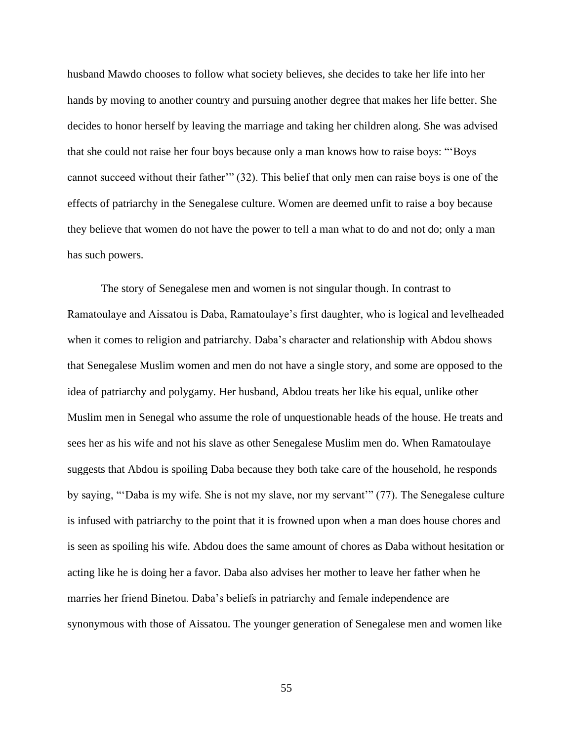husband Mawdo chooses to follow what society believes, she decides to take her life into her hands by moving to another country and pursuing another degree that makes her life better. She decides to honor herself by leaving the marriage and taking her children along. She was advised that she could not raise her four boys because only a man knows how to raise boys: "'Boys cannot succeed without their father" (32). This belief that only men can raise boys is one of the effects of patriarchy in the Senegalese culture. Women are deemed unfit to raise a boy because they believe that women do not have the power to tell a man what to do and not do; only a man has such powers.

The story of Senegalese men and women is not singular though. In contrast to Ramatoulaye and Aissatou is Daba, Ramatoulaye's first daughter, who is logical and levelheaded when it comes to religion and patriarchy. Daba's character and relationship with Abdou shows that Senegalese Muslim women and men do not have a single story, and some are opposed to the idea of patriarchy and polygamy. Her husband, Abdou treats her like his equal, unlike other Muslim men in Senegal who assume the role of unquestionable heads of the house. He treats and sees her as his wife and not his slave as other Senegalese Muslim men do. When Ramatoulaye suggests that Abdou is spoiling Daba because they both take care of the household, he responds by saying, "'Daba is my wife. She is not my slave, nor my servant'" (77). The Senegalese culture is infused with patriarchy to the point that it is frowned upon when a man does house chores and is seen as spoiling his wife. Abdou does the same amount of chores as Daba without hesitation or acting like he is doing her a favor. Daba also advises her mother to leave her father when he marries her friend Binetou. Daba's beliefs in patriarchy and female independence are synonymous with those of Aissatou. The younger generation of Senegalese men and women like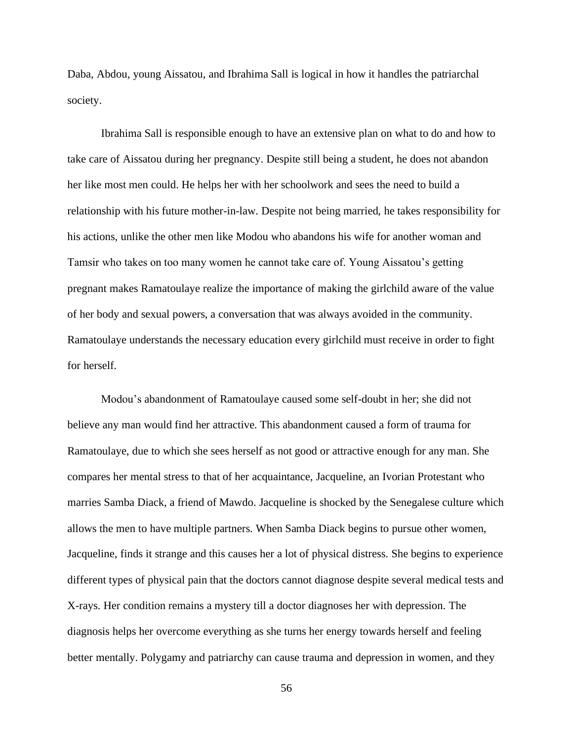Daba, Abdou, young Aissatou, and Ibrahima Sall is logical in how it handles the patriarchal society.

Ibrahima Sall is responsible enough to have an extensive plan on what to do and how to take care of Aissatou during her pregnancy. Despite still being a student, he does not abandon her like most men could. He helps her with her schoolwork and sees the need to build a relationship with his future mother-in-law. Despite not being married, he takes responsibility for his actions, unlike the other men like Modou who abandons his wife for another woman and Tamsir who takes on too many women he cannot take care of. Young Aissatou's getting pregnant makes Ramatoulaye realize the importance of making the girlchild aware of the value of her body and sexual powers, a conversation that was always avoided in the community. Ramatoulaye understands the necessary education every girlchild must receive in order to fight for herself.

Modou's abandonment of Ramatoulaye caused some self-doubt in her; she did not believe any man would find her attractive. This abandonment caused a form of trauma for Ramatoulaye, due to which she sees herself as not good or attractive enough for any man. She compares her mental stress to that of her acquaintance, Jacqueline, an Ivorian Protestant who marries Samba Diack, a friend of Mawdo. Jacqueline is shocked by the Senegalese culture which allows the men to have multiple partners. When Samba Diack begins to pursue other women, Jacqueline, finds it strange and this causes her a lot of physical distress. She begins to experience different types of physical pain that the doctors cannot diagnose despite several medical tests and X-rays. Her condition remains a mystery till a doctor diagnoses her with depression. The diagnosis helps her overcome everything as she turns her energy towards herself and feeling better mentally. Polygamy and patriarchy can cause trauma and depression in women, and they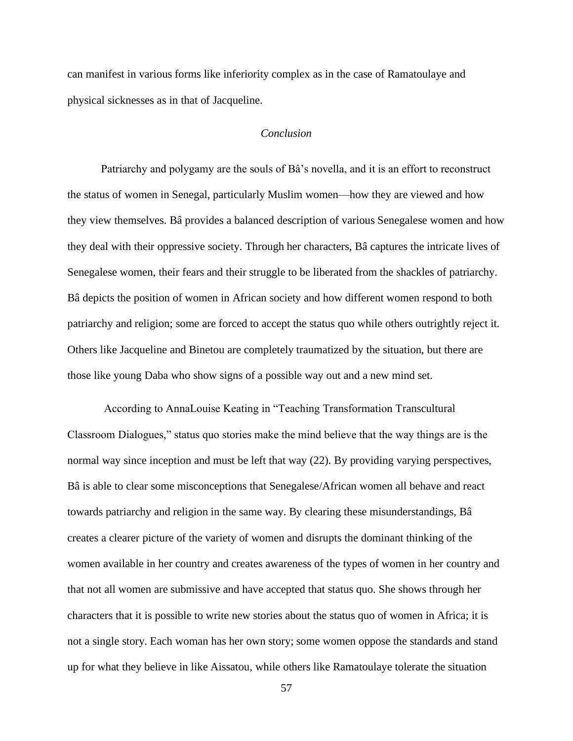can manifest in various forms like inferiority complex as in the case of Ramatoulaye and physical sicknesses as in that of Jacqueline.

## *Conclusion*

Patriarchy and polygamy are the souls of Bâ's novella, and it is an effort to reconstruct the status of women in Senegal, particularly Muslim women—how they are viewed and how they view themselves. Bâ provides a balanced description of various Senegalese women and how they deal with their oppressive society. Through her characters, Bâ captures the intricate lives of Senegalese women, their fears and their struggle to be liberated from the shackles of patriarchy. Bâ depicts the position of women in African society and how different women respond to both patriarchy and religion; some are forced to accept the status quo while others outrightly reject it. Others like Jacqueline and Binetou are completely traumatized by the situation, but there are those like young Daba who show signs of a possible way out and a new mind set.

According to AnnaLouise Keating in "Teaching Transformation Transcultural Classroom Dialogues," status quo stories make the mind believe that the way things are is the normal way since inception and must be left that way (22). By providing varying perspectives, Bâ is able to clear some misconceptions that Senegalese/African women all behave and react towards patriarchy and religion in the same way. By clearing these misunderstandings, Bâ creates a clearer picture of the variety of women and disrupts the dominant thinking of the women available in her country and creates awareness of the types of women in her country and that not all women are submissive and have accepted that status quo. She shows through her characters that it is possible to write new stories about the status quo of women in Africa; it is not a single story. Each woman has her own story; some women oppose the standards and stand up for what they believe in like Aissatou, while others like Ramatoulaye tolerate the situation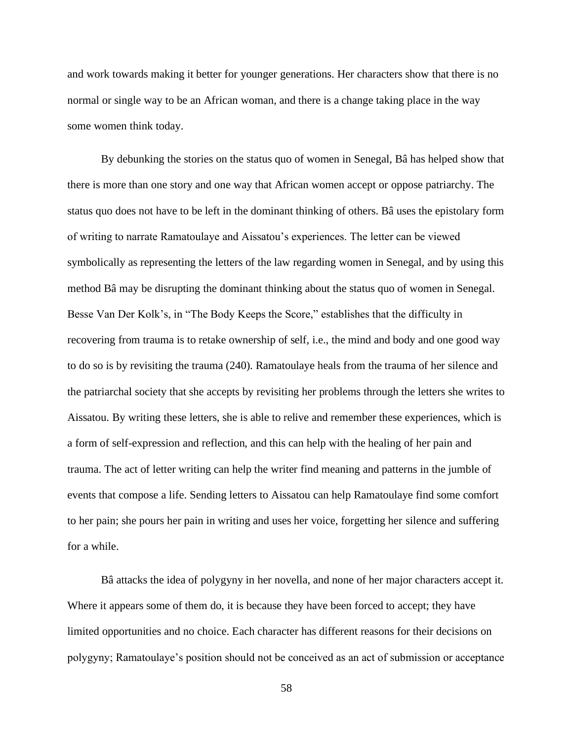and work towards making it better for younger generations. Her characters show that there is no normal or single way to be an African woman, and there is a change taking place in the way some women think today.

By debunking the stories on the status quo of women in Senegal, Bâ has helped show that there is more than one story and one way that African women accept or oppose patriarchy. The status quo does not have to be left in the dominant thinking of others. Bâ uses the epistolary form of writing to narrate Ramatoulaye and Aissatou's experiences. The letter can be viewed symbolically as representing the letters of the law regarding women in Senegal, and by using this method Bâ may be disrupting the dominant thinking about the status quo of women in Senegal. Besse Van Der Kolk's, in "The Body Keeps the Score," establishes that the difficulty in recovering from trauma is to retake ownership of self, i.e., the mind and body and one good way to do so is by revisiting the trauma (240). Ramatoulaye heals from the trauma of her silence and the patriarchal society that she accepts by revisiting her problems through the letters she writes to Aissatou. By writing these letters, she is able to relive and remember these experiences, which is a form of self-expression and reflection, and this can help with the healing of her pain and trauma. The act of letter writing can help the writer find meaning and patterns in the jumble of events that compose a life. Sending letters to Aissatou can help Ramatoulaye find some comfort to her pain; she pours her pain in writing and uses her voice, forgetting her silence and suffering for a while.

Bâ attacks the idea of polygyny in her novella, and none of her major characters accept it. Where it appears some of them do, it is because they have been forced to accept; they have limited opportunities and no choice. Each character has different reasons for their decisions on polygyny; Ramatoulaye's position should not be conceived as an act of submission or acceptance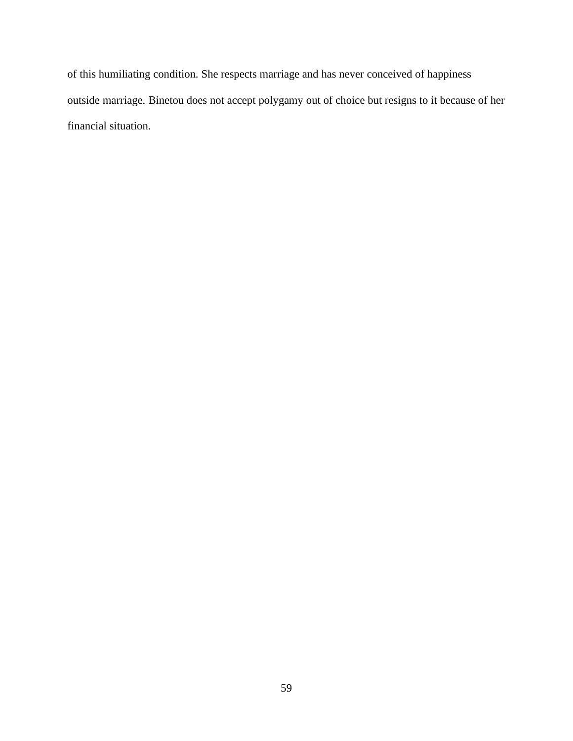of this humiliating condition. She respects marriage and has never conceived of happiness outside marriage. Binetou does not accept polygamy out of choice but resigns to it because of her financial situation.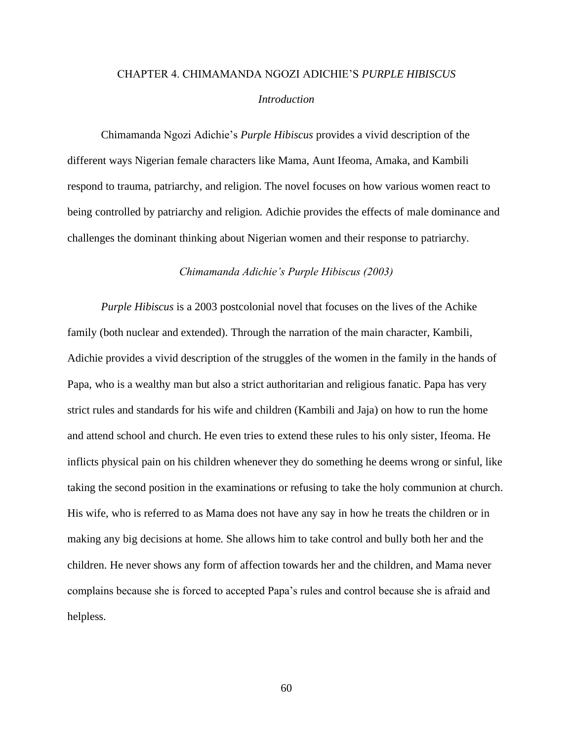# CHAPTER 4. CHIMAMANDA NGOZI ADICHIE'S *PURPLE HIBISCUS*

#### *Introduction*

Chimamanda Ngozi Adichie's *Purple Hibiscus* provides a vivid description of the different ways Nigerian female characters like Mama, Aunt Ifeoma, Amaka, and Kambili respond to trauma, patriarchy, and religion. The novel focuses on how various women react to being controlled by patriarchy and religion. Adichie provides the effects of male dominance and challenges the dominant thinking about Nigerian women and their response to patriarchy.

#### *Chimamanda Adichie's Purple Hibiscus (2003)*

*Purple Hibiscus* is a 2003 postcolonial novel that focuses on the lives of the Achike family (both nuclear and extended). Through the narration of the main character, Kambili, Adichie provides a vivid description of the struggles of the women in the family in the hands of Papa, who is a wealthy man but also a strict authoritarian and religious fanatic. Papa has very strict rules and standards for his wife and children (Kambili and Jaja) on how to run the home and attend school and church. He even tries to extend these rules to his only sister, Ifeoma. He inflicts physical pain on his children whenever they do something he deems wrong or sinful, like taking the second position in the examinations or refusing to take the holy communion at church. His wife, who is referred to as Mama does not have any say in how he treats the children or in making any big decisions at home. She allows him to take control and bully both her and the children. He never shows any form of affection towards her and the children, and Mama never complains because she is forced to accepted Papa's rules and control because she is afraid and helpless.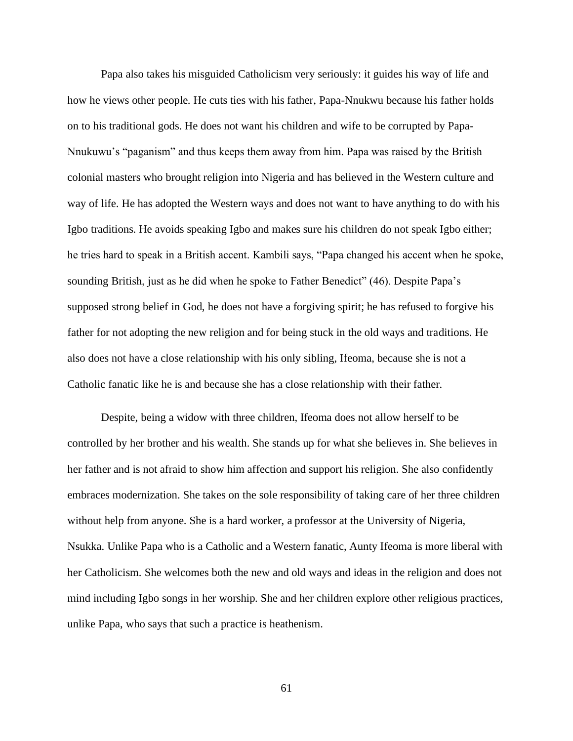Papa also takes his misguided Catholicism very seriously: it guides his way of life and how he views other people. He cuts ties with his father, Papa-Nnukwu because his father holds on to his traditional gods. He does not want his children and wife to be corrupted by Papa-Nnukuwu's "paganism" and thus keeps them away from him. Papa was raised by the British colonial masters who brought religion into Nigeria and has believed in the Western culture and way of life. He has adopted the Western ways and does not want to have anything to do with his Igbo traditions. He avoids speaking Igbo and makes sure his children do not speak Igbo either; he tries hard to speak in a British accent. Kambili says, "Papa changed his accent when he spoke, sounding British, just as he did when he spoke to Father Benedict" (46). Despite Papa's supposed strong belief in God, he does not have a forgiving spirit; he has refused to forgive his father for not adopting the new religion and for being stuck in the old ways and traditions. He also does not have a close relationship with his only sibling, Ifeoma, because she is not a Catholic fanatic like he is and because she has a close relationship with their father.

Despite, being a widow with three children, Ifeoma does not allow herself to be controlled by her brother and his wealth. She stands up for what she believes in. She believes in her father and is not afraid to show him affection and support his religion. She also confidently embraces modernization. She takes on the sole responsibility of taking care of her three children without help from anyone. She is a hard worker, a professor at the University of Nigeria, Nsukka. Unlike Papa who is a Catholic and a Western fanatic, Aunty Ifeoma is more liberal with her Catholicism. She welcomes both the new and old ways and ideas in the religion and does not mind including Igbo songs in her worship. She and her children explore other religious practices, unlike Papa, who says that such a practice is heathenism.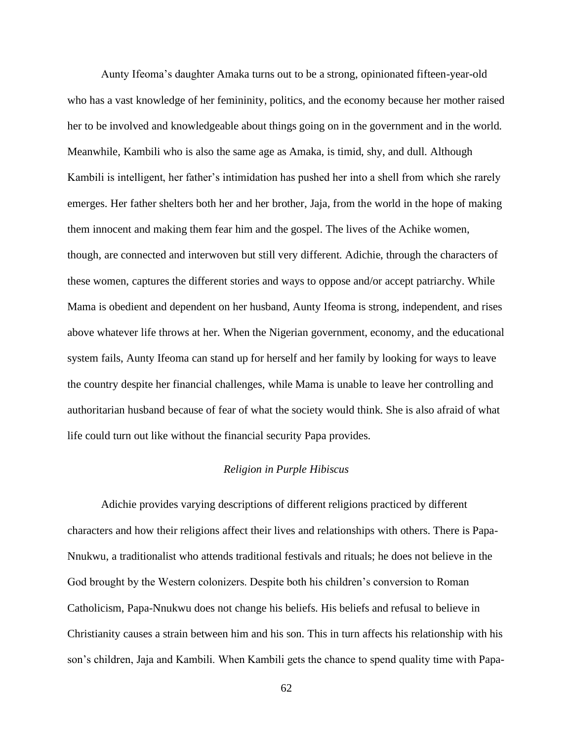Aunty Ifeoma's daughter Amaka turns out to be a strong, opinionated fifteen-year-old who has a vast knowledge of her femininity, politics, and the economy because her mother raised her to be involved and knowledgeable about things going on in the government and in the world. Meanwhile, Kambili who is also the same age as Amaka, is timid, shy, and dull. Although Kambili is intelligent, her father's intimidation has pushed her into a shell from which she rarely emerges. Her father shelters both her and her brother, Jaja, from the world in the hope of making them innocent and making them fear him and the gospel. The lives of the Achike women, though, are connected and interwoven but still very different. Adichie, through the characters of these women, captures the different stories and ways to oppose and/or accept patriarchy. While Mama is obedient and dependent on her husband, Aunty Ifeoma is strong, independent, and rises above whatever life throws at her. When the Nigerian government, economy, and the educational system fails, Aunty Ifeoma can stand up for herself and her family by looking for ways to leave the country despite her financial challenges, while Mama is unable to leave her controlling and authoritarian husband because of fear of what the society would think. She is also afraid of what life could turn out like without the financial security Papa provides.

# *Religion in Purple Hibiscus*

Adichie provides varying descriptions of different religions practiced by different characters and how their religions affect their lives and relationships with others. There is Papa-Nnukwu, a traditionalist who attends traditional festivals and rituals; he does not believe in the God brought by the Western colonizers. Despite both his children's conversion to Roman Catholicism, Papa-Nnukwu does not change his beliefs. His beliefs and refusal to believe in Christianity causes a strain between him and his son. This in turn affects his relationship with his son's children, Jaja and Kambili. When Kambili gets the chance to spend quality time with Papa-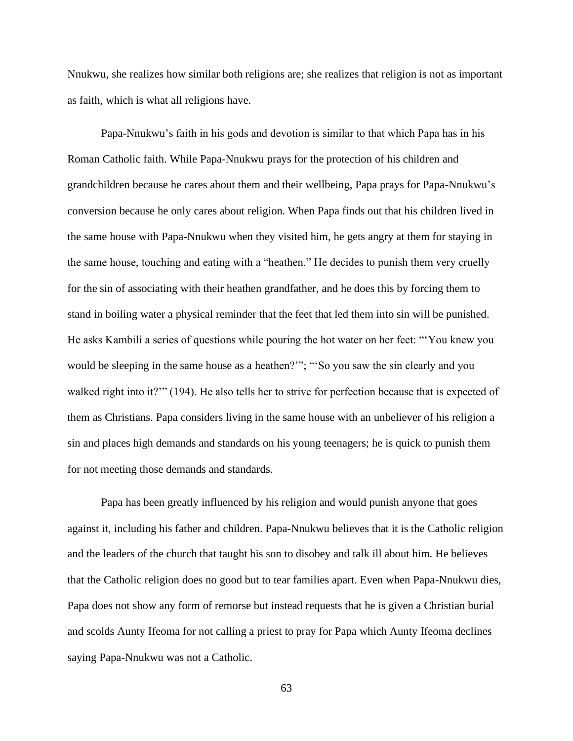Nnukwu, she realizes how similar both religions are; she realizes that religion is not as important as faith, which is what all religions have.

Papa-Nnukwu's faith in his gods and devotion is similar to that which Papa has in his Roman Catholic faith. While Papa-Nnukwu prays for the protection of his children and grandchildren because he cares about them and their wellbeing, Papa prays for Papa-Nnukwu's conversion because he only cares about religion. When Papa finds out that his children lived in the same house with Papa-Nnukwu when they visited him, he gets angry at them for staying in the same house, touching and eating with a "heathen." He decides to punish them very cruelly for the sin of associating with their heathen grandfather, and he does this by forcing them to stand in boiling water a physical reminder that the feet that led them into sin will be punished. He asks Kambili a series of questions while pouring the hot water on her feet: "'You knew you would be sleeping in the same house as a heathen?""; "So you saw the sin clearly and you walked right into it?"" (194). He also tells her to strive for perfection because that is expected of them as Christians. Papa considers living in the same house with an unbeliever of his religion a sin and places high demands and standards on his young teenagers; he is quick to punish them for not meeting those demands and standards.

Papa has been greatly influenced by his religion and would punish anyone that goes against it, including his father and children. Papa-Nnukwu believes that it is the Catholic religion and the leaders of the church that taught his son to disobey and talk ill about him. He believes that the Catholic religion does no good but to tear families apart. Even when Papa-Nnukwu dies, Papa does not show any form of remorse but instead requests that he is given a Christian burial and scolds Aunty Ifeoma for not calling a priest to pray for Papa which Aunty Ifeoma declines saying Papa-Nnukwu was not a Catholic.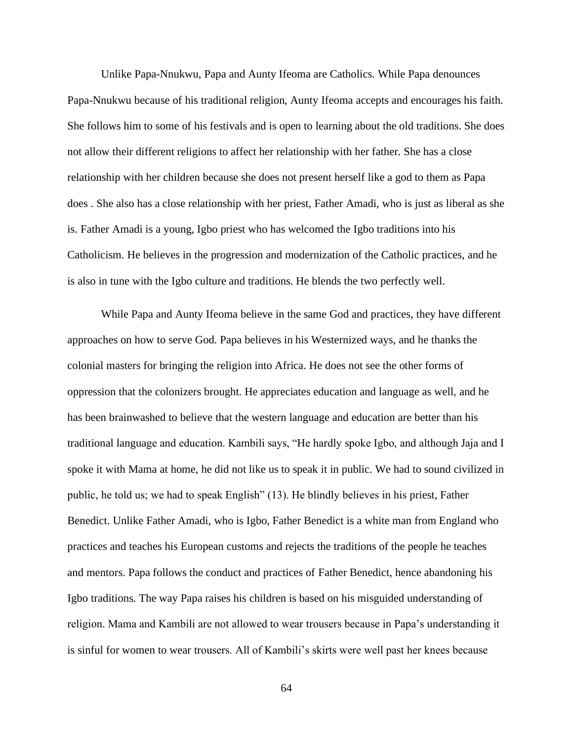Unlike Papa-Nnukwu, Papa and Aunty Ifeoma are Catholics. While Papa denounces Papa-Nnukwu because of his traditional religion, Aunty Ifeoma accepts and encourages his faith. She follows him to some of his festivals and is open to learning about the old traditions. She does not allow their different religions to affect her relationship with her father. She has a close relationship with her children because she does not present herself like a god to them as Papa does . She also has a close relationship with her priest, Father Amadi, who is just as liberal as she is. Father Amadi is a young, Igbo priest who has welcomed the Igbo traditions into his Catholicism. He believes in the progression and modernization of the Catholic practices, and he is also in tune with the Igbo culture and traditions. He blends the two perfectly well.

While Papa and Aunty Ifeoma believe in the same God and practices, they have different approaches on how to serve God. Papa believes in his Westernized ways, and he thanks the colonial masters for bringing the religion into Africa. He does not see the other forms of oppression that the colonizers brought. He appreciates education and language as well, and he has been brainwashed to believe that the western language and education are better than his traditional language and education. Kambili says, "He hardly spoke Igbo, and although Jaja and I spoke it with Mama at home, he did not like us to speak it in public. We had to sound civilized in public, he told us; we had to speak English" (13). He blindly believes in his priest, Father Benedict. Unlike Father Amadi, who is Igbo, Father Benedict is a white man from England who practices and teaches his European customs and rejects the traditions of the people he teaches and mentors. Papa follows the conduct and practices of Father Benedict, hence abandoning his Igbo traditions. The way Papa raises his children is based on his misguided understanding of religion. Mama and Kambili are not allowed to wear trousers because in Papa's understanding it is sinful for women to wear trousers. All of Kambili's skirts were well past her knees because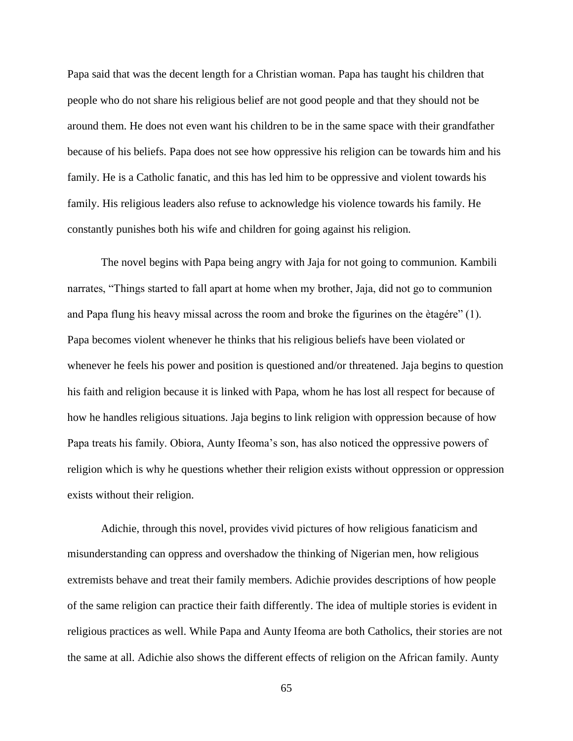Papa said that was the decent length for a Christian woman. Papa has taught his children that people who do not share his religious belief are not good people and that they should not be around them. He does not even want his children to be in the same space with their grandfather because of his beliefs. Papa does not see how oppressive his religion can be towards him and his family. He is a Catholic fanatic, and this has led him to be oppressive and violent towards his family. His religious leaders also refuse to acknowledge his violence towards his family. He constantly punishes both his wife and children for going against his religion.

The novel begins with Papa being angry with Jaja for not going to communion. Kambili narrates, "Things started to fall apart at home when my brother, Jaja, did not go to communion and Papa flung his heavy missal across the room and broke the figurines on the ètagére" (1). Papa becomes violent whenever he thinks that his religious beliefs have been violated or whenever he feels his power and position is questioned and/or threatened. Jaja begins to question his faith and religion because it is linked with Papa, whom he has lost all respect for because of how he handles religious situations. Jaja begins to link religion with oppression because of how Papa treats his family. Obiora, Aunty Ifeoma's son, has also noticed the oppressive powers of religion which is why he questions whether their religion exists without oppression or oppression exists without their religion.

Adichie, through this novel, provides vivid pictures of how religious fanaticism and misunderstanding can oppress and overshadow the thinking of Nigerian men, how religious extremists behave and treat their family members. Adichie provides descriptions of how people of the same religion can practice their faith differently. The idea of multiple stories is evident in religious practices as well. While Papa and Aunty Ifeoma are both Catholics, their stories are not the same at all. Adichie also shows the different effects of religion on the African family. Aunty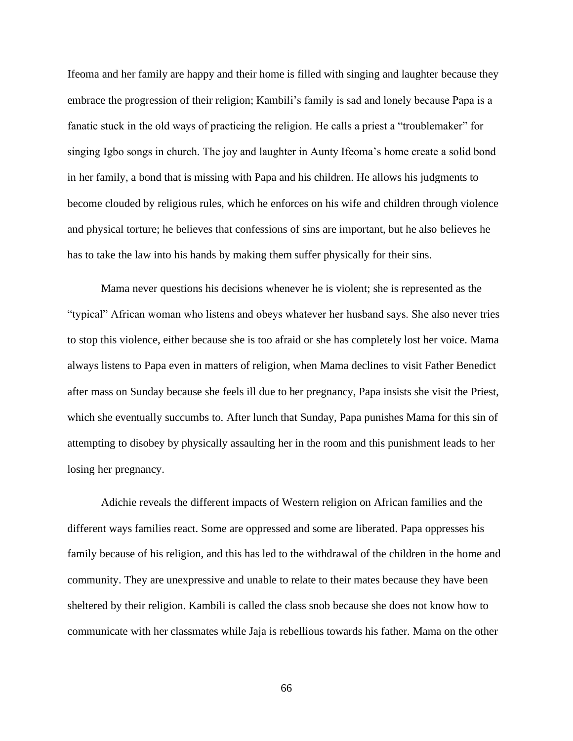Ifeoma and her family are happy and their home is filled with singing and laughter because they embrace the progression of their religion; Kambili's family is sad and lonely because Papa is a fanatic stuck in the old ways of practicing the religion. He calls a priest a "troublemaker" for singing Igbo songs in church. The joy and laughter in Aunty Ifeoma's home create a solid bond in her family, a bond that is missing with Papa and his children. He allows his judgments to become clouded by religious rules, which he enforces on his wife and children through violence and physical torture; he believes that confessions of sins are important, but he also believes he has to take the law into his hands by making them suffer physically for their sins.

Mama never questions his decisions whenever he is violent; she is represented as the "typical" African woman who listens and obeys whatever her husband says. She also never tries to stop this violence, either because she is too afraid or she has completely lost her voice. Mama always listens to Papa even in matters of religion, when Mama declines to visit Father Benedict after mass on Sunday because she feels ill due to her pregnancy, Papa insists she visit the Priest, which she eventually succumbs to. After lunch that Sunday, Papa punishes Mama for this sin of attempting to disobey by physically assaulting her in the room and this punishment leads to her losing her pregnancy.

Adichie reveals the different impacts of Western religion on African families and the different ways families react. Some are oppressed and some are liberated. Papa oppresses his family because of his religion, and this has led to the withdrawal of the children in the home and community. They are unexpressive and unable to relate to their mates because they have been sheltered by their religion. Kambili is called the class snob because she does not know how to communicate with her classmates while Jaja is rebellious towards his father. Mama on the other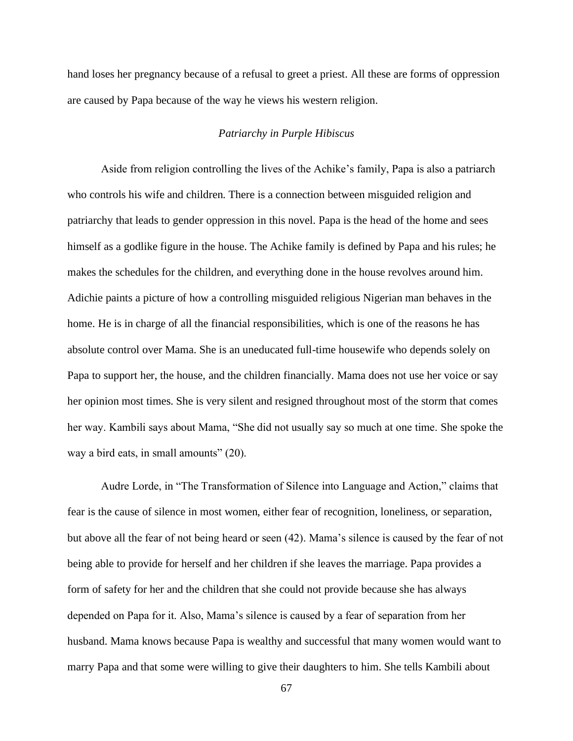hand loses her pregnancy because of a refusal to greet a priest. All these are forms of oppression are caused by Papa because of the way he views his western religion.

## *Patriarchy in Purple Hibiscus*

Aside from religion controlling the lives of the Achike's family, Papa is also a patriarch who controls his wife and children. There is a connection between misguided religion and patriarchy that leads to gender oppression in this novel. Papa is the head of the home and sees himself as a godlike figure in the house. The Achike family is defined by Papa and his rules; he makes the schedules for the children, and everything done in the house revolves around him. Adichie paints a picture of how a controlling misguided religious Nigerian man behaves in the home. He is in charge of all the financial responsibilities, which is one of the reasons he has absolute control over Mama. She is an uneducated full-time housewife who depends solely on Papa to support her, the house, and the children financially. Mama does not use her voice or say her opinion most times. She is very silent and resigned throughout most of the storm that comes her way. Kambili says about Mama, "She did not usually say so much at one time. She spoke the way a bird eats, in small amounts" (20).

Audre Lorde, in "The Transformation of Silence into Language and Action," claims that fear is the cause of silence in most women, either fear of recognition, loneliness, or separation, but above all the fear of not being heard or seen (42). Mama's silence is caused by the fear of not being able to provide for herself and her children if she leaves the marriage. Papa provides a form of safety for her and the children that she could not provide because she has always depended on Papa for it. Also, Mama's silence is caused by a fear of separation from her husband. Mama knows because Papa is wealthy and successful that many women would want to marry Papa and that some were willing to give their daughters to him. She tells Kambili about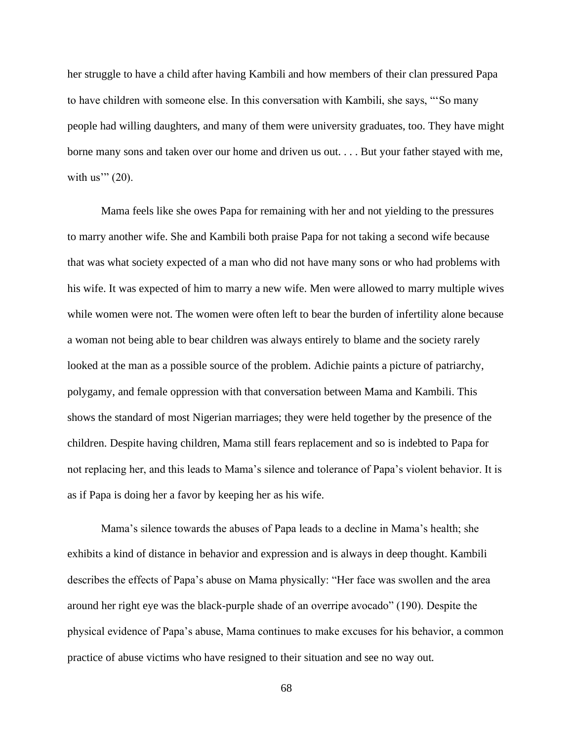her struggle to have a child after having Kambili and how members of their clan pressured Papa to have children with someone else. In this conversation with Kambili, she says, "'So many people had willing daughters, and many of them were university graduates, too. They have might borne many sons and taken over our home and driven us out. . . . But your father stayed with me, with us" $(20)$ .

Mama feels like she owes Papa for remaining with her and not yielding to the pressures to marry another wife. She and Kambili both praise Papa for not taking a second wife because that was what society expected of a man who did not have many sons or who had problems with his wife. It was expected of him to marry a new wife. Men were allowed to marry multiple wives while women were not. The women were often left to bear the burden of infertility alone because a woman not being able to bear children was always entirely to blame and the society rarely looked at the man as a possible source of the problem. Adichie paints a picture of patriarchy, polygamy, and female oppression with that conversation between Mama and Kambili. This shows the standard of most Nigerian marriages; they were held together by the presence of the children. Despite having children, Mama still fears replacement and so is indebted to Papa for not replacing her, and this leads to Mama's silence and tolerance of Papa's violent behavior. It is as if Papa is doing her a favor by keeping her as his wife.

Mama's silence towards the abuses of Papa leads to a decline in Mama's health; she exhibits a kind of distance in behavior and expression and is always in deep thought. Kambili describes the effects of Papa's abuse on Mama physically: "Her face was swollen and the area around her right eye was the black-purple shade of an overripe avocado" (190). Despite the physical evidence of Papa's abuse, Mama continues to make excuses for his behavior, a common practice of abuse victims who have resigned to their situation and see no way out.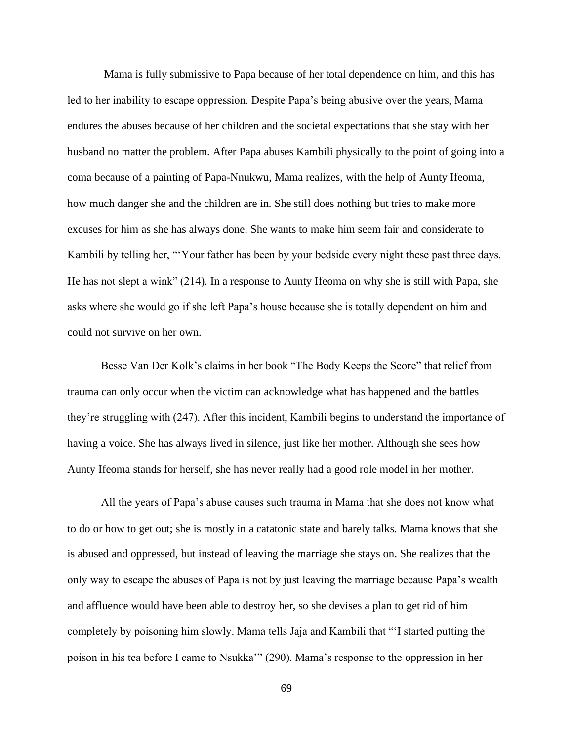Mama is fully submissive to Papa because of her total dependence on him, and this has led to her inability to escape oppression. Despite Papa's being abusive over the years, Mama endures the abuses because of her children and the societal expectations that she stay with her husband no matter the problem. After Papa abuses Kambili physically to the point of going into a coma because of a painting of Papa-Nnukwu, Mama realizes, with the help of Aunty Ifeoma, how much danger she and the children are in. She still does nothing but tries to make more excuses for him as she has always done. She wants to make him seem fair and considerate to Kambili by telling her, "'Your father has been by your bedside every night these past three days. He has not slept a wink" (214). In a response to Aunty Ifeoma on why she is still with Papa, she asks where she would go if she left Papa's house because she is totally dependent on him and could not survive on her own.

Besse Van Der Kolk's claims in her book "The Body Keeps the Score" that relief from trauma can only occur when the victim can acknowledge what has happened and the battles they're struggling with (247). After this incident, Kambili begins to understand the importance of having a voice. She has always lived in silence, just like her mother. Although she sees how Aunty Ifeoma stands for herself, she has never really had a good role model in her mother.

All the years of Papa's abuse causes such trauma in Mama that she does not know what to do or how to get out; she is mostly in a catatonic state and barely talks. Mama knows that she is abused and oppressed, but instead of leaving the marriage she stays on. She realizes that the only way to escape the abuses of Papa is not by just leaving the marriage because Papa's wealth and affluence would have been able to destroy her, so she devises a plan to get rid of him completely by poisoning him slowly. Mama tells Jaja and Kambili that "'I started putting the poison in his tea before I came to Nsukka'" (290). Mama's response to the oppression in her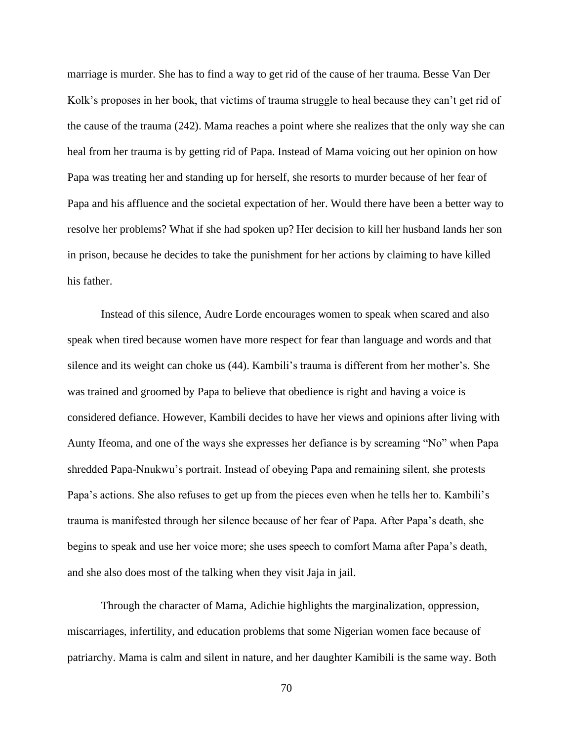marriage is murder. She has to find a way to get rid of the cause of her trauma. Besse Van Der Kolk's proposes in her book, that victims of trauma struggle to heal because they can't get rid of the cause of the trauma (242). Mama reaches a point where she realizes that the only way she can heal from her trauma is by getting rid of Papa. Instead of Mama voicing out her opinion on how Papa was treating her and standing up for herself, she resorts to murder because of her fear of Papa and his affluence and the societal expectation of her. Would there have been a better way to resolve her problems? What if she had spoken up? Her decision to kill her husband lands her son in prison, because he decides to take the punishment for her actions by claiming to have killed his father.

Instead of this silence, Audre Lorde encourages women to speak when scared and also speak when tired because women have more respect for fear than language and words and that silence and its weight can choke us (44). Kambili's trauma is different from her mother's. She was trained and groomed by Papa to believe that obedience is right and having a voice is considered defiance. However, Kambili decides to have her views and opinions after living with Aunty Ifeoma, and one of the ways she expresses her defiance is by screaming "No" when Papa shredded Papa-Nnukwu's portrait. Instead of obeying Papa and remaining silent, she protests Papa's actions. She also refuses to get up from the pieces even when he tells her to. Kambili's trauma is manifested through her silence because of her fear of Papa. After Papa's death, she begins to speak and use her voice more; she uses speech to comfort Mama after Papa's death, and she also does most of the talking when they visit Jaja in jail.

Through the character of Mama, Adichie highlights the marginalization, oppression, miscarriages, infertility, and education problems that some Nigerian women face because of patriarchy. Mama is calm and silent in nature, and her daughter Kamibili is the same way. Both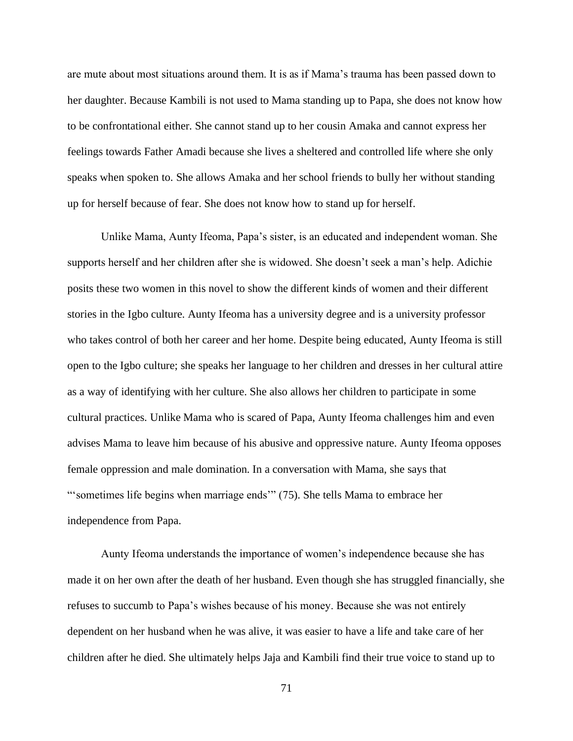are mute about most situations around them. It is as if Mama's trauma has been passed down to her daughter. Because Kambili is not used to Mama standing up to Papa, she does not know how to be confrontational either. She cannot stand up to her cousin Amaka and cannot express her feelings towards Father Amadi because she lives a sheltered and controlled life where she only speaks when spoken to. She allows Amaka and her school friends to bully her without standing up for herself because of fear. She does not know how to stand up for herself.

Unlike Mama, Aunty Ifeoma, Papa's sister, is an educated and independent woman. She supports herself and her children after she is widowed. She doesn't seek a man's help. Adichie posits these two women in this novel to show the different kinds of women and their different stories in the Igbo culture. Aunty Ifeoma has a university degree and is a university professor who takes control of both her career and her home. Despite being educated, Aunty Ifeoma is still open to the Igbo culture; she speaks her language to her children and dresses in her cultural attire as a way of identifying with her culture. She also allows her children to participate in some cultural practices. Unlike Mama who is scared of Papa, Aunty Ifeoma challenges him and even advises Mama to leave him because of his abusive and oppressive nature. Aunty Ifeoma opposes female oppression and male domination. In a conversation with Mama, she says that "'sometimes life begins when marriage ends'" (75). She tells Mama to embrace her independence from Papa.

Aunty Ifeoma understands the importance of women's independence because she has made it on her own after the death of her husband. Even though she has struggled financially, she refuses to succumb to Papa's wishes because of his money. Because she was not entirely dependent on her husband when he was alive, it was easier to have a life and take care of her children after he died. She ultimately helps Jaja and Kambili find their true voice to stand up to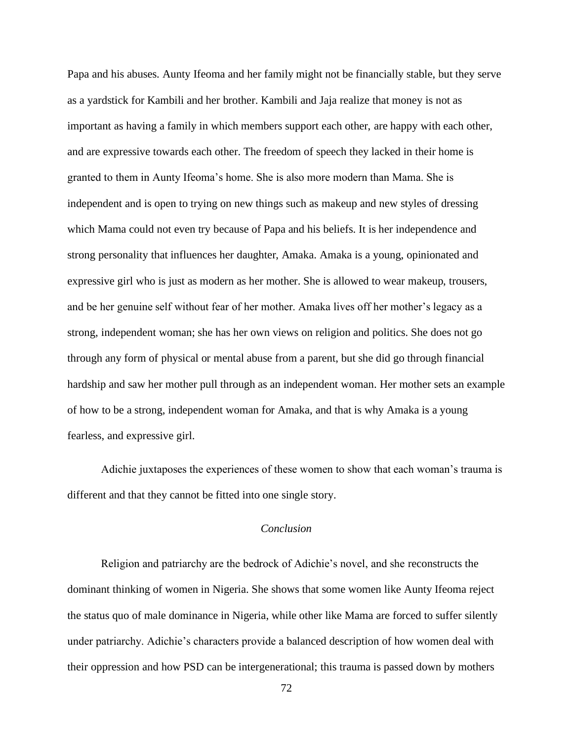Papa and his abuses. Aunty Ifeoma and her family might not be financially stable, but they serve as a yardstick for Kambili and her brother. Kambili and Jaja realize that money is not as important as having a family in which members support each other, are happy with each other, and are expressive towards each other. The freedom of speech they lacked in their home is granted to them in Aunty Ifeoma's home. She is also more modern than Mama. She is independent and is open to trying on new things such as makeup and new styles of dressing which Mama could not even try because of Papa and his beliefs. It is her independence and strong personality that influences her daughter, Amaka. Amaka is a young, opinionated and expressive girl who is just as modern as her mother. She is allowed to wear makeup, trousers, and be her genuine self without fear of her mother. Amaka lives off her mother's legacy as a strong, independent woman; she has her own views on religion and politics. She does not go through any form of physical or mental abuse from a parent, but she did go through financial hardship and saw her mother pull through as an independent woman. Her mother sets an example of how to be a strong, independent woman for Amaka, and that is why Amaka is a young fearless, and expressive girl.

Adichie juxtaposes the experiences of these women to show that each woman's trauma is different and that they cannot be fitted into one single story.

### *Conclusion*

Religion and patriarchy are the bedrock of Adichie's novel, and she reconstructs the dominant thinking of women in Nigeria. She shows that some women like Aunty Ifeoma reject the status quo of male dominance in Nigeria, while other like Mama are forced to suffer silently under patriarchy. Adichie's characters provide a balanced description of how women deal with their oppression and how PSD can be intergenerational; this trauma is passed down by mothers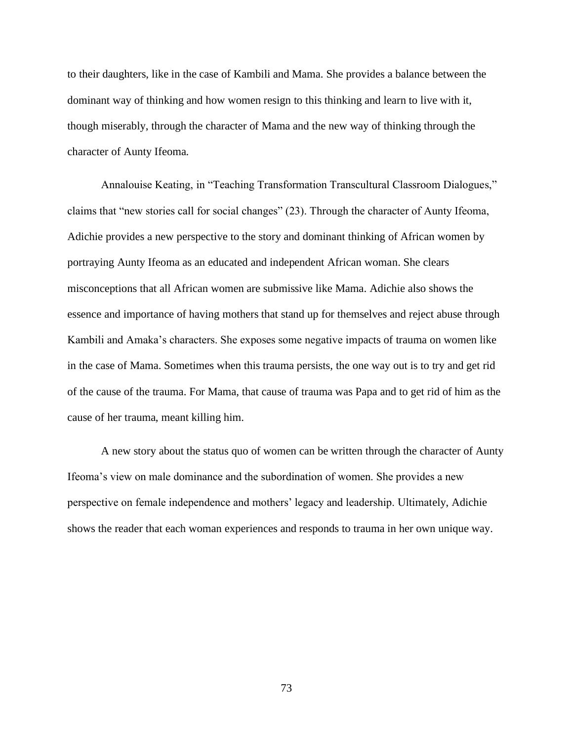to their daughters, like in the case of Kambili and Mama. She provides a balance between the dominant way of thinking and how women resign to this thinking and learn to live with it, though miserably, through the character of Mama and the new way of thinking through the character of Aunty Ifeoma.

Annalouise Keating, in "Teaching Transformation Transcultural Classroom Dialogues," claims that "new stories call for social changes" (23). Through the character of Aunty Ifeoma, Adichie provides a new perspective to the story and dominant thinking of African women by portraying Aunty Ifeoma as an educated and independent African woman. She clears misconceptions that all African women are submissive like Mama. Adichie also shows the essence and importance of having mothers that stand up for themselves and reject abuse through Kambili and Amaka's characters. She exposes some negative impacts of trauma on women like in the case of Mama. Sometimes when this trauma persists, the one way out is to try and get rid of the cause of the trauma. For Mama, that cause of trauma was Papa and to get rid of him as the cause of her trauma, meant killing him.

A new story about the status quo of women can be written through the character of Aunty Ifeoma's view on male dominance and the subordination of women. She provides a new perspective on female independence and mothers' legacy and leadership. Ultimately, Adichie shows the reader that each woman experiences and responds to trauma in her own unique way.

73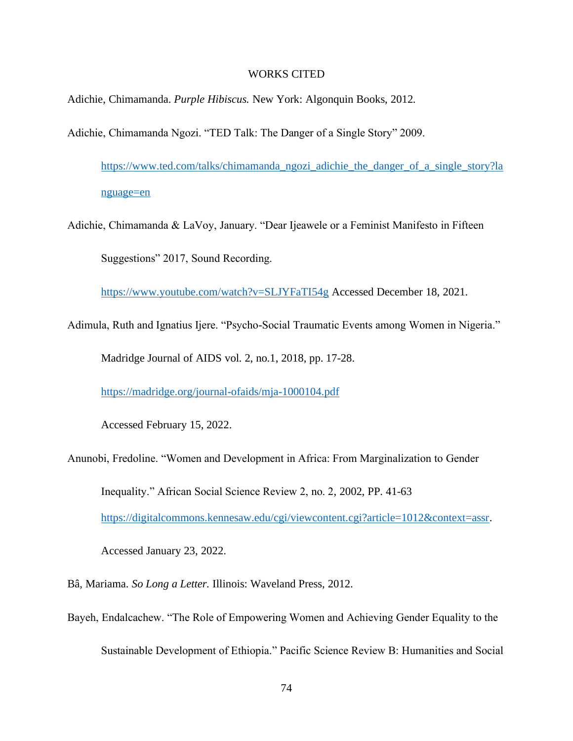#### WORKS CITED

Adichie, Chimamanda. *Purple Hibiscus.* New York: Algonquin Books, 2012.

Adichie, Chimamanda Ngozi. "TED Talk: The Danger of a Single Story" 2009.

[https://www.ted.com/talks/chimamanda\\_ngozi\\_adichie\\_the\\_danger\\_of\\_a\\_single\\_story?la](https://www.ted.com/talks/chimamanda_ngozi_adichie_the_danger_of_a_single_story?language=en) [nguage=en](https://www.ted.com/talks/chimamanda_ngozi_adichie_the_danger_of_a_single_story?language=en)

Adichie, Chimamanda & LaVoy, January. "Dear Ijeawele or a Feminist Manifesto in Fifteen Suggestions" 2017, Sound Recording.

<https://www.youtube.com/watch?v=SLJYFaTI54g> Accessed December 18, 2021.

Adimula, Ruth and Ignatius Ijere. "Psycho-Social Traumatic Events among Women in Nigeria."

Madridge Journal of AIDS vol. 2, no.1, 2018, pp. 17-28.

<https://madridge.org/journal-ofaids/mja-1000104.pdf>

Accessed February 15, 2022.

Anunobi, Fredoline. "Women and Development in Africa: From Marginalization to Gender

Inequality." African Social Science Review 2, no. 2, 2002, PP. 41-63

[https://digitalcommons.kennesaw.edu/cgi/viewcontent.cgi?article=1012&context=assr.](https://digitalcommons.kennesaw.edu/cgi/viewcontent.cgi?article=1012&context=assr)

Accessed January 23, 2022.

Bâ, Mariama. *So Long a Letter.* Illinois: Waveland Press, 2012.

Bayeh, Endalcachew. "The Role of Empowering Women and Achieving Gender Equality to the

Sustainable Development of Ethiopia." Pacific Science Review B: Humanities and Social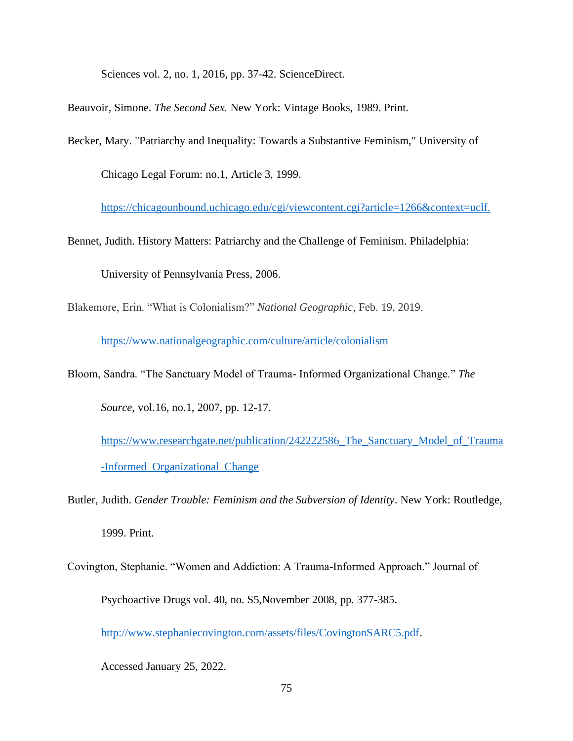Sciences vol. 2, no. 1, 2016, pp. 37-42. ScienceDirect.

Beauvoir, Simone. *The Second Sex.* New York: Vintage Books, 1989. Print.

Becker, Mary. "Patriarchy and Inequality: Towards a Substantive Feminism," University of

Chicago Legal Forum: no.1, Article 3, 1999.

[https://chicagounbound.uchicago.edu/cgi/viewcontent.cgi?article=1266&context=uclf.](https://chicagounbound.uchicago.edu/cgi/viewcontent.cgi?article=1266&context=uclf)

Bennet, Judith. History Matters: Patriarchy and the Challenge of Feminism. Philadelphia:

University of Pennsylvania Press, 2006.

Blakemore, Erin. "What is Colonialism?" *National Geographic,* Feb. 19, 2019.

<https://www.nationalgeographic.com/culture/article/colonialism>

Bloom, Sandra. "The Sanctuary Model of Trauma- Informed Organizational Change." *The* 

*Source,* vol.16, no.1, 2007, pp. 12-17.

[https://www.researchgate.net/publication/242222586\\_The\\_Sanctuary\\_Model\\_of\\_Trauma](https://www.researchgate.net/publication/242222586_The_Sanctuary_Model_of_Trauma-Informed_Organizational_Change) [-Informed\\_Organizational\\_Change](https://www.researchgate.net/publication/242222586_The_Sanctuary_Model_of_Trauma-Informed_Organizational_Change)

- Butler, Judith. *Gender Trouble: Feminism and the Subversion of Identity*. New York: Routledge, 1999. Print.
- Covington, Stephanie. "Women and Addiction: A Trauma-Informed Approach." Journal of Psychoactive Drugs vol. 40, no. S5,November 2008, pp. 377-385.

[http://www.stephaniecovington.com/assets/files/CovingtonSARC5.pdf.](http://www.stephaniecovington.com/assets/files/CovingtonSARC5.pdf)

Accessed January 25, 2022.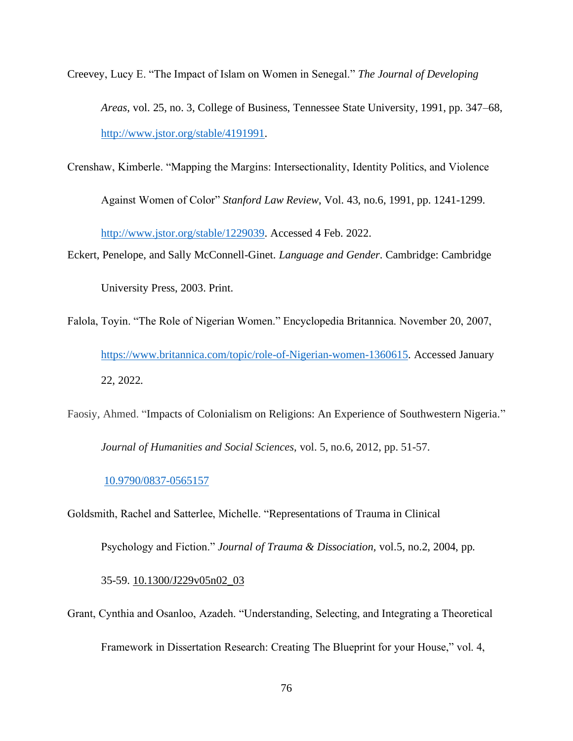- Creevey, Lucy E. "The Impact of Islam on Women in Senegal." *The Journal of Developing Areas*, vol. 25, no. 3, College of Business, Tennessee State University, 1991, pp. 347–68, [http://www.jstor.org/stable/4191991.](http://www.jstor.org/stable/4191991)
- Crenshaw, Kimberle. "Mapping the Margins: Intersectionality, Identity Politics, and Violence

Against Women of Color" *Stanford Law Review*, Vol. 43, no.6, 1991, pp. 1241-1299.

[http://www.jstor.org/stable/1229039.](http://www.jstor.org/stable/1229039) Accessed 4 Feb. 2022.

Eckert, Penelope, and Sally McConnell-Ginet. *Language and Gender*. Cambridge: Cambridge

University Press, 2003. Print.

- Falola, Toyin. "The Role of Nigerian Women." Encyclopedia Britannica. November 20, 2007, [https://www.britannica.com/topic/role-of-Nigerian-women-1360615.](https://www.britannica.com/topic/role-of-Nigerian-women-1360615) Accessed January 22, 2022.
- Faosiy, Ahmed. "Impacts of Colonialism on Religions: An Experience of Southwestern Nigeria." *Journal of Humanities and Social Sciences*, vol. 5, no.6, 2012, pp. 51-57.

### [10.9790/0837-0565157](http://dx.doi.org/10.9790/0837-0565157)

Goldsmith, Rachel and Satterlee, Michelle. "Representations of Trauma in Clinical

Psychology and Fiction." *Journal of Trauma & Dissociation,* vol.5, no.2, 2004, pp.

#### 35-59. [10.1300/J229v05n02\\_03](https://doi.org/10.1300/J229v05n02_03)

Grant, Cynthia and Osanloo, Azadeh. "Understanding, Selecting, and Integrating a Theoretical Framework in Dissertation Research: Creating The Blueprint for your House," vol. 4,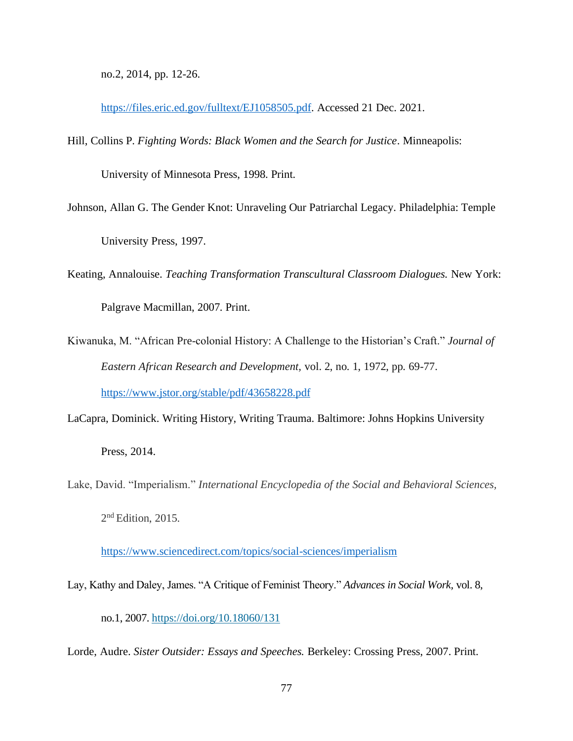no.2, 2014, pp. 12-26.

[https://files.eric.ed.gov/fulltext/EJ1058505.pdf.](https://files.eric.ed.gov/fulltext/EJ1058505.pdf) Accessed 21 Dec. 2021.

Hill, Collins P. *Fighting Words: Black Women and the Search for Justice*. Minneapolis:

University of Minnesota Press, 1998. Print.

- Johnson, Allan G. The Gender Knot: Unraveling Our Patriarchal Legacy. Philadelphia: Temple University Press, 1997.
- Keating, Annalouise. *Teaching Transformation Transcultural Classroom Dialogues.* New York: Palgrave Macmillan, 2007. Print.
- Kiwanuka, M. "African Pre-colonial History: A Challenge to the Historian's Craft." *Journal of Eastern African Research and Development,* vol. 2, no. 1, 1972, pp. 69-77. <https://www.jstor.org/stable/pdf/43658228.pdf>
- LaCapra, Dominick. Writing History, Writing Trauma. Baltimore: Johns Hopkins University

Press, 2014.

Lake, David. "Imperialism." *International Encyclopedia of the Social and Behavioral Sciences,*  2<sup>nd</sup> Edition, 2015.

<https://www.sciencedirect.com/topics/social-sciences/imperialism>

Lay, Kathy and Daley, James. "A Critique of Feminist Theory." *Advances in Social Work,* vol. 8,

no.1, 2007. <https://doi.org/10.18060/131>

Lorde, Audre. *Sister Outsider: Essays and Speeches.* Berkeley: Crossing Press, 2007. Print.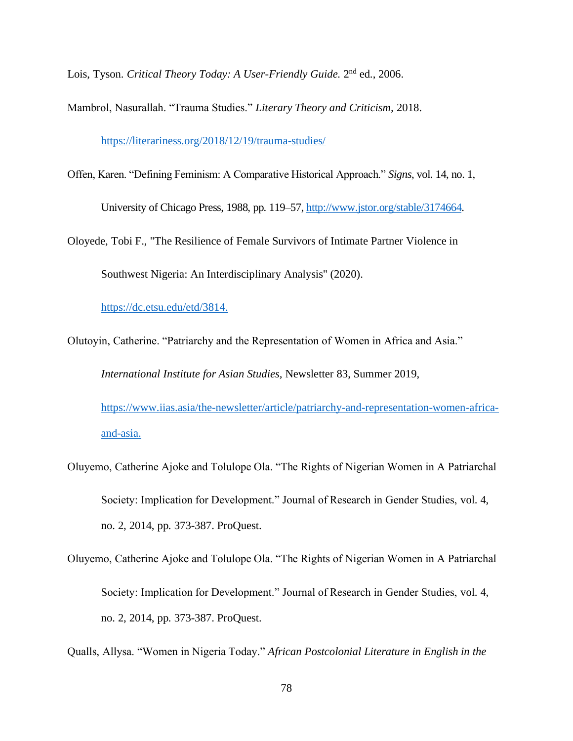Lois, Tyson. *Critical Theory Today: A User-Friendly Guide*. 2<sup>nd</sup> ed., 2006.

Mambrol, Nasurallah. "Trauma Studies." *Literary Theory and Criticism,* 2018.

<https://literariness.org/2018/12/19/trauma-studies/>

- Offen, Karen. "Defining Feminism: A Comparative Historical Approach." *Signs*, vol. 14, no. 1, University of Chicago Press, 1988, pp. 119–57, [http://www.jstor.org/stable/3174664.](http://www.jstor.org/stable/3174664)
- Oloyede, Tobi F., "The Resilience of Female Survivors of Intimate Partner Violence in Southwest Nigeria: An Interdisciplinary Analysis" (2020).

[https://dc.etsu.edu/etd/3814.](https://dc.etsu.edu/etd/3814)

Olutoyin, Catherine. "Patriarchy and the Representation of Women in Africa and Asia."

*International Institute for Asian Studies,* Newsletter 83, Summer 2019,

[https://www.iias.asia/the-newsletter/article/patriarchy-and-representation-women-africa](https://www.iias.asia/the-newsletter/article/patriarchy-and-representation-women-africa-and-asia)[and-asia.](https://www.iias.asia/the-newsletter/article/patriarchy-and-representation-women-africa-and-asia)

- Oluyemo, Catherine Ajoke and Tolulope Ola. "The Rights of Nigerian Women in A Patriarchal Society: Implication for Development." Journal of Research in Gender Studies, vol. 4, no. 2, 2014, pp. 373-387. ProQuest.
- Oluyemo, Catherine Ajoke and Tolulope Ola. "The Rights of Nigerian Women in A Patriarchal Society: Implication for Development." Journal of Research in Gender Studies, vol. 4, no. 2, 2014, pp. 373-387. ProQuest.

Qualls, Allysa. "Women in Nigeria Today." *African Postcolonial Literature in English in the*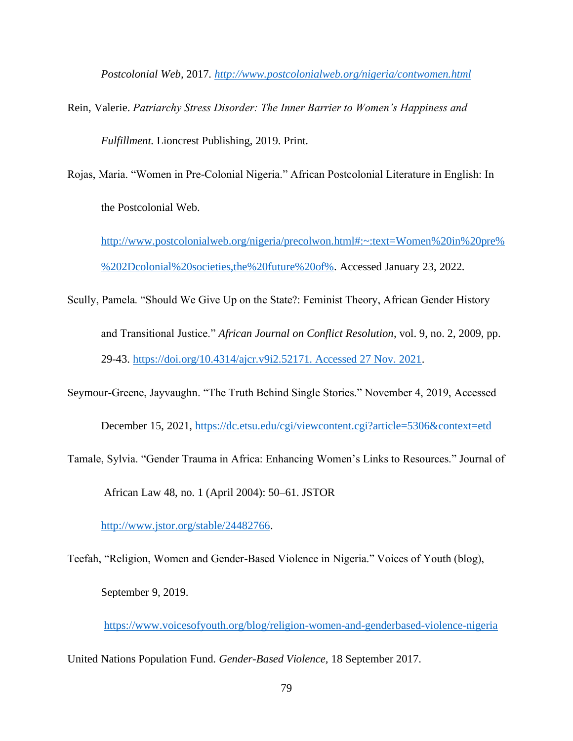*Postcolonial Web,* 2017*.<http://www.postcolonialweb.org/nigeria/contwomen.html>*

- Rein, Valerie. *Patriarchy Stress Disorder: The Inner Barrier to Women's Happiness and Fulfillment.* Lioncrest Publishing, 2019. Print.
- Rojas, Maria. "Women in Pre-Colonial Nigeria." African Postcolonial Literature in English: In the Postcolonial Web.

[http://www.postcolonialweb.org/nigeria/precolwon.html#:~:text=Women%20in%20pre%](http://www.postcolonialweb.org/nigeria/precolwon.html#:~:text=Women%20in%20pre%%202Dcolonial%20societies,the%20future%20of%) [%202Dcolonial%20societies,the%20future%20of%.](http://www.postcolonialweb.org/nigeria/precolwon.html#:~:text=Women%20in%20pre%%202Dcolonial%20societies,the%20future%20of%) Accessed January 23, 2022.

- Scully, Pamela. "Should We Give Up on the State?: Feminist Theory, African Gender History and Transitional Justice." *African Journal on Conflict Resolution*, vol. 9, no. 2, 2009, pp. 29-43. [https://doi.org/10.4314/ajcr.v9i2.52171. Accessed 27 Nov. 2021.](https://doi.org/10.4314/ajcr.v9i2.52171.%20Accessed%2027%20Nov.%202021)
- Seymour-Greene, Jayvaughn. "The Truth Behind Single Stories." November 4, 2019, Accessed

December 15, 2021,<https://dc.etsu.edu/cgi/viewcontent.cgi?article=5306&context=etd>

Tamale, Sylvia. "Gender Trauma in Africa: Enhancing Women's Links to Resources." Journal of African Law 48, no. 1 (April 2004): 50–61. JSTOR

[http://www.jstor.org/stable/24482766.](http://www.jstor.org/stable/24482766)

Teefah, "Religion, Women and Gender-Based Violence in Nigeria." Voices of Youth (blog), September 9, 2019.

<https://www.voicesofyouth.org/blog/religion-women-and-genderbased-violence-nigeria>

United Nations Population Fund. *Gender-Based Violence,* 18 September 2017.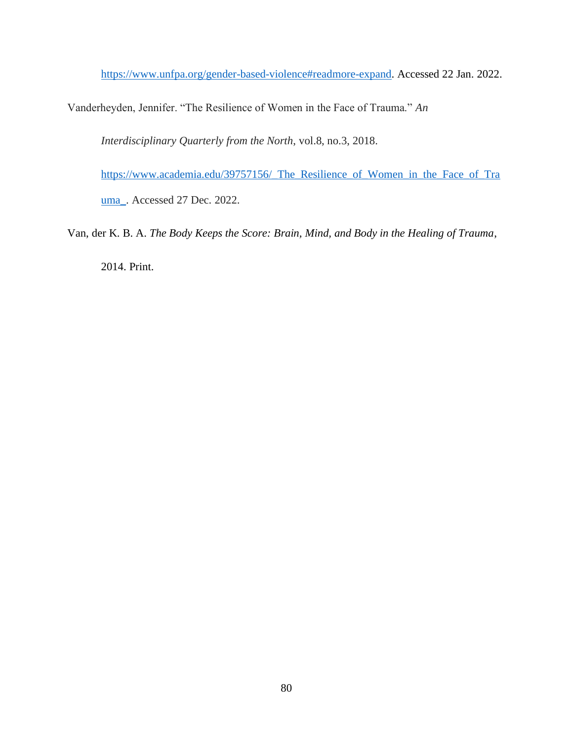[https://www.unfpa.org/gender-based-violence#readmore-expand.](https://www.unfpa.org/gender-based-violence#readmore-expand) Accessed 22 Jan. 2022.

Vanderheyden, Jennifer. "The Resilience of Women in the Face of Trauma." *An* 

*Interdisciplinary Quarterly from the North*, vol.8, no.3, 2018.

[https://www.academia.edu/39757156/\\_The\\_Resilience\\_of\\_Women\\_in\\_the\\_Face\\_of\\_Tra](https://www.academia.edu/39757156/_The_Resilience_of_Women_in_the_Face_of_Trauma_) [uma\\_.](https://www.academia.edu/39757156/_The_Resilience_of_Women_in_the_Face_of_Trauma_) Accessed 27 Dec. 2022.

Van, der K. B. A. *The Body Keeps the Score: Brain, Mind, and Body in the Healing of Trauma*,

2014. Print.